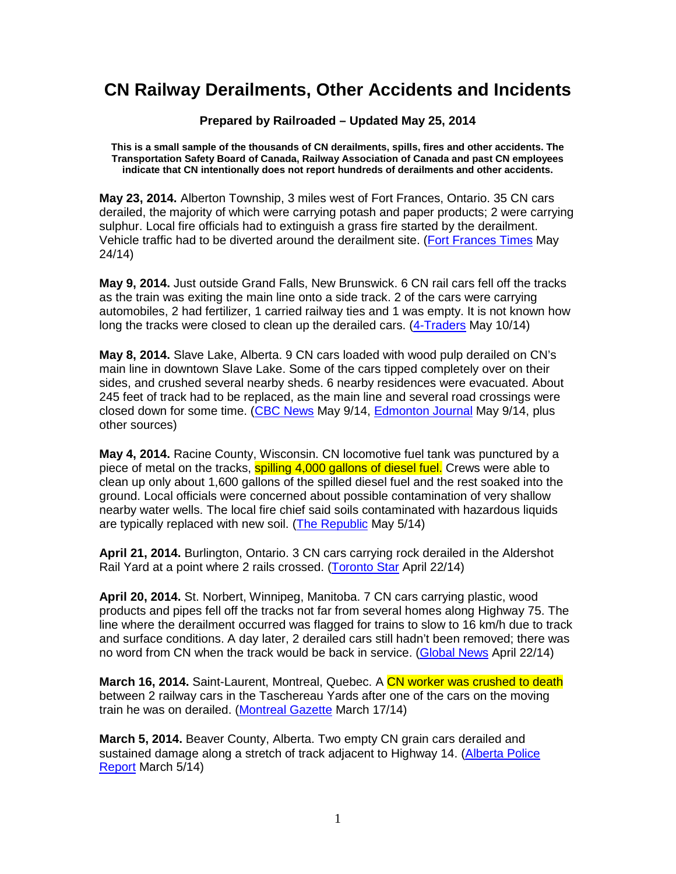## **CN Railway Derailments, Other Accidents and Incidents**

**Prepared by Railroaded – Updated May 25, 2014** 

**This is a small sample of the thousands of CN derailments, spills, fires and other accidents. The Transportation Safety Board of Canada, Railway Association of Canada and past CN employees indicate that CN intentionally does not report hundreds of derailments and other accidents.** 

**May 23, 2014.** Alberton Township, 3 miles west of Fort Frances, Ontario. 35 CN cars derailed, the majority of which were carrying potash and paper products; 2 were carrying sulphur. Local fire officials had to extinguish a grass fire started by the derailment. Vehicle traffic had to be diverted around the derailment site. (Fort Frances Times May 24/14)

**May 9, 2014.** Just outside Grand Falls, New Brunswick. 6 CN rail cars fell off the tracks as the train was exiting the main line onto a side track. 2 of the cars were carrying automobiles, 2 had fertilizer, 1 carried railway ties and 1 was empty. It is not known how long the tracks were closed to clean up the derailed cars. (4-Traders May 10/14)

**May 8, 2014.** Slave Lake, Alberta. 9 CN cars loaded with wood pulp derailed on CN's main line in downtown Slave Lake. Some of the cars tipped completely over on their sides, and crushed several nearby sheds. 6 nearby residences were evacuated. About 245 feet of track had to be replaced, as the main line and several road crossings were closed down for some time. (CBC News May 9/14, Edmonton Journal May 9/14, plus other sources)

**May 4, 2014.** Racine County, Wisconsin. CN locomotive fuel tank was punctured by a piece of metal on the tracks, **spilling 4,000 gallons of diesel fuel.** Crews were able to clean up only about 1,600 gallons of the spilled diesel fuel and the rest soaked into the ground. Local officials were concerned about possible contamination of very shallow nearby water wells. The local fire chief said soils contaminated with hazardous liquids are typically replaced with new soil. (The Republic May 5/14)

**April 21, 2014.** Burlington, Ontario. 3 CN cars carrying rock derailed in the Aldershot Rail Yard at a point where 2 rails crossed. (Toronto Star April 22/14)

**April 20, 2014.** St. Norbert, Winnipeg, Manitoba. 7 CN cars carrying plastic, wood products and pipes fell off the tracks not far from several homes along Highway 75. The line where the derailment occurred was flagged for trains to slow to 16 km/h due to track and surface conditions. A day later, 2 derailed cars still hadn't been removed; there was no word from CN when the track would be back in service. (Global News April 22/14)

**March 16, 2014.** Saint-Laurent, Montreal, Quebec. A CN worker was crushed to death between 2 railway cars in the Taschereau Yards after one of the cars on the moving train he was on derailed. (Montreal Gazette March 17/14)

**March 5, 2014.** Beaver County, Alberta. Two empty CN grain cars derailed and sustained damage along a stretch of track adjacent to Highway 14. (Alberta Police Report March 5/14)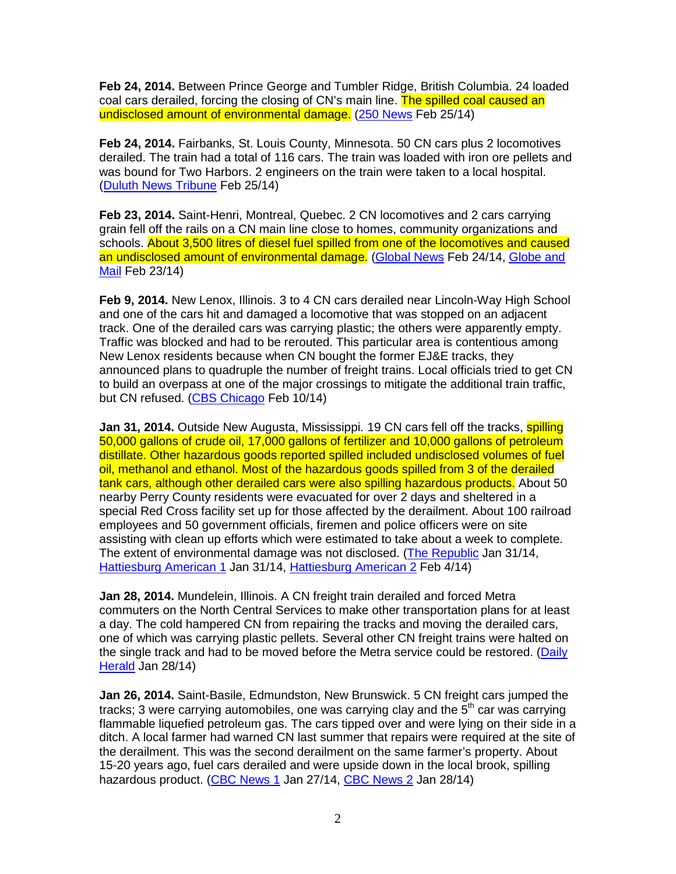**Feb 24, 2014.** Between Prince George and Tumbler Ridge, British Columbia. 24 loaded coal cars derailed, forcing the closing of CN's main line. The spilled coal caused an undisclosed amount of environmental damage. (250 News Feb 25/14)

**Feb 24, 2014.** Fairbanks, St. Louis County, Minnesota. 50 CN cars plus 2 locomotives derailed. The train had a total of 116 cars. The train was loaded with iron ore pellets and was bound for Two Harbors. 2 engineers on the train were taken to a local hospital. (Duluth News Tribune Feb 25/14)

**Feb 23, 2014.** Saint-Henri, Montreal, Quebec. 2 CN locomotives and 2 cars carrying grain fell off the rails on a CN main line close to homes, community organizations and schools. About 3,500 litres of diesel fuel spilled from one of the locomotives and caused an undisclosed amount of environmental damage. (Global News Feb 24/14, Globe and Mail Feb 23/14)

**Feb 9, 2014.** New Lenox, Illinois. 3 to 4 CN cars derailed near Lincoln-Way High School and one of the cars hit and damaged a locomotive that was stopped on an adjacent track. One of the derailed cars was carrying plastic; the others were apparently empty. Traffic was blocked and had to be rerouted. This particular area is contentious among New Lenox residents because when CN bought the former EJ&E tracks, they announced plans to quadruple the number of freight trains. Local officials tried to get CN to build an overpass at one of the major crossings to mitigate the additional train traffic, but CN refused. (CBS Chicago Feb 10/14)

**Jan 31, 2014.** Outside New Augusta, Mississippi. 19 CN cars fell off the tracks, **spilling** 50,000 gallons of crude oil, 17,000 gallons of fertilizer and 10,000 gallons of petroleum distillate. Other hazardous goods reported spilled included undisclosed volumes of fuel oil, methanol and ethanol. Most of the hazardous goods spilled from 3 of the derailed tank cars, although other derailed cars were also spilling hazardous products. About 50 nearby Perry County residents were evacuated for over 2 days and sheltered in a special Red Cross facility set up for those affected by the derailment. About 100 railroad employees and 50 government officials, firemen and police officers were on site assisting with clean up efforts which were estimated to take about a week to complete. The extent of environmental damage was not disclosed. (The Republic Jan 31/14, Hattiesburg American 1 Jan 31/14, Hattiesburg American 2 Feb 4/14)

**Jan 28, 2014.** Mundelein, Illinois. A CN freight train derailed and forced Metra commuters on the North Central Services to make other transportation plans for at least a day. The cold hampered CN from repairing the tracks and moving the derailed cars, one of which was carrying plastic pellets. Several other CN freight trains were halted on the single track and had to be moved before the Metra service could be restored. (Daily Herald Jan 28/14)

**Jan 26, 2014.** Saint-Basile, Edmundston, New Brunswick. 5 CN freight cars jumped the tracks; 3 were carrying automobiles, one was carrying clay and the  $5<sup>th</sup>$  car was carrying flammable liquefied petroleum gas. The cars tipped over and were lying on their side in a ditch. A local farmer had warned CN last summer that repairs were required at the site of the derailment. This was the second derailment on the same farmer's property. About 15-20 years ago, fuel cars derailed and were upside down in the local brook, spilling hazardous product. (CBC News 1 Jan 27/14, CBC News 2 Jan 28/14)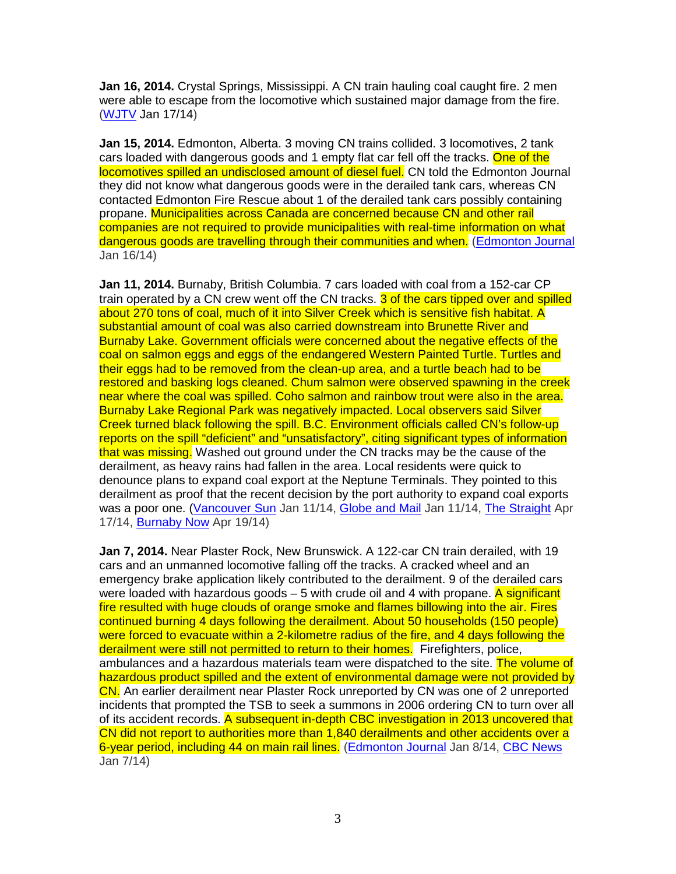**Jan 16, 2014.** Crystal Springs, Mississippi. A CN train hauling coal caught fire. 2 men were able to escape from the locomotive which sustained major damage from the fire. (WJTV Jan 17/14)

**Jan 15, 2014.** Edmonton, Alberta. 3 moving CN trains collided. 3 locomotives, 2 tank cars loaded with dangerous goods and 1 empty flat car fell off the tracks. One of the locomotives spilled an undisclosed amount of diesel fuel. CN told the Edmonton Journal they did not know what dangerous goods were in the derailed tank cars, whereas CN contacted Edmonton Fire Rescue about 1 of the derailed tank cars possibly containing propane. Municipalities across Canada are concerned because CN and other rail companies are not required to provide municipalities with real-time information on what dangerous goods are travelling through their communities and when. (Edmonton Journal Jan 16/14)

**Jan 11, 2014.** Burnaby, British Columbia. 7 cars loaded with coal from a 152-car CP train operated by a CN crew went off the CN tracks. 3 of the cars tipped over and spilled about 270 tons of coal, much of it into Silver Creek which is sensitive fish habitat. A substantial amount of coal was also carried downstream into Brunette River and Burnaby Lake. Government officials were concerned about the negative effects of the coal on salmon eggs and eggs of the endangered Western Painted Turtle. Turtles and their eggs had to be removed from the clean-up area, and a turtle beach had to be restored and basking logs cleaned. Chum salmon were observed spawning in the creek near where the coal was spilled. Coho salmon and rainbow trout were also in the area. Burnaby Lake Regional Park was negatively impacted. Local observers said Silver Creek turned black following the spill. B.C. Environment officials called CN's follow-up reports on the spill "deficient" and "unsatisfactory", citing significant types of information that was missing. Washed out ground under the CN tracks may be the cause of the derailment, as heavy rains had fallen in the area. Local residents were quick to denounce plans to expand coal export at the Neptune Terminals. They pointed to this derailment as proof that the recent decision by the port authority to expand coal exports was a poor one. (Vancouver Sun Jan 11/14, Globe and Mail Jan 11/14, The Straight Apr 17/14, Burnaby Now Apr 19/14)

**Jan 7, 2014.** Near Plaster Rock, New Brunswick. A 122-car CN train derailed, with 19 cars and an unmanned locomotive falling off the tracks. A cracked wheel and an emergency brake application likely contributed to the derailment. 9 of the derailed cars were loaded with hazardous goods  $-5$  with crude oil and 4 with propane. A significant fire resulted with huge clouds of orange smoke and flames billowing into the air. Fires continued burning 4 days following the derailment. About 50 households (150 people) were forced to evacuate within a 2-kilometre radius of the fire, and 4 days following the derailment were still not permitted to return to their homes. Firefighters, police, ambulances and a hazardous materials team were dispatched to the site. The volume of hazardous product spilled and the extent of environmental damage were not provided by CN. An earlier derailment near Plaster Rock unreported by CN was one of 2 unreported incidents that prompted the TSB to seek a summons in 2006 ordering CN to turn over all of its accident records. A subsequent in-depth CBC investigation in 2013 uncovered that CN did not report to authorities more than 1,840 derailments and other accidents over a 6-year period, including 44 on main rail lines. (Edmonton Journal Jan 8/14, CBC News Jan 7/14)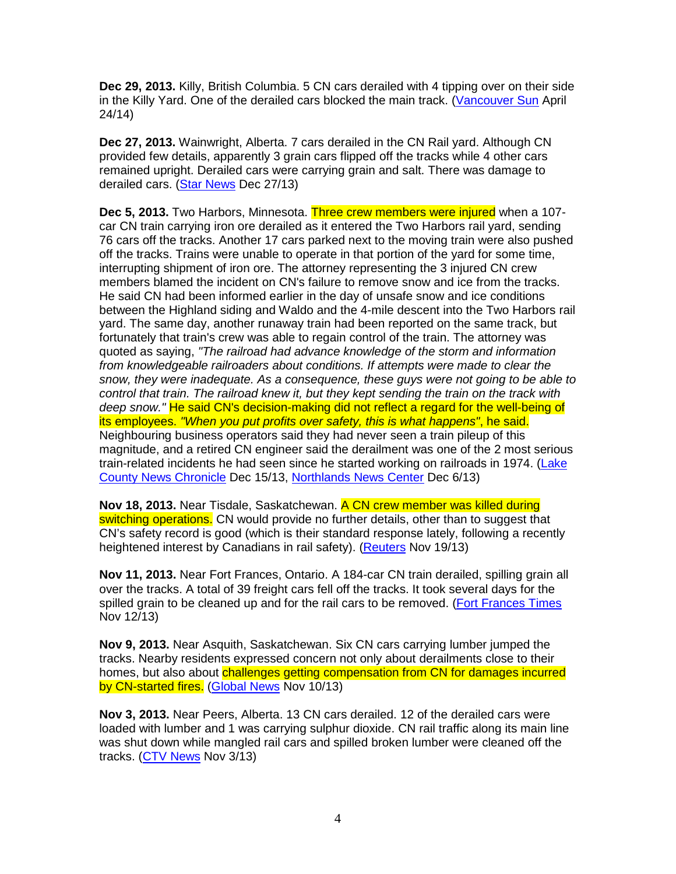**Dec 29, 2013.** Killy, British Columbia. 5 CN cars derailed with 4 tipping over on their side in the Killy Yard. One of the derailed cars blocked the main track. (Vancouver Sun April 24/14)

**Dec 27, 2013.** Wainwright, Alberta. 7 cars derailed in the CN Rail yard. Although CN provided few details, apparently 3 grain cars flipped off the tracks while 4 other cars remained upright. Derailed cars were carrying grain and salt. There was damage to derailed cars. (Star News Dec 27/13)

**Dec 5, 2013.** Two Harbors, Minnesota. Three crew members were injured when a 107 car CN train carrying iron ore derailed as it entered the Two Harbors rail yard, sending 76 cars off the tracks. Another 17 cars parked next to the moving train were also pushed off the tracks. Trains were unable to operate in that portion of the yard for some time, interrupting shipment of iron ore. The attorney representing the 3 injured CN crew members blamed the incident on CN's failure to remove snow and ice from the tracks. He said CN had been informed earlier in the day of unsafe snow and ice conditions between the Highland siding and Waldo and the 4-mile descent into the Two Harbors rail yard. The same day, another runaway train had been reported on the same track, but fortunately that train's crew was able to regain control of the train. The attorney was quoted as saying, "The railroad had advance knowledge of the storm and information from knowledgeable railroaders about conditions. If attempts were made to clear the snow, they were inadequate. As a consequence, these guys were not going to be able to control that train. The railroad knew it, but they kept sending the train on the track with deep snow." He said CN's decision-making did not reflect a regard for the well-being of its employees. "When you put profits over safety, this is what happens", he said. Neighbouring business operators said they had never seen a train pileup of this magnitude, and a retired CN engineer said the derailment was one of the 2 most serious train-related incidents he had seen since he started working on railroads in 1974. (Lake County News Chronicle Dec 15/13, Northlands News Center Dec 6/13)

**Nov 18, 2013.** Near Tisdale, Saskatchewan. A CN crew member was killed during switching operations. CN would provide no further details, other than to suggest that CN's safety record is good (which is their standard response lately, following a recently heightened interest by Canadians in rail safety). (Reuters Nov 19/13)

**Nov 11, 2013.** Near Fort Frances, Ontario. A 184-car CN train derailed, spilling grain all over the tracks. A total of 39 freight cars fell off the tracks. It took several days for the spilled grain to be cleaned up and for the rail cars to be removed. (Fort Frances Times Nov 12/13)

**Nov 9, 2013.** Near Asquith, Saskatchewan. Six CN cars carrying lumber jumped the tracks. Nearby residents expressed concern not only about derailments close to their homes, but also about challenges getting compensation from CN for damages incurred by CN-started fires. (Global News Nov 10/13)

**Nov 3, 2013.** Near Peers, Alberta. 13 CN cars derailed. 12 of the derailed cars were loaded with lumber and 1 was carrying sulphur dioxide. CN rail traffic along its main line was shut down while mangled rail cars and spilled broken lumber were cleaned off the tracks. (CTV News Nov 3/13)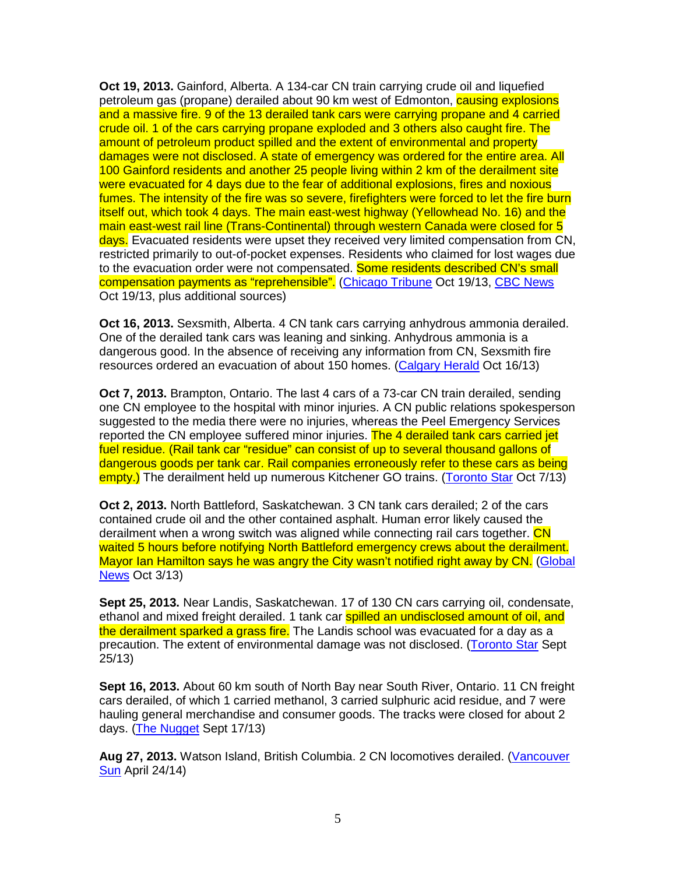**Oct 19, 2013.** Gainford, Alberta. A 134-car CN train carrying crude oil and liquefied petroleum gas (propane) derailed about 90 km west of Edmonton, **causing explosions** and a massive fire. 9 of the 13 derailed tank cars were carrying propane and 4 carried crude oil. 1 of the cars carrying propane exploded and 3 others also caught fire. The amount of petroleum product spilled and the extent of environmental and property damages were not disclosed. A state of emergency was ordered for the entire area. All 100 Gainford residents and another 25 people living within 2 km of the derailment site were evacuated for 4 days due to the fear of additional explosions, fires and noxious fumes. The intensity of the fire was so severe, firefighters were forced to let the fire burn itself out, which took 4 days. The main east-west highway (Yellowhead No. 16) and the main east-west rail line (Trans-Continental) through western Canada were closed for 5 days. Evacuated residents were upset they received very limited compensation from CN, restricted primarily to out-of-pocket expenses. Residents who claimed for lost wages due to the evacuation order were not compensated. Some residents described CN's small compensation payments as "reprehensible". (Chicago Tribune Oct 19/13, CBC News Oct 19/13, plus additional sources)

**Oct 16, 2013.** Sexsmith, Alberta. 4 CN tank cars carrying anhydrous ammonia derailed. One of the derailed tank cars was leaning and sinking. Anhydrous ammonia is a dangerous good. In the absence of receiving any information from CN, Sexsmith fire resources ordered an evacuation of about 150 homes. (Calgary Herald Oct 16/13)

**Oct 7, 2013.** Brampton, Ontario. The last 4 cars of a 73-car CN train derailed, sending one CN employee to the hospital with minor injuries. A CN public relations spokesperson suggested to the media there were no injuries, whereas the Peel Emergency Services reported the CN employee suffered minor injuries. The 4 derailed tank cars carried jet fuel residue. (Rail tank car "residue" can consist of up to several thousand gallons of dangerous goods per tank car. Rail companies erroneously refer to these cars as being empty.) The derailment held up numerous Kitchener GO trains. (Toronto Star Oct 7/13)

**Oct 2, 2013.** North Battleford, Saskatchewan. 3 CN tank cars derailed; 2 of the cars contained crude oil and the other contained asphalt. Human error likely caused the derailment when a wrong switch was aligned while connecting rail cars together. CN waited 5 hours before notifying North Battleford emergency crews about the derailment. Mayor Ian Hamilton says he was angry the City wasn't notified right away by CN. (Global News Oct 3/13)

**Sept 25, 2013.** Near Landis, Saskatchewan. 17 of 130 CN cars carrying oil, condensate, ethanol and mixed freight derailed. 1 tank car **spilled an undisclosed amount of oil, and** the derailment sparked a grass fire. The Landis school was evacuated for a day as a precaution. The extent of environmental damage was not disclosed. (Toronto Star Sept 25/13)

**Sept 16, 2013.** About 60 km south of North Bay near South River, Ontario. 11 CN freight cars derailed, of which 1 carried methanol, 3 carried sulphuric acid residue, and 7 were hauling general merchandise and consumer goods. The tracks were closed for about 2 days. (The Nugget Sept 17/13)

**Aug 27, 2013.** Watson Island, British Columbia. 2 CN locomotives derailed. (Vancouver **Sun** April 24/14)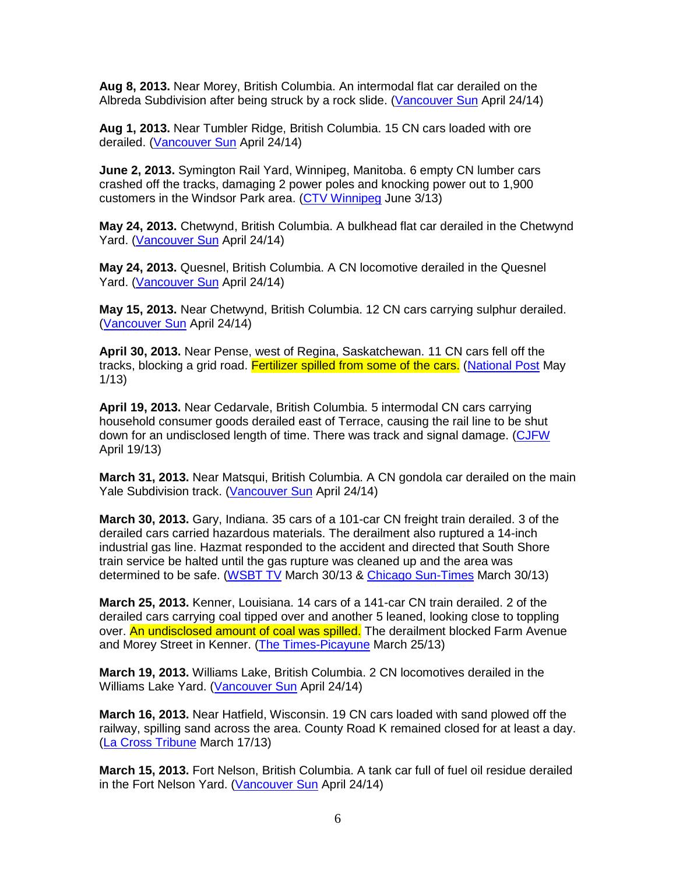**Aug 8, 2013.** Near Morey, British Columbia. An intermodal flat car derailed on the Albreda Subdivision after being struck by a rock slide. (Vancouver Sun April 24/14)

**Aug 1, 2013.** Near Tumbler Ridge, British Columbia. 15 CN cars loaded with ore derailed. (Vancouver Sun April 24/14)

**June 2, 2013.** Symington Rail Yard, Winnipeg, Manitoba. 6 empty CN lumber cars crashed off the tracks, damaging 2 power poles and knocking power out to 1,900 customers in the Windsor Park area. (CTV Winnipeg June 3/13)

**May 24, 2013.** Chetwynd, British Columbia. A bulkhead flat car derailed in the Chetwynd Yard. (Vancouver Sun April 24/14)

**May 24, 2013.** Quesnel, British Columbia. A CN locomotive derailed in the Quesnel Yard. (Vancouver Sun April 24/14)

**May 15, 2013.** Near Chetwynd, British Columbia. 12 CN cars carrying sulphur derailed. (Vancouver Sun April 24/14)

**April 30, 2013.** Near Pense, west of Regina, Saskatchewan. 11 CN cars fell off the tracks, blocking a grid road. Fertilizer spilled from some of the cars. (National Post May 1/13)

**April 19, 2013.** Near Cedarvale, British Columbia. 5 intermodal CN cars carrying household consumer goods derailed east of Terrace, causing the rail line to be shut down for an undisclosed length of time. There was track and signal damage. (CJFW April 19/13)

**March 31, 2013.** Near Matsqui, British Columbia. A CN gondola car derailed on the main Yale Subdivision track. (Vancouver Sun April 24/14)

**March 30, 2013.** Gary, Indiana. 35 cars of a 101-car CN freight train derailed. 3 of the derailed cars carried hazardous materials. The derailment also ruptured a 14-inch industrial gas line. Hazmat responded to the accident and directed that South Shore train service be halted until the gas rupture was cleaned up and the area was determined to be safe. (WSBT TV March 30/13 & Chicago Sun-Times March 30/13)

**March 25, 2013.** Kenner, Louisiana. 14 cars of a 141-car CN train derailed. 2 of the derailed cars carrying coal tipped over and another 5 leaned, looking close to toppling over. An undisclosed amount of coal was spilled. The derailment blocked Farm Avenue and Morey Street in Kenner. (The Times-Picayune March 25/13)

**March 19, 2013.** Williams Lake, British Columbia. 2 CN locomotives derailed in the Williams Lake Yard. (Vancouver Sun April 24/14)

**March 16, 2013.** Near Hatfield, Wisconsin. 19 CN cars loaded with sand plowed off the railway, spilling sand across the area. County Road K remained closed for at least a day. (La Cross Tribune March 17/13)

**March 15, 2013.** Fort Nelson, British Columbia. A tank car full of fuel oil residue derailed in the Fort Nelson Yard. (Vancouver Sun April 24/14)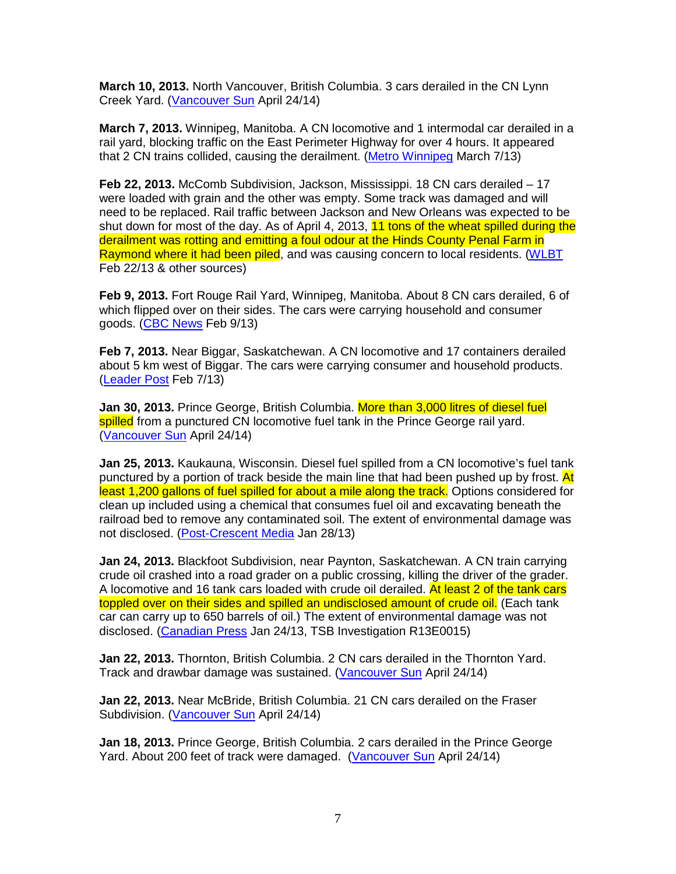**March 10, 2013.** North Vancouver, British Columbia. 3 cars derailed in the CN Lynn Creek Yard. (Vancouver Sun April 24/14)

**March 7, 2013.** Winnipeg, Manitoba. A CN locomotive and 1 intermodal car derailed in a rail yard, blocking traffic on the East Perimeter Highway for over 4 hours. It appeared that 2 CN trains collided, causing the derailment. (Metro Winnipeg March 7/13)

**Feb 22, 2013.** McComb Subdivision, Jackson, Mississippi. 18 CN cars derailed – 17 were loaded with grain and the other was empty. Some track was damaged and will need to be replaced. Rail traffic between Jackson and New Orleans was expected to be shut down for most of the day. As of April 4, 2013, 11 tons of the wheat spilled during the derailment was rotting and emitting a foul odour at the Hinds County Penal Farm in Raymond where it had been piled, and was causing concern to local residents. (WLBT Feb 22/13 & other sources)

**Feb 9, 2013.** Fort Rouge Rail Yard, Winnipeg, Manitoba. About 8 CN cars derailed, 6 of which flipped over on their sides. The cars were carrying household and consumer goods. (CBC News Feb 9/13)

**Feb 7, 2013.** Near Biggar, Saskatchewan. A CN locomotive and 17 containers derailed about 5 km west of Biggar. The cars were carrying consumer and household products. (Leader Post Feb 7/13)

**Jan 30, 2013.** Prince George, British Columbia. More than 3,000 litres of diesel fuel spilled from a punctured CN locomotive fuel tank in the Prince George rail yard. (Vancouver Sun April 24/14)

**Jan 25, 2013.** Kaukauna, Wisconsin. Diesel fuel spilled from a CN locomotive's fuel tank punctured by a portion of track beside the main line that had been pushed up by frost. At least 1,200 gallons of fuel spilled for about a mile along the track. Options considered for clean up included using a chemical that consumes fuel oil and excavating beneath the railroad bed to remove any contaminated soil. The extent of environmental damage was not disclosed. (Post-Crescent Media Jan 28/13)

**Jan 24, 2013.** Blackfoot Subdivision, near Paynton, Saskatchewan. A CN train carrying crude oil crashed into a road grader on a public crossing, killing the driver of the grader. A locomotive and 16 tank cars loaded with crude oil derailed. At least 2 of the tank cars toppled over on their sides and spilled an undisclosed amount of crude oil. (Each tank car can carry up to 650 barrels of oil.) The extent of environmental damage was not disclosed. (Canadian Press Jan 24/13, TSB Investigation R13E0015)

**Jan 22, 2013.** Thornton, British Columbia. 2 CN cars derailed in the Thornton Yard. Track and drawbar damage was sustained. (Vancouver Sun April 24/14)

**Jan 22, 2013.** Near McBride, British Columbia. 21 CN cars derailed on the Fraser Subdivision. (Vancouver Sun April 24/14)

**Jan 18, 2013.** Prince George, British Columbia. 2 cars derailed in the Prince George Yard. About 200 feet of track were damaged. (Vancouver Sun April 24/14)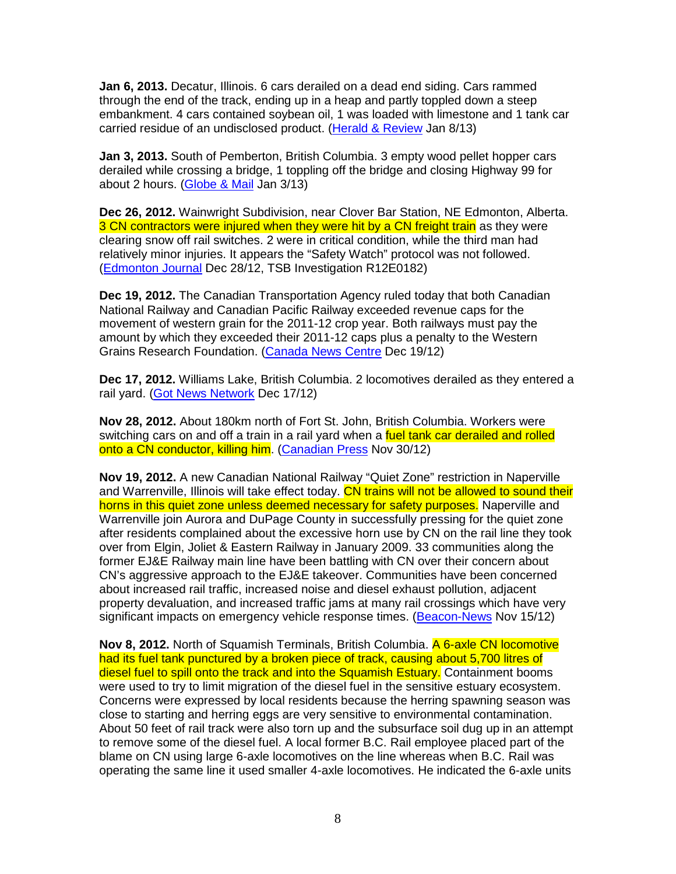**Jan 6, 2013.** Decatur, Illinois. 6 cars derailed on a dead end siding. Cars rammed through the end of the track, ending up in a heap and partly toppled down a steep embankment. 4 cars contained soybean oil, 1 was loaded with limestone and 1 tank car carried residue of an undisclosed product. (Herald & Review Jan 8/13)

**Jan 3, 2013.** South of Pemberton, British Columbia. 3 empty wood pellet hopper cars derailed while crossing a bridge, 1 toppling off the bridge and closing Highway 99 for about 2 hours. (Globe & Mail Jan 3/13)

**Dec 26, 2012.** Wainwright Subdivision, near Clover Bar Station, NE Edmonton, Alberta. 3 CN contractors were injured when they were hit by a CN freight train as they were clearing snow off rail switches. 2 were in critical condition, while the third man had relatively minor injuries. It appears the "Safety Watch" protocol was not followed. (Edmonton Journal Dec 28/12, TSB Investigation R12E0182)

**Dec 19, 2012.** The Canadian Transportation Agency ruled today that both Canadian National Railway and Canadian Pacific Railway exceeded revenue caps for the movement of western grain for the 2011-12 crop year. Both railways must pay the amount by which they exceeded their 2011-12 caps plus a penalty to the Western Grains Research Foundation. (Canada News Centre Dec 19/12)

**Dec 17, 2012.** Williams Lake, British Columbia. 2 locomotives derailed as they entered a rail yard. (Got News Network Dec 17/12)

**Nov 28, 2012.** About 180km north of Fort St. John, British Columbia. Workers were switching cars on and off a train in a rail yard when a fuel tank car derailed and rolled onto a CN conductor, killing him. (Canadian Press Nov 30/12)

**Nov 19, 2012.** A new Canadian National Railway "Quiet Zone" restriction in Naperville and Warrenville, Illinois will take effect today. CN trains will not be allowed to sound their horns in this quiet zone unless deemed necessary for safety purposes. Naperville and Warrenville join Aurora and DuPage County in successfully pressing for the quiet zone after residents complained about the excessive horn use by CN on the rail line they took over from Elgin, Joliet & Eastern Railway in January 2009. 33 communities along the former EJ&E Railway main line have been battling with CN over their concern about CN's aggressive approach to the EJ&E takeover. Communities have been concerned about increased rail traffic, increased noise and diesel exhaust pollution, adjacent property devaluation, and increased traffic jams at many rail crossings which have very significant impacts on emergency vehicle response times. (Beacon-News Nov 15/12)

**Nov 8, 2012.** North of Squamish Terminals, British Columbia. A 6-axle CN locomotive had its fuel tank punctured by a broken piece of track, causing about 5,700 litres of diesel fuel to spill onto the track and into the Squamish Estuary. Containment booms were used to try to limit migration of the diesel fuel in the sensitive estuary ecosystem. Concerns were expressed by local residents because the herring spawning season was close to starting and herring eggs are very sensitive to environmental contamination. About 50 feet of rail track were also torn up and the subsurface soil dug up in an attempt to remove some of the diesel fuel. A local former B.C. Rail employee placed part of the blame on CN using large 6-axle locomotives on the line whereas when B.C. Rail was operating the same line it used smaller 4-axle locomotives. He indicated the 6-axle units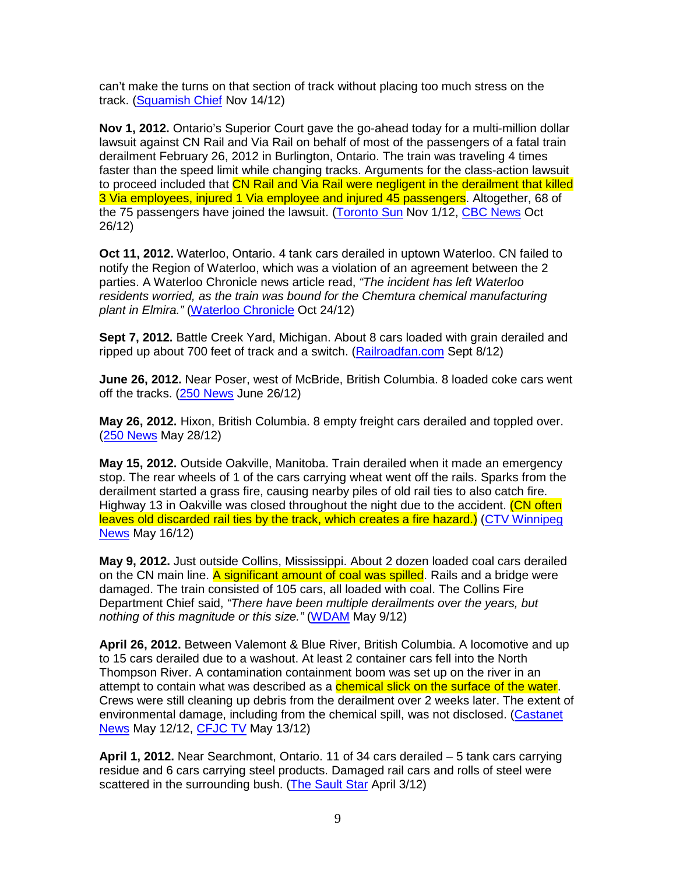can't make the turns on that section of track without placing too much stress on the track. (Squamish Chief Nov 14/12)

**Nov 1, 2012.** Ontario's Superior Court gave the go-ahead today for a multi-million dollar lawsuit against CN Rail and Via Rail on behalf of most of the passengers of a fatal train derailment February 26, 2012 in Burlington, Ontario. The train was traveling 4 times faster than the speed limit while changing tracks. Arguments for the class-action lawsuit to proceed included that CN Rail and Via Rail were negligent in the derailment that killed 3 Via employees, injured 1 Via employee and injured 45 passengers. Altogether, 68 of the 75 passengers have joined the lawsuit. (Toronto Sun Nov 1/12, CBC News Oct 26/12)

**Oct 11, 2012.** Waterloo, Ontario. 4 tank cars derailed in uptown Waterloo. CN failed to notify the Region of Waterloo, which was a violation of an agreement between the 2 parties. A Waterloo Chronicle news article read, "The incident has left Waterloo residents worried, as the train was bound for the Chemtura chemical manufacturing plant in Elmira." (Waterloo Chronicle Oct 24/12)

**Sept 7, 2012.** Battle Creek Yard, Michigan. About 8 cars loaded with grain derailed and ripped up about 700 feet of track and a switch. (Railroadfan.com Sept 8/12)

**June 26, 2012.** Near Poser, west of McBride, British Columbia. 8 loaded coke cars went off the tracks.  $(250$  News June 26/12)

**May 26, 2012.** Hixon, British Columbia. 8 empty freight cars derailed and toppled over. (250 News May 28/12)

**May 15, 2012.** Outside Oakville, Manitoba. Train derailed when it made an emergency stop. The rear wheels of 1 of the cars carrying wheat went off the rails. Sparks from the derailment started a grass fire, causing nearby piles of old rail ties to also catch fire. Highway 13 in Oakville was closed throughout the night due to the accident. (CN often leaves old discarded rail ties by the track, which creates a fire hazard.) (CTV Winnipeg News May 16/12)

**May 9, 2012.** Just outside Collins, Mississippi. About 2 dozen loaded coal cars derailed on the CN main line. A significant amount of coal was spilled. Rails and a bridge were damaged. The train consisted of 105 cars, all loaded with coal. The Collins Fire Department Chief said, "There have been multiple derailments over the years, but nothing of this magnitude or this size." (WDAM May 9/12)

**April 26, 2012.** Between Valemont & Blue River, British Columbia. A locomotive and up to 15 cars derailed due to a washout. At least 2 container cars fell into the North Thompson River. A contamination containment boom was set up on the river in an attempt to contain what was described as a **chemical slick on the surface of the water**. Crews were still cleaning up debris from the derailment over 2 weeks later. The extent of environmental damage, including from the chemical spill, was not disclosed. (Castanet News May 12/12, CFJC TV May 13/12)

**April 1, 2012.** Near Searchmont, Ontario. 11 of 34 cars derailed – 5 tank cars carrying residue and 6 cars carrying steel products. Damaged rail cars and rolls of steel were scattered in the surrounding bush. (The Sault Star April 3/12)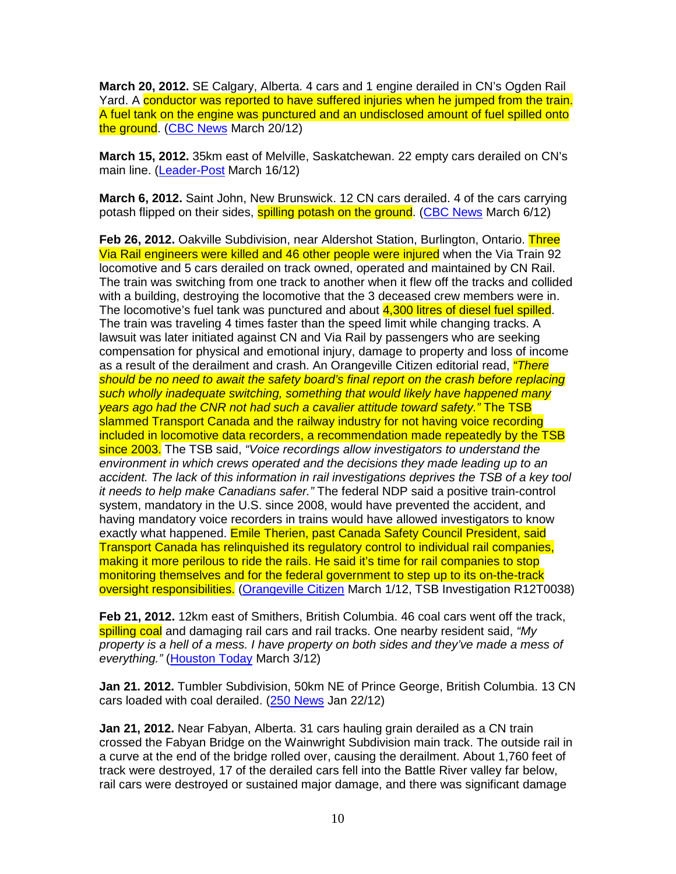**March 20, 2012.** SE Calgary, Alberta. 4 cars and 1 engine derailed in CN's Ogden Rail Yard. A conductor was reported to have suffered injuries when he jumped from the train. A fuel tank on the engine was punctured and an undisclosed amount of fuel spilled onto the ground. (CBC News March 20/12)

**March 15, 2012.** 35km east of Melville, Saskatchewan. 22 empty cars derailed on CN's main line. (Leader-Post March 16/12)

**March 6, 2012.** Saint John, New Brunswick. 12 CN cars derailed. 4 of the cars carrying potash flipped on their sides, **spilling potash on the ground.** (CBC News March 6/12)

**Feb 26, 2012.** Oakville Subdivision, near Aldershot Station, Burlington, Ontario. Three Via Rail engineers were killed and 46 other people were injured when the Via Train 92 locomotive and 5 cars derailed on track owned, operated and maintained by CN Rail. The train was switching from one track to another when it flew off the tracks and collided with a building, destroying the locomotive that the 3 deceased crew members were in. The locomotive's fuel tank was punctured and about 4,300 litres of diesel fuel spilled. The train was traveling 4 times faster than the speed limit while changing tracks. A lawsuit was later initiated against CN and Via Rail by passengers who are seeking compensation for physical and emotional injury, damage to property and loss of income as a result of the derailment and crash. An Orangeville Citizen editorial read, "There should be no need to await the safety board's final report on the crash before replacing such wholly inadequate switching, something that would likely have happened many years ago had the CNR not had such a cavalier attitude toward safety." The TSB slammed Transport Canada and the railway industry for not having voice recording included in locomotive data recorders, a recommendation made repeatedly by the TSB since 2003. The TSB said, "Voice recordings allow investigators to understand the environment in which crews operated and the decisions they made leading up to an accident. The lack of this information in rail investigations deprives the TSB of a key tool it needs to help make Canadians safer." The federal NDP said a positive train-control system, mandatory in the U.S. since 2008, would have prevented the accident, and having mandatory voice recorders in trains would have allowed investigators to know exactly what happened. Emile Therien, past Canada Safety Council President, said Transport Canada has relinquished its regulatory control to individual rail companies, making it more perilous to ride the rails. He said it's time for rail companies to stop monitoring themselves and for the federal government to step up to its on-the-track oversight responsibilities. (Orangeville Citizen March 1/12, TSB Investigation R12T0038)

**Feb 21, 2012.** 12km east of Smithers, British Columbia. 46 coal cars went off the track, spilling coal and damaging rail cars and rail tracks. One nearby resident said, "My property is a hell of a mess. I have property on both sides and they've made a mess of everything." (Houston Today March 3/12)

**Jan 21. 2012.** Tumbler Subdivision, 50km NE of Prince George, British Columbia. 13 CN cars loaded with coal derailed. (250 News Jan 22/12)

**Jan 21, 2012.** Near Fabyan, Alberta. 31 cars hauling grain derailed as a CN train crossed the Fabyan Bridge on the Wainwright Subdivision main track. The outside rail in a curve at the end of the bridge rolled over, causing the derailment. About 1,760 feet of track were destroyed, 17 of the derailed cars fell into the Battle River valley far below, rail cars were destroyed or sustained major damage, and there was significant damage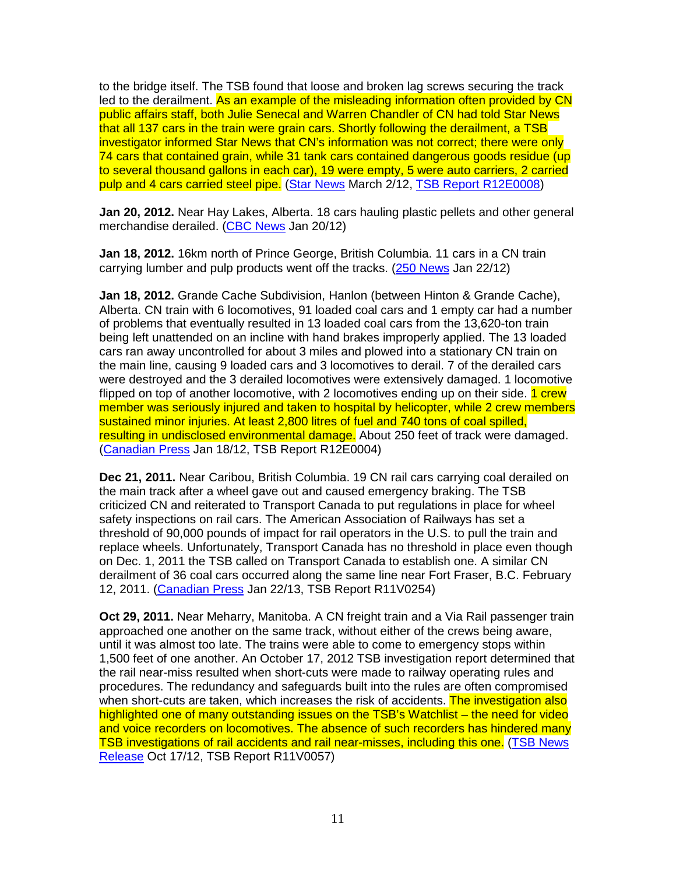to the bridge itself. The TSB found that loose and broken lag screws securing the track led to the derailment. As an example of the misleading information often provided by CN public affairs staff, both Julie Senecal and Warren Chandler of CN had told Star News that all 137 cars in the train were grain cars. Shortly following the derailment, a TSB investigator informed Star News that CN's information was not correct; there were only 74 cars that contained grain, while 31 tank cars contained dangerous goods residue (up to several thousand gallons in each car), 19 were empty, 5 were auto carriers, 2 carried pulp and 4 cars carried steel pipe. (Star News March 2/12, TSB Report R12E0008)

**Jan 20, 2012.** Near Hay Lakes, Alberta. 18 cars hauling plastic pellets and other general merchandise derailed. (CBC News Jan 20/12)

**Jan 18, 2012.** 16km north of Prince George, British Columbia. 11 cars in a CN train carrying lumber and pulp products went off the tracks. (250 News Jan 22/12)

**Jan 18, 2012.** Grande Cache Subdivision, Hanlon (between Hinton & Grande Cache), Alberta. CN train with 6 locomotives, 91 loaded coal cars and 1 empty car had a number of problems that eventually resulted in 13 loaded coal cars from the 13,620-ton train being left unattended on an incline with hand brakes improperly applied. The 13 loaded cars ran away uncontrolled for about 3 miles and plowed into a stationary CN train on the main line, causing 9 loaded cars and 3 locomotives to derail. 7 of the derailed cars were destroyed and the 3 derailed locomotives were extensively damaged. 1 locomotive flipped on top of another locomotive, with 2 locomotives ending up on their side. 1 crew member was seriously injured and taken to hospital by helicopter, while 2 crew members sustained minor injuries. At least 2,800 litres of fuel and 740 tons of coal spilled, resulting in undisclosed environmental damage. About 250 feet of track were damaged. (Canadian Press Jan 18/12, TSB Report R12E0004)

**Dec 21, 2011.** Near Caribou, British Columbia. 19 CN rail cars carrying coal derailed on the main track after a wheel gave out and caused emergency braking. The TSB criticized CN and reiterated to Transport Canada to put regulations in place for wheel safety inspections on rail cars. The American Association of Railways has set a threshold of 90,000 pounds of impact for rail operators in the U.S. to pull the train and replace wheels. Unfortunately, Transport Canada has no threshold in place even though on Dec. 1, 2011 the TSB called on Transport Canada to establish one. A similar CN derailment of 36 coal cars occurred along the same line near Fort Fraser, B.C. February 12, 2011. (Canadian Press Jan 22/13, TSB Report R11V0254)

**Oct 29, 2011.** Near Meharry, Manitoba. A CN freight train and a Via Rail passenger train approached one another on the same track, without either of the crews being aware, until it was almost too late. The trains were able to come to emergency stops within 1,500 feet of one another. An October 17, 2012 TSB investigation report determined that the rail near-miss resulted when short-cuts were made to railway operating rules and procedures. The redundancy and safeguards built into the rules are often compromised when short-cuts are taken, which increases the risk of accidents. The investigation also highlighted one of many outstanding issues on the TSB's Watchlist – the need for video and voice recorders on locomotives. The absence of such recorders has hindered many TSB investigations of rail accidents and rail near-misses, including this one. (TSB News Release Oct 17/12, TSB Report R11V0057)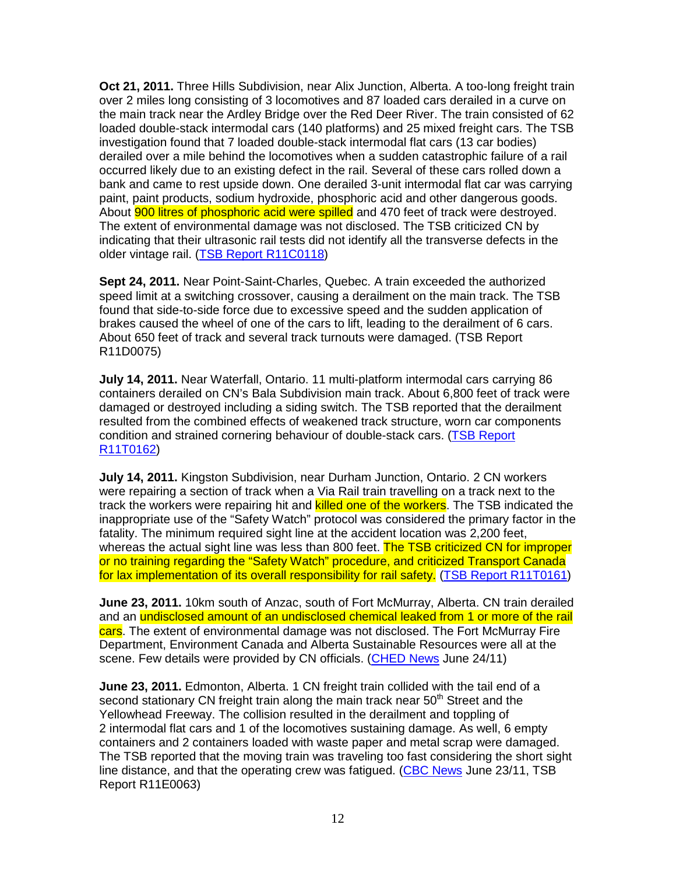**Oct 21, 2011.** Three Hills Subdivision, near Alix Junction, Alberta. A too-long freight train over 2 miles long consisting of 3 locomotives and 87 loaded cars derailed in a curve on the main track near the Ardley Bridge over the Red Deer River. The train consisted of 62 loaded double-stack intermodal cars (140 platforms) and 25 mixed freight cars. The TSB investigation found that 7 loaded double-stack intermodal flat cars (13 car bodies) derailed over a mile behind the locomotives when a sudden catastrophic failure of a rail occurred likely due to an existing defect in the rail. Several of these cars rolled down a bank and came to rest upside down. One derailed 3-unit intermodal flat car was carrying paint, paint products, sodium hydroxide, phosphoric acid and other dangerous goods. About **900 litres of phosphoric acid were spilled** and 470 feet of track were destroyed. The extent of environmental damage was not disclosed. The TSB criticized CN by indicating that their ultrasonic rail tests did not identify all the transverse defects in the older vintage rail. (TSB Report R11C0118)

**Sept 24, 2011.** Near Point-Saint-Charles, Quebec. A train exceeded the authorized speed limit at a switching crossover, causing a derailment on the main track. The TSB found that side-to-side force due to excessive speed and the sudden application of brakes caused the wheel of one of the cars to lift, leading to the derailment of 6 cars. About 650 feet of track and several track turnouts were damaged. (TSB Report R11D0075)

**July 14, 2011.** Near Waterfall, Ontario. 11 multi-platform intermodal cars carrying 86 containers derailed on CN's Bala Subdivision main track. About 6,800 feet of track were damaged or destroyed including a siding switch. The TSB reported that the derailment resulted from the combined effects of weakened track structure, worn car components condition and strained cornering behaviour of double-stack cars. (TSB Report R11T0162)

**July 14, 2011.** Kingston Subdivision, near Durham Junction, Ontario. 2 CN workers were repairing a section of track when a Via Rail train travelling on a track next to the track the workers were repairing hit and killed one of the workers. The TSB indicated the inappropriate use of the "Safety Watch" protocol was considered the primary factor in the fatality. The minimum required sight line at the accident location was 2,200 feet, whereas the actual sight line was less than 800 feet. The TSB criticized CN for improper or no training regarding the "Safety Watch" procedure, and criticized Transport Canada for lax implementation of its overall responsibility for rail safety. (TSB Report R11T0161)

**June 23, 2011.** 10km south of Anzac, south of Fort McMurray, Alberta. CN train derailed and an undisclosed amount of an undisclosed chemical leaked from 1 or more of the rail cars. The extent of environmental damage was not disclosed. The Fort McMurray Fire Department, Environment Canada and Alberta Sustainable Resources were all at the scene. Few details were provided by CN officials. (CHED News June 24/11)

**June 23, 2011.** Edmonton, Alberta. 1 CN freight train collided with the tail end of a second stationary CN freight train along the main track near 50<sup>th</sup> Street and the Yellowhead Freeway. The collision resulted in the derailment and toppling of 2 intermodal flat cars and 1 of the locomotives sustaining damage. As well, 6 empty containers and 2 containers loaded with waste paper and metal scrap were damaged. The TSB reported that the moving train was traveling too fast considering the short sight line distance, and that the operating crew was fatigued. (CBC News June 23/11, TSB Report R11E0063)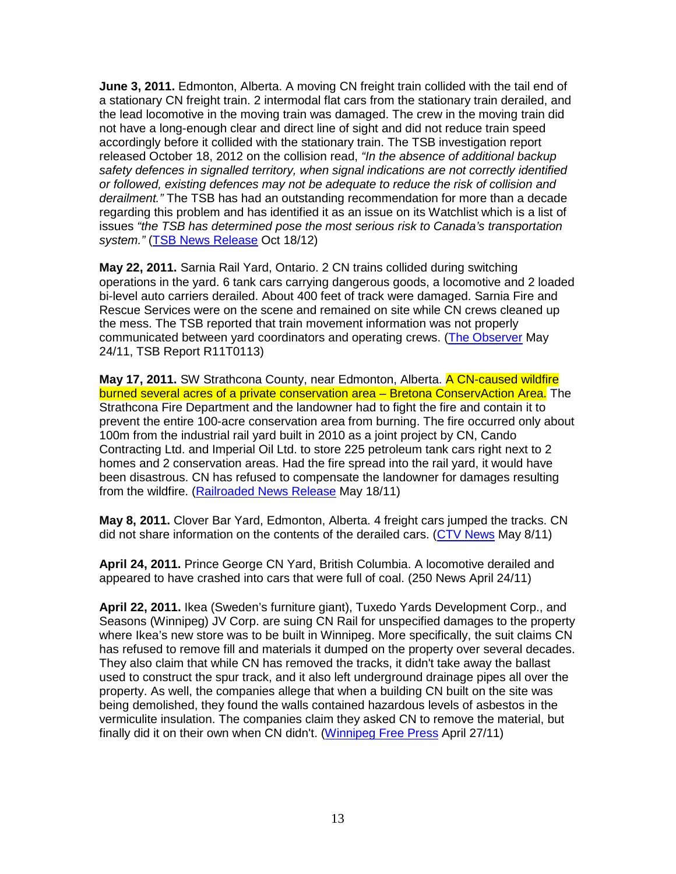**June 3, 2011.** Edmonton, Alberta. A moving CN freight train collided with the tail end of a stationary CN freight train. 2 intermodal flat cars from the stationary train derailed, and the lead locomotive in the moving train was damaged. The crew in the moving train did not have a long-enough clear and direct line of sight and did not reduce train speed accordingly before it collided with the stationary train. The TSB investigation report released October 18, 2012 on the collision read, "In the absence of additional backup safety defences in signalled territory, when signal indications are not correctly identified or followed, existing defences may not be adequate to reduce the risk of collision and derailment." The TSB has had an outstanding recommendation for more than a decade regarding this problem and has identified it as an issue on its Watchlist which is a list of issues "the TSB has determined pose the most serious risk to Canada's transportation system." (TSB News Release Oct 18/12)

**May 22, 2011.** Sarnia Rail Yard, Ontario. 2 CN trains collided during switching operations in the yard. 6 tank cars carrying dangerous goods, a locomotive and 2 loaded bi-level auto carriers derailed. About 400 feet of track were damaged. Sarnia Fire and Rescue Services were on the scene and remained on site while CN crews cleaned up the mess. The TSB reported that train movement information was not properly communicated between yard coordinators and operating crews. (The Observer May 24/11, TSB Report R11T0113)

**May 17, 2011.** SW Strathcona County, near Edmonton, Alberta. A CN-caused wildfire burned several acres of a private conservation area – Bretona ConservAction Area. The Strathcona Fire Department and the landowner had to fight the fire and contain it to prevent the entire 100-acre conservation area from burning. The fire occurred only about 100m from the industrial rail yard built in 2010 as a joint project by CN, Cando Contracting Ltd. and Imperial Oil Ltd. to store 225 petroleum tank cars right next to 2 homes and 2 conservation areas. Had the fire spread into the rail yard, it would have been disastrous. CN has refused to compensate the landowner for damages resulting from the wildfire. (Railroaded News Release May 18/11)

**May 8, 2011.** Clover Bar Yard, Edmonton, Alberta. 4 freight cars jumped the tracks. CN did not share information on the contents of the derailed cars. (CTV News May 8/11)

**April 24, 2011.** Prince George CN Yard, British Columbia. A locomotive derailed and appeared to have crashed into cars that were full of coal. (250 News April 24/11)

**April 22, 2011.** Ikea (Sweden's furniture giant), Tuxedo Yards Development Corp., and Seasons (Winnipeg) JV Corp. are suing CN Rail for unspecified damages to the property where Ikea's new store was to be built in Winnipeg. More specifically, the suit claims CN has refused to remove fill and materials it dumped on the property over several decades. They also claim that while CN has removed the tracks, it didn't take away the ballast used to construct the spur track, and it also left underground drainage pipes all over the property. As well, the companies allege that when a building CN built on the site was being demolished, they found the walls contained hazardous levels of asbestos in the vermiculite insulation. The companies claim they asked CN to remove the material, but finally did it on their own when CN didn't. (Winnipeg Free Press April 27/11)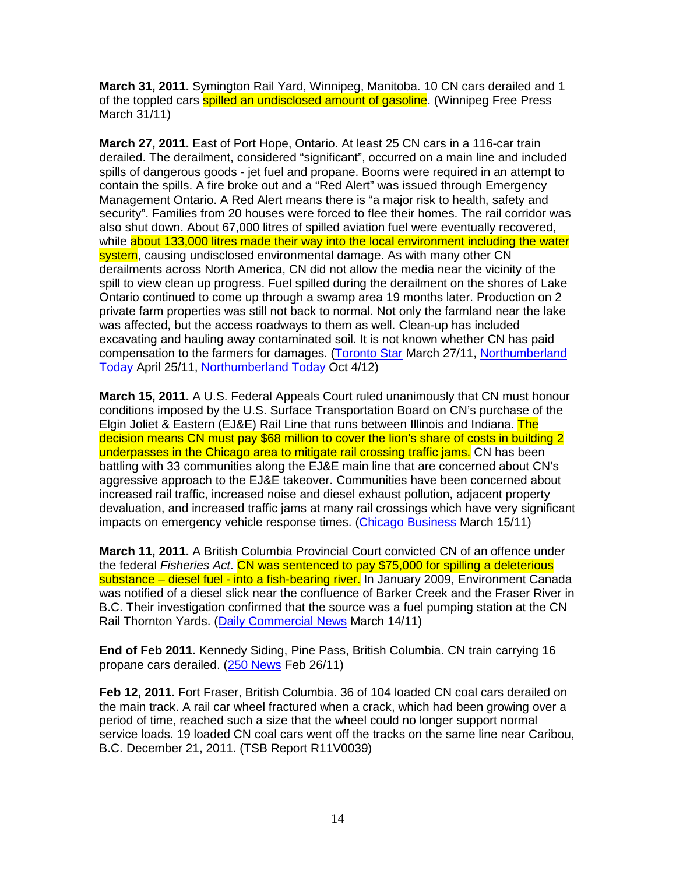**March 31, 2011.** Symington Rail Yard, Winnipeg, Manitoba. 10 CN cars derailed and 1 of the toppled cars **spilled an undisclosed amount of gasoline**. (Winnipeg Free Press March 31/11)

**March 27, 2011.** East of Port Hope, Ontario. At least 25 CN cars in a 116-car train derailed. The derailment, considered "significant", occurred on a main line and included spills of dangerous goods - jet fuel and propane. Booms were required in an attempt to contain the spills. A fire broke out and a "Red Alert" was issued through Emergency Management Ontario. A Red Alert means there is "a major risk to health, safety and security". Families from 20 houses were forced to flee their homes. The rail corridor was also shut down. About 67,000 litres of spilled aviation fuel were eventually recovered, while about 133,000 litres made their way into the local environment including the water system, causing undisclosed environmental damage. As with many other CN derailments across North America, CN did not allow the media near the vicinity of the spill to view clean up progress. Fuel spilled during the derailment on the shores of Lake Ontario continued to come up through a swamp area 19 months later. Production on 2 private farm properties was still not back to normal. Not only the farmland near the lake was affected, but the access roadways to them as well. Clean-up has included excavating and hauling away contaminated soil. It is not known whether CN has paid compensation to the farmers for damages. (Toronto Star March 27/11, Northumberland Today April 25/11, Northumberland Today Oct 4/12)

**March 15, 2011.** A U.S. Federal Appeals Court ruled unanimously that CN must honour conditions imposed by the U.S. Surface Transportation Board on CN's purchase of the Elgin Joliet & Eastern (EJ&E) Rail Line that runs between Illinois and Indiana. The decision means CN must pay \$68 million to cover the lion's share of costs in building 2 underpasses in the Chicago area to mitigate rail crossing traffic jams. CN has been battling with 33 communities along the EJ&E main line that are concerned about CN's aggressive approach to the EJ&E takeover. Communities have been concerned about increased rail traffic, increased noise and diesel exhaust pollution, adjacent property devaluation, and increased traffic jams at many rail crossings which have very significant impacts on emergency vehicle response times. (Chicago Business March 15/11)

**March 11, 2011.** A British Columbia Provincial Court convicted CN of an offence under the federal Fisheries Act. CN was sentenced to pay \$75,000 for spilling a deleterious substance – diesel fuel - into a fish-bearing river. In January 2009, Environment Canada was notified of a diesel slick near the confluence of Barker Creek and the Fraser River in B.C. Their investigation confirmed that the source was a fuel pumping station at the CN Rail Thornton Yards. (Daily Commercial News March 14/11)

**End of Feb 2011.** Kennedy Siding, Pine Pass, British Columbia. CN train carrying 16 propane cars derailed. (250 News Feb 26/11)

**Feb 12, 2011.** Fort Fraser, British Columbia. 36 of 104 loaded CN coal cars derailed on the main track. A rail car wheel fractured when a crack, which had been growing over a period of time, reached such a size that the wheel could no longer support normal service loads. 19 loaded CN coal cars went off the tracks on the same line near Caribou, B.C. December 21, 2011. (TSB Report R11V0039)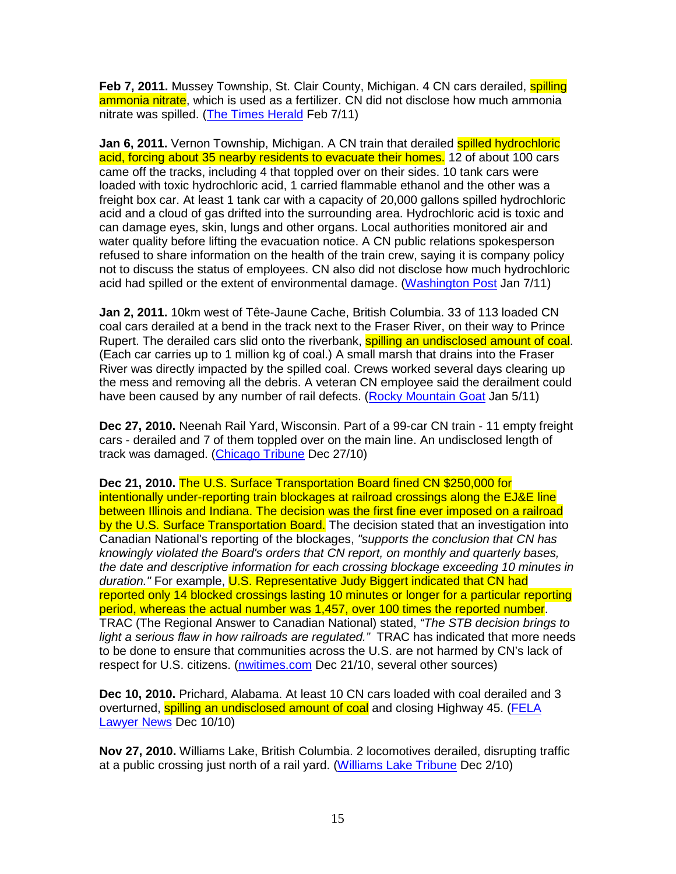**Feb 7, 2011.** Mussey Township, St. Clair County, Michigan. 4 CN cars derailed, **spilling** ammonia nitrate, which is used as a fertilizer. CN did not disclose how much ammonia nitrate was spilled. (The Times Herald Feb 7/11)

**Jan 6, 2011.** Vernon Township, Michigan. A CN train that derailed spilled hydrochloric acid, forcing about 35 nearby residents to evacuate their homes. 12 of about 100 cars came off the tracks, including 4 that toppled over on their sides. 10 tank cars were loaded with toxic hydrochloric acid, 1 carried flammable ethanol and the other was a freight box car. At least 1 tank car with a capacity of 20,000 gallons spilled hydrochloric acid and a cloud of gas drifted into the surrounding area. Hydrochloric acid is toxic and can damage eyes, skin, lungs and other organs. Local authorities monitored air and water quality before lifting the evacuation notice. A CN public relations spokesperson refused to share information on the health of the train crew, saying it is company policy not to discuss the status of employees. CN also did not disclose how much hydrochloric acid had spilled or the extent of environmental damage. (Washington Post Jan 7/11)

**Jan 2, 2011.** 10km west of Tête-Jaune Cache, British Columbia. 33 of 113 loaded CN coal cars derailed at a bend in the track next to the Fraser River, on their way to Prince Rupert. The derailed cars slid onto the riverbank, **spilling an undisclosed amount of coal**. (Each car carries up to 1 million kg of coal.) A small marsh that drains into the Fraser River was directly impacted by the spilled coal. Crews worked several days clearing up the mess and removing all the debris. A veteran CN employee said the derailment could have been caused by any number of rail defects. (Rocky Mountain Goat Jan 5/11)

**Dec 27, 2010.** Neenah Rail Yard, Wisconsin. Part of a 99-car CN train - 11 empty freight cars - derailed and 7 of them toppled over on the main line. An undisclosed length of track was damaged. (Chicago Tribune Dec 27/10)

**Dec 21, 2010.** The U.S. Surface Transportation Board fined CN \$250,000 for intentionally under-reporting train blockages at railroad crossings along the EJ&E line between Illinois and Indiana. The decision was the first fine ever imposed on a railroad by the U.S. Surface Transportation Board. The decision stated that an investigation into Canadian National's reporting of the blockages, "supports the conclusion that CN has knowingly violated the Board's orders that CN report, on monthly and quarterly bases, the date and descriptive information for each crossing blockage exceeding 10 minutes in duration." For example, U.S. Representative Judy Biggert indicated that CN had reported only 14 blocked crossings lasting 10 minutes or longer for a particular reporting period, whereas the actual number was 1,457, over 100 times the reported number. TRAC (The Regional Answer to Canadian National) stated, "The STB decision brings to light a serious flaw in how railroads are regulated." TRAC has indicated that more needs to be done to ensure that communities across the U.S. are not harmed by CN's lack of respect for U.S. citizens. (nwitimes.com Dec 21/10, several other sources)

**Dec 10, 2010.** Prichard, Alabama. At least 10 CN cars loaded with coal derailed and 3 overturned, spilling an undisclosed amount of coal and closing Highway 45. (FELA Lawyer News Dec 10/10)

**Nov 27, 2010.** Williams Lake, British Columbia. 2 locomotives derailed, disrupting traffic at a public crossing just north of a rail yard. (Williams Lake Tribune Dec 2/10)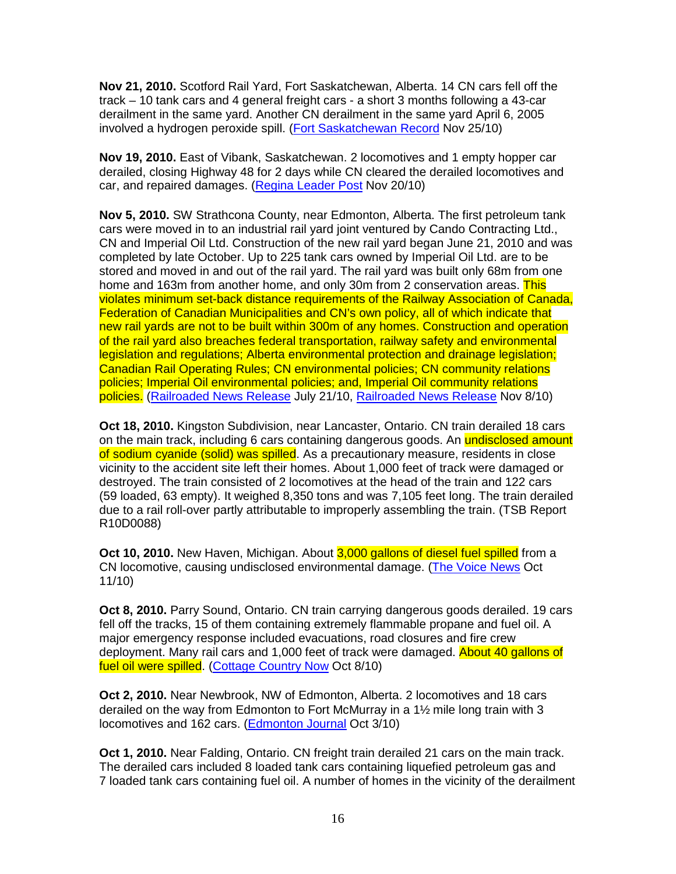**Nov 21, 2010.** Scotford Rail Yard, Fort Saskatchewan, Alberta. 14 CN cars fell off the track – 10 tank cars and 4 general freight cars - a short 3 months following a 43-car derailment in the same yard. Another CN derailment in the same yard April 6, 2005 involved a hydrogen peroxide spill. (Fort Saskatchewan Record Nov 25/10)

**Nov 19, 2010.** East of Vibank, Saskatchewan. 2 locomotives and 1 empty hopper car derailed, closing Highway 48 for 2 days while CN cleared the derailed locomotives and car, and repaired damages. (Regina Leader Post Nov 20/10)

**Nov 5, 2010.** SW Strathcona County, near Edmonton, Alberta. The first petroleum tank cars were moved in to an industrial rail yard joint ventured by Cando Contracting Ltd., CN and Imperial Oil Ltd. Construction of the new rail yard began June 21, 2010 and was completed by late October. Up to 225 tank cars owned by Imperial Oil Ltd. are to be stored and moved in and out of the rail yard. The rail yard was built only 68m from one home and 163m from another home, and only 30m from 2 conservation areas. This violates minimum set-back distance requirements of the Railway Association of Canada, Federation of Canadian Municipalities and CN's own policy, all of which indicate that new rail yards are not to be built within 300m of any homes. Construction and operation of the rail yard also breaches federal transportation, railway safety and environmental legislation and regulations; Alberta environmental protection and drainage legislation; Canadian Rail Operating Rules; CN environmental policies; CN community relations policies; Imperial Oil environmental policies; and, Imperial Oil community relations policies. (Railroaded News Release July 21/10, Railroaded News Release Nov 8/10)

**Oct 18, 2010.** Kingston Subdivision, near Lancaster, Ontario. CN train derailed 18 cars on the main track, including 6 cars containing dangerous goods. An **undisclosed amount** of sodium cyanide (solid) was spilled. As a precautionary measure, residents in close vicinity to the accident site left their homes. About 1,000 feet of track were damaged or destroyed. The train consisted of 2 locomotives at the head of the train and 122 cars (59 loaded, 63 empty). It weighed 8,350 tons and was 7,105 feet long. The train derailed due to a rail roll-over partly attributable to improperly assembling the train. (TSB Report R10D0088)

**Oct 10, 2010.** New Haven, Michigan. About 3,000 gallons of diesel fuel spilled from a CN locomotive, causing undisclosed environmental damage. (The Voice News Oct 11/10)

**Oct 8, 2010.** Parry Sound, Ontario. CN train carrying dangerous goods derailed. 19 cars fell off the tracks, 15 of them containing extremely flammable propane and fuel oil. A major emergency response included evacuations, road closures and fire crew deployment. Many rail cars and 1,000 feet of track were damaged. About 40 gallons of fuel oil were spilled. (Cottage Country Now Oct 8/10)

**Oct 2, 2010.** Near Newbrook, NW of Edmonton, Alberta. 2 locomotives and 18 cars derailed on the way from Edmonton to Fort McMurray in a 1½ mile long train with 3 locomotives and 162 cars. (Edmonton Journal Oct 3/10)

**Oct 1, 2010.** Near Falding, Ontario. CN freight train derailed 21 cars on the main track. The derailed cars included 8 loaded tank cars containing liquefied petroleum gas and 7 loaded tank cars containing fuel oil. A number of homes in the vicinity of the derailment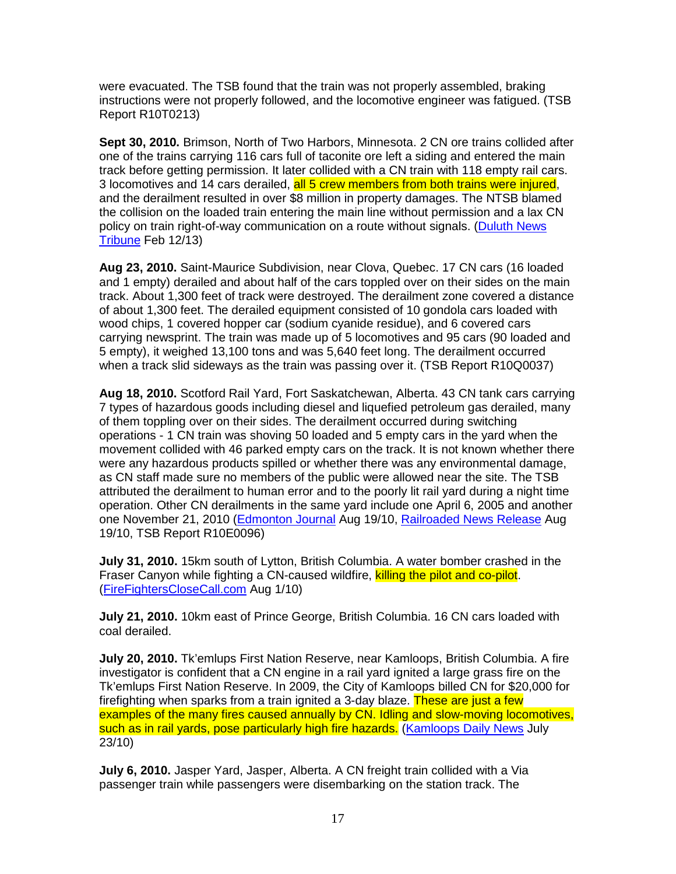were evacuated. The TSB found that the train was not properly assembled, braking instructions were not properly followed, and the locomotive engineer was fatigued. (TSB Report R10T0213)

**Sept 30, 2010.** Brimson, North of Two Harbors, Minnesota. 2 CN ore trains collided after one of the trains carrying 116 cars full of taconite ore left a siding and entered the main track before getting permission. It later collided with a CN train with 118 empty rail cars. 3 locomotives and 14 cars derailed, all 5 crew members from both trains were injured, and the derailment resulted in over \$8 million in property damages. The NTSB blamed the collision on the loaded train entering the main line without permission and a lax CN policy on train right-of-way communication on a route without signals. (Duluth News Tribune Feb 12/13)

**Aug 23, 2010.** Saint-Maurice Subdivision, near Clova, Quebec. 17 CN cars (16 loaded and 1 empty) derailed and about half of the cars toppled over on their sides on the main track. About 1,300 feet of track were destroyed. The derailment zone covered a distance of about 1,300 feet. The derailed equipment consisted of 10 gondola cars loaded with wood chips, 1 covered hopper car (sodium cyanide residue), and 6 covered cars carrying newsprint. The train was made up of 5 locomotives and 95 cars (90 loaded and 5 empty), it weighed 13,100 tons and was 5,640 feet long. The derailment occurred when a track slid sideways as the train was passing over it. (TSB Report R10Q0037)

**Aug 18, 2010.** Scotford Rail Yard, Fort Saskatchewan, Alberta. 43 CN tank cars carrying 7 types of hazardous goods including diesel and liquefied petroleum gas derailed, many of them toppling over on their sides. The derailment occurred during switching operations - 1 CN train was shoving 50 loaded and 5 empty cars in the yard when the movement collided with 46 parked empty cars on the track. It is not known whether there were any hazardous products spilled or whether there was any environmental damage, as CN staff made sure no members of the public were allowed near the site. The TSB attributed the derailment to human error and to the poorly lit rail yard during a night time operation. Other CN derailments in the same yard include one April 6, 2005 and another one November 21, 2010 (Edmonton Journal Aug 19/10, Railroaded News Release Aug 19/10, TSB Report R10E0096)

**July 31, 2010.** 15km south of Lytton, British Columbia. A water bomber crashed in the Fraser Canyon while fighting a CN-caused wildfire, killing the pilot and co-pilot. (FireFightersCloseCall.com Aug 1/10)

**July 21, 2010.** 10km east of Prince George, British Columbia. 16 CN cars loaded with coal derailed.

**July 20, 2010.** Tk'emlups First Nation Reserve, near Kamloops, British Columbia. A fire investigator is confident that a CN engine in a rail yard ignited a large grass fire on the Tk'emlups First Nation Reserve. In 2009, the City of Kamloops billed CN for \$20,000 for firefighting when sparks from a train ignited a 3-day blaze. These are just a few examples of the many fires caused annually by CN. Idling and slow-moving locomotives, such as in rail yards, pose particularly high fire hazards. (Kamloops Daily News July 23/10)

**July 6, 2010.** Jasper Yard, Jasper, Alberta. A CN freight train collided with a Via passenger train while passengers were disembarking on the station track. The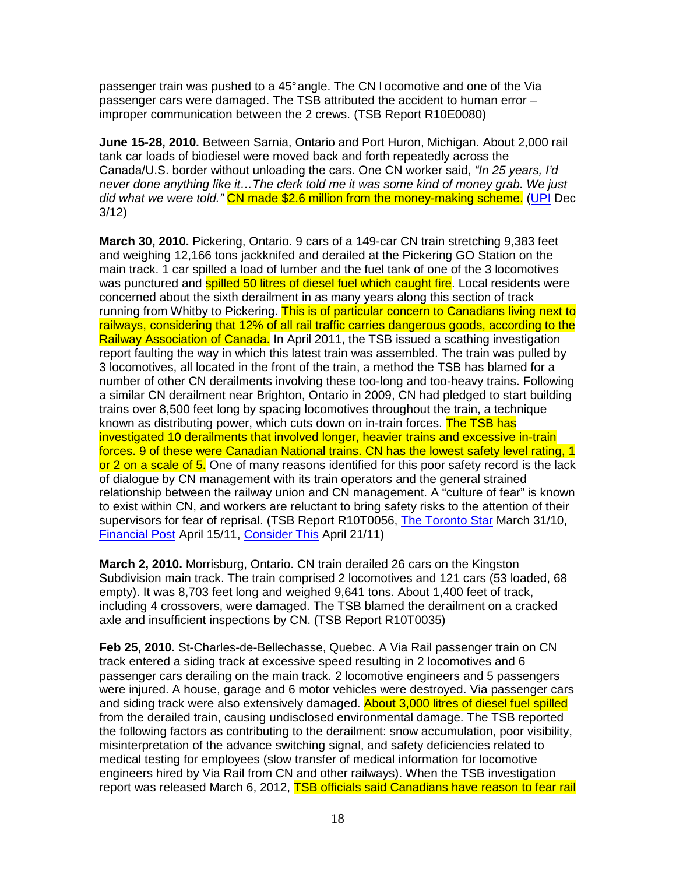passenger train was pushed to a 45° angle. The CN l ocomotive and one of the Via passenger cars were damaged. The TSB attributed the accident to human error – improper communication between the 2 crews. (TSB Report R10E0080)

**June 15-28, 2010.** Between Sarnia, Ontario and Port Huron, Michigan. About 2,000 rail tank car loads of biodiesel were moved back and forth repeatedly across the Canada/U.S. border without unloading the cars. One CN worker said, "In 25 years, I'd never done anything like it…The clerk told me it was some kind of money grab. We just did what we were told." CN made \$2.6 million from the money-making scheme. (UPI Dec 3/12)

**March 30, 2010.** Pickering, Ontario. 9 cars of a 149-car CN train stretching 9,383 feet and weighing 12,166 tons jackknifed and derailed at the Pickering GO Station on the main track. 1 car spilled a load of lumber and the fuel tank of one of the 3 locomotives was punctured and **spilled 50 litres of diesel fuel which caught fire**. Local residents were concerned about the sixth derailment in as many years along this section of track running from Whitby to Pickering. This is of particular concern to Canadians living next to railways, considering that 12% of all rail traffic carries dangerous goods, according to the Railway Association of Canada. In April 2011, the TSB issued a scathing investigation report faulting the way in which this latest train was assembled. The train was pulled by 3 locomotives, all located in the front of the train, a method the TSB has blamed for a number of other CN derailments involving these too-long and too-heavy trains. Following a similar CN derailment near Brighton, Ontario in 2009, CN had pledged to start building trains over 8,500 feet long by spacing locomotives throughout the train, a technique known as distributing power, which cuts down on in-train forces. The TSB has investigated 10 derailments that involved longer, heavier trains and excessive in-train forces. 9 of these were Canadian National trains. CN has the lowest safety level rating, 1 or 2 on a scale of 5. One of many reasons identified for this poor safety record is the lack of dialogue by CN management with its train operators and the general strained relationship between the railway union and CN management. A "culture of fear" is known to exist within CN, and workers are reluctant to bring safety risks to the attention of their supervisors for fear of reprisal. (TSB Report R10T0056, The Toronto Star March 31/10, Financial Post April 15/11, Consider This April 21/11)

**March 2, 2010.** Morrisburg, Ontario. CN train derailed 26 cars on the Kingston Subdivision main track. The train comprised 2 locomotives and 121 cars (53 loaded, 68 empty). It was 8,703 feet long and weighed 9,641 tons. About 1,400 feet of track, including 4 crossovers, were damaged. The TSB blamed the derailment on a cracked axle and insufficient inspections by CN. (TSB Report R10T0035)

**Feb 25, 2010.** St-Charles-de-Bellechasse, Quebec. A Via Rail passenger train on CN track entered a siding track at excessive speed resulting in 2 locomotives and 6 passenger cars derailing on the main track. 2 locomotive engineers and 5 passengers were injured. A house, garage and 6 motor vehicles were destroyed. Via passenger cars and siding track were also extensively damaged. About 3,000 litres of diesel fuel spilled from the derailed train, causing undisclosed environmental damage. The TSB reported the following factors as contributing to the derailment: snow accumulation, poor visibility, misinterpretation of the advance switching signal, and safety deficiencies related to medical testing for employees (slow transfer of medical information for locomotive engineers hired by Via Rail from CN and other railways). When the TSB investigation report was released March 6, 2012, TSB officials said Canadians have reason to fear rail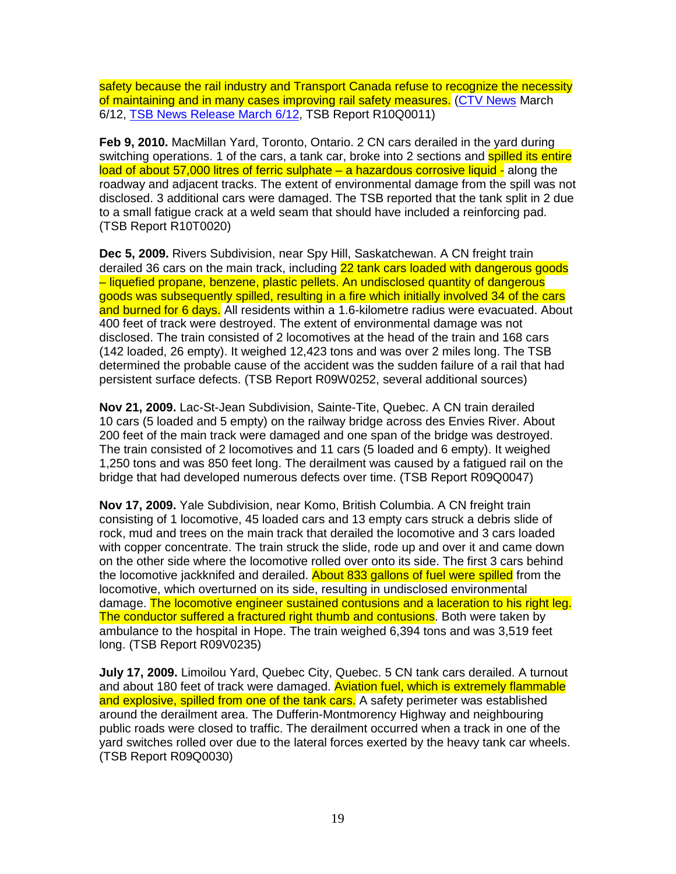safety because the rail industry and Transport Canada refuse to recognize the necessity of maintaining and in many cases improving rail safety measures. (CTV News March 6/12, TSB News Release March 6/12, TSB Report R10Q0011)

**Feb 9, 2010.** MacMillan Yard, Toronto, Ontario. 2 CN cars derailed in the yard during switching operations. 1 of the cars, a tank car, broke into 2 sections and spilled its entire load of about 57,000 litres of ferric sulphate – a hazardous corrosive liquid - along the roadway and adjacent tracks. The extent of environmental damage from the spill was not disclosed. 3 additional cars were damaged. The TSB reported that the tank split in 2 due to a small fatigue crack at a weld seam that should have included a reinforcing pad. (TSB Report R10T0020)

**Dec 5, 2009.** Rivers Subdivision, near Spy Hill, Saskatchewan. A CN freight train derailed 36 cars on the main track, including 22 tank cars loaded with dangerous goods – liquefied propane, benzene, plastic pellets. An undisclosed quantity of dangerous goods was subsequently spilled, resulting in a fire which initially involved 34 of the cars and burned for 6 days. All residents within a 1.6-kilometre radius were evacuated. About 400 feet of track were destroyed. The extent of environmental damage was not disclosed. The train consisted of 2 locomotives at the head of the train and 168 cars (142 loaded, 26 empty). It weighed 12,423 tons and was over 2 miles long. The TSB determined the probable cause of the accident was the sudden failure of a rail that had persistent surface defects. (TSB Report R09W0252, several additional sources)

**Nov 21, 2009.** Lac-St-Jean Subdivision, Sainte-Tite, Quebec. A CN train derailed 10 cars (5 loaded and 5 empty) on the railway bridge across des Envies River. About 200 feet of the main track were damaged and one span of the bridge was destroyed. The train consisted of 2 locomotives and 11 cars (5 loaded and 6 empty). It weighed 1,250 tons and was 850 feet long. The derailment was caused by a fatigued rail on the bridge that had developed numerous defects over time. (TSB Report R09Q0047)

**Nov 17, 2009.** Yale Subdivision, near Komo, British Columbia. A CN freight train consisting of 1 locomotive, 45 loaded cars and 13 empty cars struck a debris slide of rock, mud and trees on the main track that derailed the locomotive and 3 cars loaded with copper concentrate. The train struck the slide, rode up and over it and came down on the other side where the locomotive rolled over onto its side. The first 3 cars behind the locomotive jackknifed and derailed. About 833 gallons of fuel were spilled from the locomotive, which overturned on its side, resulting in undisclosed environmental damage. The locomotive engineer sustained contusions and a laceration to his right leg. The conductor suffered a fractured right thumb and contusions. Both were taken by ambulance to the hospital in Hope. The train weighed 6,394 tons and was 3,519 feet long. (TSB Report R09V0235)

**July 17, 2009.** Limoilou Yard, Quebec City, Quebec. 5 CN tank cars derailed. A turnout and about 180 feet of track were damaged. Aviation fuel, which is extremely flammable and explosive, spilled from one of the tank cars. A safety perimeter was established around the derailment area. The Dufferin-Montmorency Highway and neighbouring public roads were closed to traffic. The derailment occurred when a track in one of the yard switches rolled over due to the lateral forces exerted by the heavy tank car wheels. (TSB Report R09Q0030)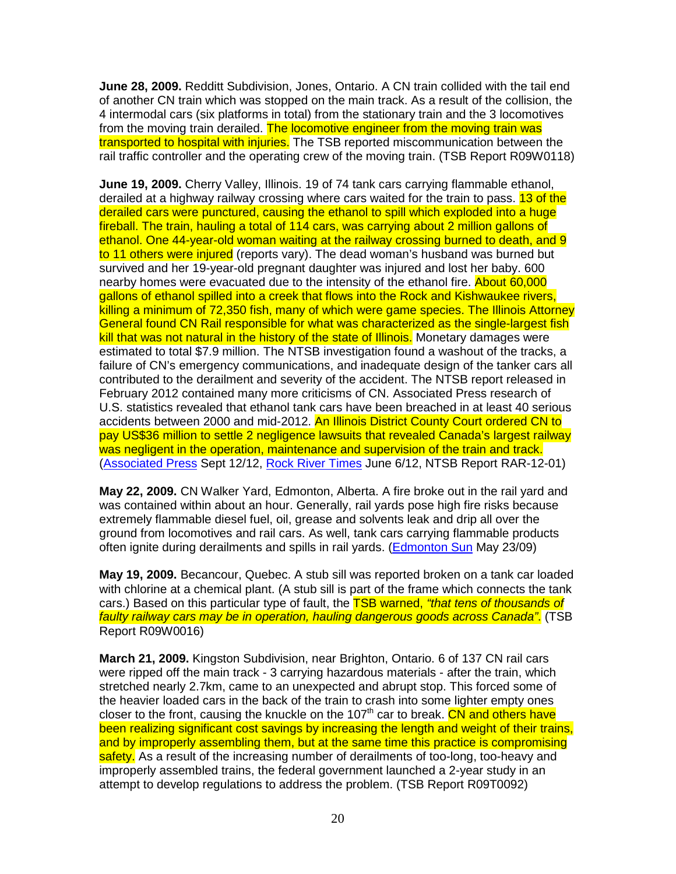**June 28, 2009.** Redditt Subdivision, Jones, Ontario. A CN train collided with the tail end of another CN train which was stopped on the main track. As a result of the collision, the 4 intermodal cars (six platforms in total) from the stationary train and the 3 locomotives from the moving train derailed. The locomotive engineer from the moving train was transported to hospital with injuries. The TSB reported miscommunication between the rail traffic controller and the operating crew of the moving train. (TSB Report R09W0118)

**June 19, 2009.** Cherry Valley, Illinois. 19 of 74 tank cars carrying flammable ethanol, derailed at a highway railway crossing where cars waited for the train to pass. 13 of the derailed cars were punctured, causing the ethanol to spill which exploded into a huge fireball. The train, hauling a total of 114 cars, was carrying about 2 million gallons of ethanol. One 44-year-old woman waiting at the railway crossing burned to death, and 9 to 11 others were injured (reports vary). The dead woman's husband was burned but survived and her 19-year-old pregnant daughter was injured and lost her baby. 600 nearby homes were evacuated due to the intensity of the ethanol fire. About 60,000 gallons of ethanol spilled into a creek that flows into the Rock and Kishwaukee rivers, killing a minimum of 72,350 fish, many of which were game species. The Illinois Attorney General found CN Rail responsible for what was characterized as the single-largest fish kill that was not natural in the history of the state of Illinois. Monetary damages were estimated to total \$7.9 million. The NTSB investigation found a washout of the tracks, a failure of CN's emergency communications, and inadequate design of the tanker cars all contributed to the derailment and severity of the accident. The NTSB report released in February 2012 contained many more criticisms of CN. Associated Press research of U.S. statistics revealed that ethanol tank cars have been breached in at least 40 serious accidents between 2000 and mid-2012. An Illinois District County Court ordered CN to pay US\$36 million to settle 2 negligence lawsuits that revealed Canada's largest railway was negligent in the operation, maintenance and supervision of the train and track. (Associated Press Sept 12/12, Rock River Times June 6/12, NTSB Report RAR-12-01)

**May 22, 2009.** CN Walker Yard, Edmonton, Alberta. A fire broke out in the rail yard and was contained within about an hour. Generally, rail yards pose high fire risks because extremely flammable diesel fuel, oil, grease and solvents leak and drip all over the ground from locomotives and rail cars. As well, tank cars carrying flammable products often ignite during derailments and spills in rail yards. (Edmonton Sun May 23/09)

**May 19, 2009.** Becancour, Quebec. A stub sill was reported broken on a tank car loaded with chlorine at a chemical plant. (A stub sill is part of the frame which connects the tank cars.) Based on this particular type of fault, the **TSB warned, "that tens of thousands of** faulty railway cars may be in operation, hauling dangerous goods across Canada". (TSB Report R09W0016)

**March 21, 2009.** Kingston Subdivision, near Brighton, Ontario. 6 of 137 CN rail cars were ripped off the main track - 3 carrying hazardous materials - after the train, which stretched nearly 2.7km, came to an unexpected and abrupt stop. This forced some of the heavier loaded cars in the back of the train to crash into some lighter empty ones closer to the front, causing the knuckle on the 107<sup>th</sup> car to break. CN and others have been realizing significant cost savings by increasing the length and weight of their trains, and by improperly assembling them, but at the same time this practice is compromising safety. As a result of the increasing number of derailments of too-long, too-heavy and improperly assembled trains, the federal government launched a 2-year study in an attempt to develop regulations to address the problem. (TSB Report R09T0092)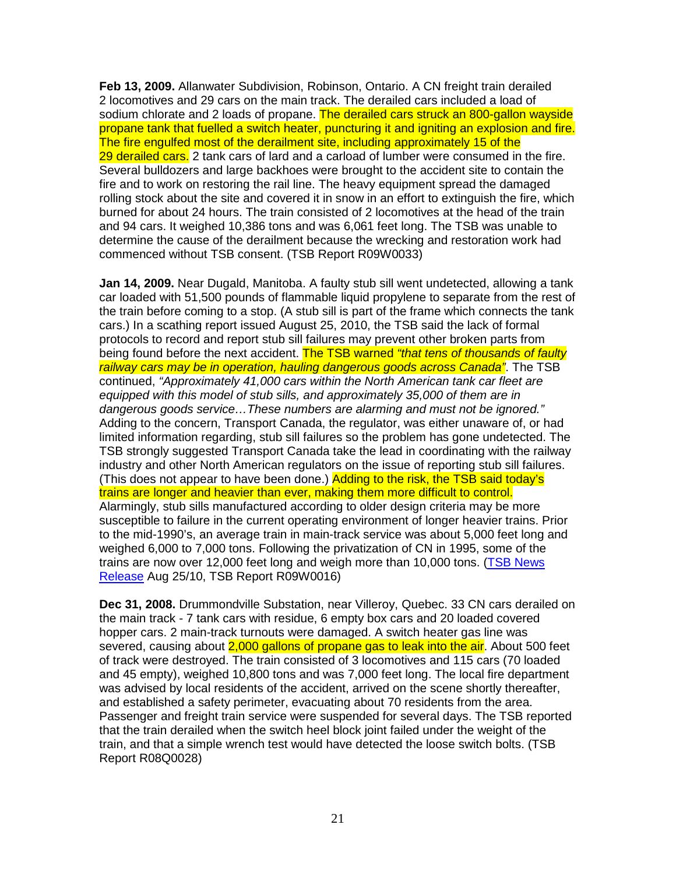**Feb 13, 2009.** Allanwater Subdivision, Robinson, Ontario. A CN freight train derailed 2 locomotives and 29 cars on the main track. The derailed cars included a load of sodium chlorate and 2 loads of propane. The derailed cars struck an 800-gallon wayside propane tank that fuelled a switch heater, puncturing it and igniting an explosion and fire. The fire engulfed most of the derailment site, including approximately 15 of the 29 derailed cars. 2 tank cars of lard and a carload of lumber were consumed in the fire. Several bulldozers and large backhoes were brought to the accident site to contain the fire and to work on restoring the rail line. The heavy equipment spread the damaged rolling stock about the site and covered it in snow in an effort to extinguish the fire, which burned for about 24 hours. The train consisted of 2 locomotives at the head of the train and 94 cars. It weighed 10,386 tons and was 6,061 feet long. The TSB was unable to determine the cause of the derailment because the wrecking and restoration work had commenced without TSB consent. (TSB Report R09W0033)

**Jan 14, 2009.** Near Dugald, Manitoba. A faulty stub sill went undetected, allowing a tank car loaded with 51,500 pounds of flammable liquid propylene to separate from the rest of the train before coming to a stop. (A stub sill is part of the frame which connects the tank cars.) In a scathing report issued August 25, 2010, the TSB said the lack of formal protocols to record and report stub sill failures may prevent other broken parts from being found before the next accident. The TSB warned "that tens of thousands of faulty railway cars may be in operation, hauling dangerous goods across Canada". The TSB continued, "Approximately 41,000 cars within the North American tank car fleet are equipped with this model of stub sills, and approximately 35,000 of them are in dangerous goods service…These numbers are alarming and must not be ignored." Adding to the concern, Transport Canada, the regulator, was either unaware of, or had limited information regarding, stub sill failures so the problem has gone undetected. The TSB strongly suggested Transport Canada take the lead in coordinating with the railway industry and other North American regulators on the issue of reporting stub sill failures. (This does not appear to have been done.) Adding to the risk, the TSB said today's trains are longer and heavier than ever, making them more difficult to control. Alarmingly, stub sills manufactured according to older design criteria may be more susceptible to failure in the current operating environment of longer heavier trains. Prior to the mid-1990's, an average train in main-track service was about 5,000 feet long and weighed 6,000 to 7,000 tons. Following the privatization of CN in 1995, some of the trains are now over 12,000 feet long and weigh more than 10,000 tons. (TSB News Release Aug 25/10, TSB Report R09W0016)

**Dec 31, 2008.** Drummondville Substation, near Villeroy, Quebec. 33 CN cars derailed on the main track - 7 tank cars with residue, 6 empty box cars and 20 loaded covered hopper cars. 2 main-track turnouts were damaged. A switch heater gas line was severed, causing about 2,000 gallons of propane gas to leak into the air. About 500 feet of track were destroyed. The train consisted of 3 locomotives and 115 cars (70 loaded and 45 empty), weighed 10,800 tons and was 7,000 feet long. The local fire department was advised by local residents of the accident, arrived on the scene shortly thereafter, and established a safety perimeter, evacuating about 70 residents from the area. Passenger and freight train service were suspended for several days. The TSB reported that the train derailed when the switch heel block joint failed under the weight of the train, and that a simple wrench test would have detected the loose switch bolts. (TSB Report R08Q0028)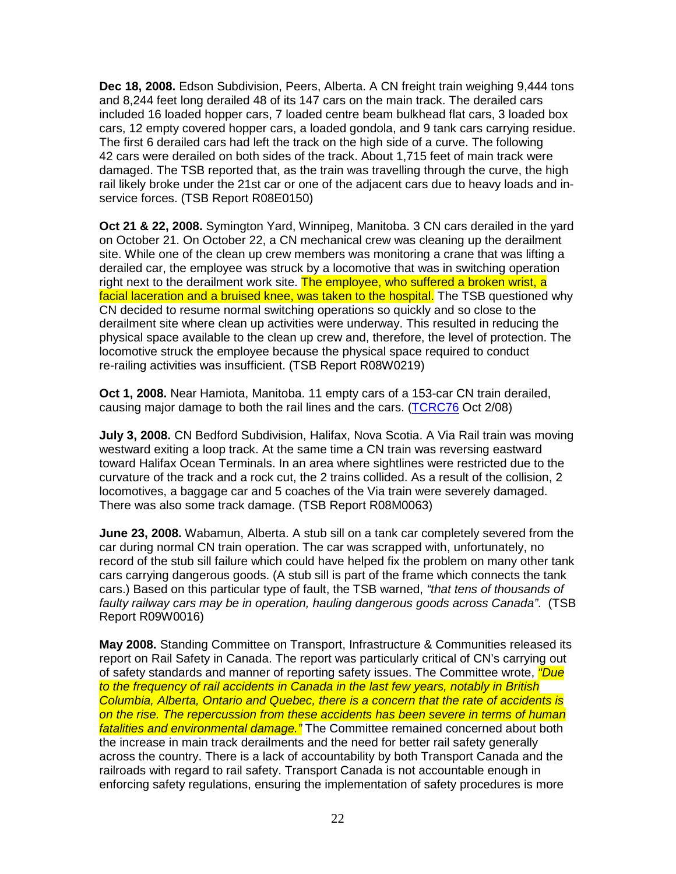**Dec 18, 2008.** Edson Subdivision, Peers, Alberta. A CN freight train weighing 9,444 tons and 8,244 feet long derailed 48 of its 147 cars on the main track. The derailed cars included 16 loaded hopper cars, 7 loaded centre beam bulkhead flat cars, 3 loaded box cars, 12 empty covered hopper cars, a loaded gondola, and 9 tank cars carrying residue. The first 6 derailed cars had left the track on the high side of a curve. The following 42 cars were derailed on both sides of the track. About 1,715 feet of main track were damaged. The TSB reported that, as the train was travelling through the curve, the high rail likely broke under the 21st car or one of the adjacent cars due to heavy loads and inservice forces. (TSB Report R08E0150)

**Oct 21 & 22, 2008.** Symington Yard, Winnipeg, Manitoba. 3 CN cars derailed in the yard on October 21. On October 22, a CN mechanical crew was cleaning up the derailment site. While one of the clean up crew members was monitoring a crane that was lifting a derailed car, the employee was struck by a locomotive that was in switching operation right next to the derailment work site. The employee, who suffered a broken wrist, a facial laceration and a bruised knee, was taken to the hospital. The TSB questioned why CN decided to resume normal switching operations so quickly and so close to the derailment site where clean up activities were underway. This resulted in reducing the physical space available to the clean up crew and, therefore, the level of protection. The locomotive struck the employee because the physical space required to conduct re-railing activities was insufficient. (TSB Report R08W0219)

**Oct 1, 2008.** Near Hamiota, Manitoba. 11 empty cars of a 153-car CN train derailed, causing major damage to both the rail lines and the cars. (TCRC76 Oct 2/08)

**July 3, 2008.** CN Bedford Subdivision, Halifax, Nova Scotia. A Via Rail train was moving westward exiting a loop track. At the same time a CN train was reversing eastward toward Halifax Ocean Terminals. In an area where sightlines were restricted due to the curvature of the track and a rock cut, the 2 trains collided. As a result of the collision, 2 locomotives, a baggage car and 5 coaches of the Via train were severely damaged. There was also some track damage. (TSB Report R08M0063)

**June 23, 2008.** Wabamun, Alberta. A stub sill on a tank car completely severed from the car during normal CN train operation. The car was scrapped with, unfortunately, no record of the stub sill failure which could have helped fix the problem on many other tank cars carrying dangerous goods. (A stub sill is part of the frame which connects the tank cars.) Based on this particular type of fault, the TSB warned, "that tens of thousands of faulty railway cars may be in operation, hauling dangerous goods across Canada". (TSB Report R09W0016)

**May 2008.** Standing Committee on Transport, Infrastructure & Communities released its report on Rail Safety in Canada. The report was particularly critical of CN's carrying out of safety standards and manner of reporting safety issues. The Committee wrote, *"Due* to the frequency of rail accidents in Canada in the last few years, notably in British Columbia, Alberta, Ontario and Quebec, there is a concern that the rate of accidents is on the rise. The repercussion from these accidents has been severe in terms of human fatalities and environmental damage." The Committee remained concerned about both the increase in main track derailments and the need for better rail safety generally across the country. There is a lack of accountability by both Transport Canada and the railroads with regard to rail safety. Transport Canada is not accountable enough in enforcing safety regulations, ensuring the implementation of safety procedures is more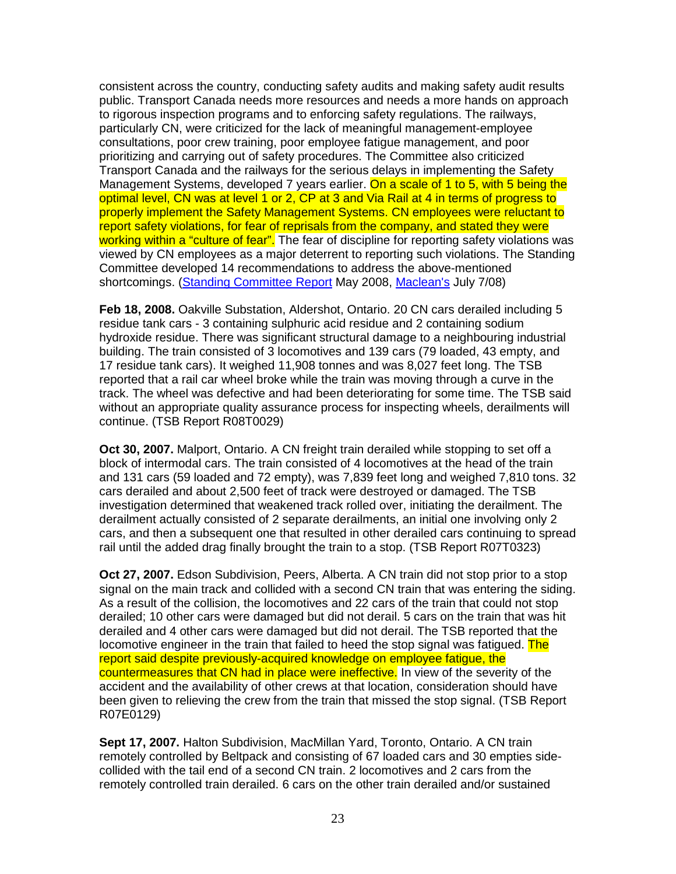consistent across the country, conducting safety audits and making safety audit results public. Transport Canada needs more resources and needs a more hands on approach to rigorous inspection programs and to enforcing safety regulations. The railways, particularly CN, were criticized for the lack of meaningful management-employee consultations, poor crew training, poor employee fatigue management, and poor prioritizing and carrying out of safety procedures. The Committee also criticized Transport Canada and the railways for the serious delays in implementing the Safety Management Systems, developed 7 years earlier. On a scale of 1 to 5, with 5 being the optimal level, CN was at level 1 or 2, CP at 3 and Via Rail at 4 in terms of progress to properly implement the Safety Management Systems. CN employees were reluctant to report safety violations, for fear of reprisals from the company, and stated they were working within a "culture of fear". The fear of discipline for reporting safety violations was viewed by CN employees as a major deterrent to reporting such violations. The Standing Committee developed 14 recommendations to address the above-mentioned shortcomings. (Standing Committee Report May 2008, Maclean's July 7/08)

**Feb 18, 2008.** Oakville Substation, Aldershot, Ontario. 20 CN cars derailed including 5 residue tank cars - 3 containing sulphuric acid residue and 2 containing sodium hydroxide residue. There was significant structural damage to a neighbouring industrial building. The train consisted of 3 locomotives and 139 cars (79 loaded, 43 empty, and 17 residue tank cars). It weighed 11,908 tonnes and was 8,027 feet long. The TSB reported that a rail car wheel broke while the train was moving through a curve in the track. The wheel was defective and had been deteriorating for some time. The TSB said without an appropriate quality assurance process for inspecting wheels, derailments will continue. (TSB Report R08T0029)

**Oct 30, 2007.** Malport, Ontario. A CN freight train derailed while stopping to set off a block of intermodal cars. The train consisted of 4 locomotives at the head of the train and 131 cars (59 loaded and 72 empty), was 7,839 feet long and weighed 7,810 tons. 32 cars derailed and about 2,500 feet of track were destroyed or damaged. The TSB investigation determined that weakened track rolled over, initiating the derailment. The derailment actually consisted of 2 separate derailments, an initial one involving only 2 cars, and then a subsequent one that resulted in other derailed cars continuing to spread rail until the added drag finally brought the train to a stop. (TSB Report R07T0323)

**Oct 27, 2007.** Edson Subdivision, Peers, Alberta. A CN train did not stop prior to a stop signal on the main track and collided with a second CN train that was entering the siding. As a result of the collision, the locomotives and 22 cars of the train that could not stop derailed; 10 other cars were damaged but did not derail. 5 cars on the train that was hit derailed and 4 other cars were damaged but did not derail. The TSB reported that the locomotive engineer in the train that failed to heed the stop signal was fatigued. The report said despite previously-acquired knowledge on employee fatigue, the countermeasures that CN had in place were ineffective. In view of the severity of the accident and the availability of other crews at that location, consideration should have been given to relieving the crew from the train that missed the stop signal. (TSB Report R07E0129)

**Sept 17, 2007.** Halton Subdivision, MacMillan Yard, Toronto, Ontario. A CN train remotely controlled by Beltpack and consisting of 67 loaded cars and 30 empties sidecollided with the tail end of a second CN train. 2 locomotives and 2 cars from the remotely controlled train derailed. 6 cars on the other train derailed and/or sustained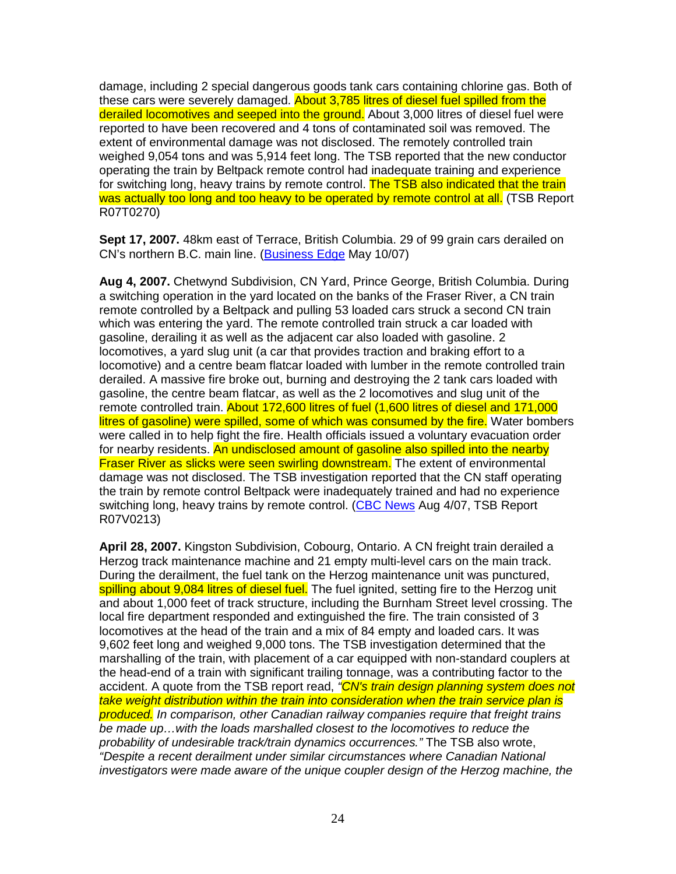damage, including 2 special dangerous goods tank cars containing chlorine gas. Both of these cars were severely damaged. About 3,785 litres of diesel fuel spilled from the derailed locomotives and seeped into the ground. About 3,000 litres of diesel fuel were reported to have been recovered and 4 tons of contaminated soil was removed. The extent of environmental damage was not disclosed. The remotely controlled train weighed 9,054 tons and was 5,914 feet long. The TSB reported that the new conductor operating the train by Beltpack remote control had inadequate training and experience for switching long, heavy trains by remote control. The TSB also indicated that the train was actually too long and too heavy to be operated by remote control at all. (TSB Report R07T0270)

**Sept 17, 2007.** 48km east of Terrace, British Columbia. 29 of 99 grain cars derailed on CN's northern B.C. main line. (Business Edge May 10/07)

**Aug 4, 2007.** Chetwynd Subdivision, CN Yard, Prince George, British Columbia. During a switching operation in the yard located on the banks of the Fraser River, a CN train remote controlled by a Beltpack and pulling 53 loaded cars struck a second CN train which was entering the yard. The remote controlled train struck a car loaded with gasoline, derailing it as well as the adjacent car also loaded with gasoline. 2 locomotives, a yard slug unit (a car that provides traction and braking effort to a locomotive) and a centre beam flatcar loaded with lumber in the remote controlled train derailed. A massive fire broke out, burning and destroying the 2 tank cars loaded with gasoline, the centre beam flatcar, as well as the 2 locomotives and slug unit of the remote controlled train. About 172,600 litres of fuel (1,600 litres of diesel and 171,000 litres of gasoline) were spilled, some of which was consumed by the fire. Water bombers were called in to help fight the fire. Health officials issued a voluntary evacuation order for nearby residents. An undisclosed amount of gasoline also spilled into the nearby **Fraser River as slicks were seen swirling downstream.** The extent of environmental damage was not disclosed. The TSB investigation reported that the CN staff operating the train by remote control Beltpack were inadequately trained and had no experience switching long, heavy trains by remote control. (CBC News Aug 4/07, TSB Report R07V0213)

**April 28, 2007.** Kingston Subdivision, Cobourg, Ontario. A CN freight train derailed a Herzog track maintenance machine and 21 empty multi-level cars on the main track. During the derailment, the fuel tank on the Herzog maintenance unit was punctured, spilling about 9,084 litres of diesel fuel. The fuel ignited, setting fire to the Herzog unit and about 1,000 feet of track structure, including the Burnham Street level crossing. The local fire department responded and extinguished the fire. The train consisted of 3 locomotives at the head of the train and a mix of 84 empty and loaded cars. It was 9,602 feet long and weighed 9,000 tons. The TSB investigation determined that the marshalling of the train, with placement of a car equipped with non-standard couplers at the head-end of a train with significant trailing tonnage, was a contributing factor to the accident. A quote from the TSB report read, "CN's train design planning system does not take weight distribution within the train into consideration when the train service plan is produced. In comparison, other Canadian railway companies require that freight trains be made up…with the loads marshalled closest to the locomotives to reduce the probability of undesirable track/train dynamics occurrences." The TSB also wrote, "Despite a recent derailment under similar circumstances where Canadian National investigators were made aware of the unique coupler design of the Herzog machine, the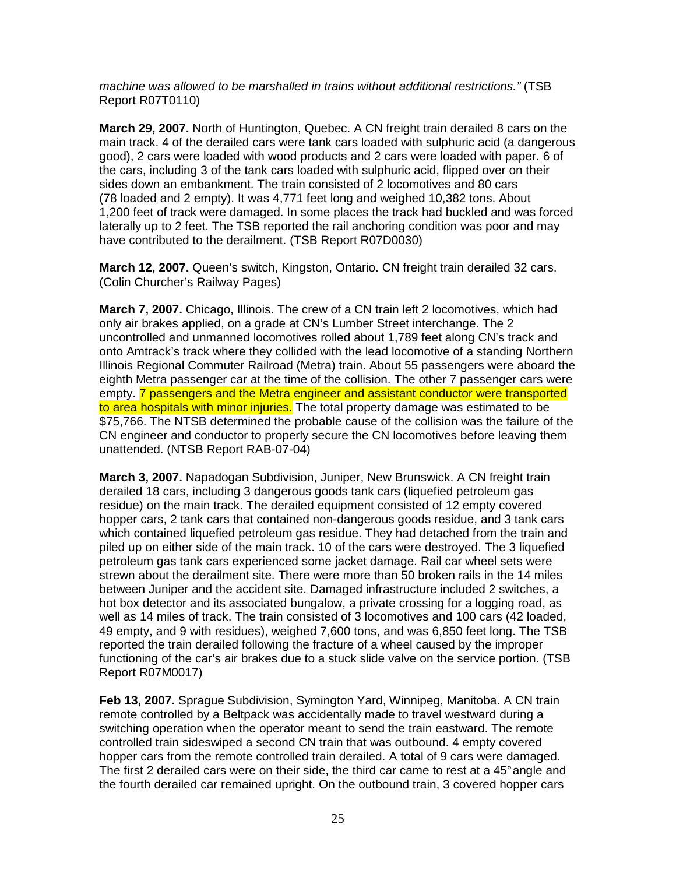machine was allowed to be marshalled in trains without additional restrictions." (TSB Report R07T0110)

**March 29, 2007.** North of Huntington, Quebec. A CN freight train derailed 8 cars on the main track. 4 of the derailed cars were tank cars loaded with sulphuric acid (a dangerous good), 2 cars were loaded with wood products and 2 cars were loaded with paper. 6 of the cars, including 3 of the tank cars loaded with sulphuric acid, flipped over on their sides down an embankment. The train consisted of 2 locomotives and 80 cars (78 loaded and 2 empty). It was 4,771 feet long and weighed 10,382 tons. About 1,200 feet of track were damaged. In some places the track had buckled and was forced laterally up to 2 feet. The TSB reported the rail anchoring condition was poor and may have contributed to the derailment. (TSB Report R07D0030)

**March 12, 2007.** Queen's switch, Kingston, Ontario. CN freight train derailed 32 cars. (Colin Churcher's Railway Pages)

**March 7, 2007.** Chicago, Illinois. The crew of a CN train left 2 locomotives, which had only air brakes applied, on a grade at CN's Lumber Street interchange. The 2 uncontrolled and unmanned locomotives rolled about 1,789 feet along CN's track and onto Amtrack's track where they collided with the lead locomotive of a standing Northern Illinois Regional Commuter Railroad (Metra) train. About 55 passengers were aboard the eighth Metra passenger car at the time of the collision. The other 7 passenger cars were empty. **7** passengers and the Metra engineer and assistant conductor were transported to area hospitals with minor injuries. The total property damage was estimated to be \$75,766. The NTSB determined the probable cause of the collision was the failure of the CN engineer and conductor to properly secure the CN locomotives before leaving them unattended. (NTSB Report RAB-07-04)

**March 3, 2007.** Napadogan Subdivision, Juniper, New Brunswick. A CN freight train derailed 18 cars, including 3 dangerous goods tank cars (liquefied petroleum gas residue) on the main track. The derailed equipment consisted of 12 empty covered hopper cars, 2 tank cars that contained non-dangerous goods residue, and 3 tank cars which contained liquefied petroleum gas residue. They had detached from the train and piled up on either side of the main track. 10 of the cars were destroyed. The 3 liquefied petroleum gas tank cars experienced some jacket damage. Rail car wheel sets were strewn about the derailment site. There were more than 50 broken rails in the 14 miles between Juniper and the accident site. Damaged infrastructure included 2 switches, a hot box detector and its associated bungalow, a private crossing for a logging road, as well as 14 miles of track. The train consisted of 3 locomotives and 100 cars (42 loaded, 49 empty, and 9 with residues), weighed 7,600 tons, and was 6,850 feet long. The TSB reported the train derailed following the fracture of a wheel caused by the improper functioning of the car's air brakes due to a stuck slide valve on the service portion. (TSB Report R07M0017)

**Feb 13, 2007.** Sprague Subdivision, Symington Yard, Winnipeg, Manitoba. A CN train remote controlled by a Beltpack was accidentally made to travel westward during a switching operation when the operator meant to send the train eastward. The remote controlled train sideswiped a second CN train that was outbound. 4 empty covered hopper cars from the remote controlled train derailed. A total of 9 cars were damaged. The first 2 derailed cars were on their side, the third car came to rest at a 45° angle and the fourth derailed car remained upright. On the outbound train, 3 covered hopper cars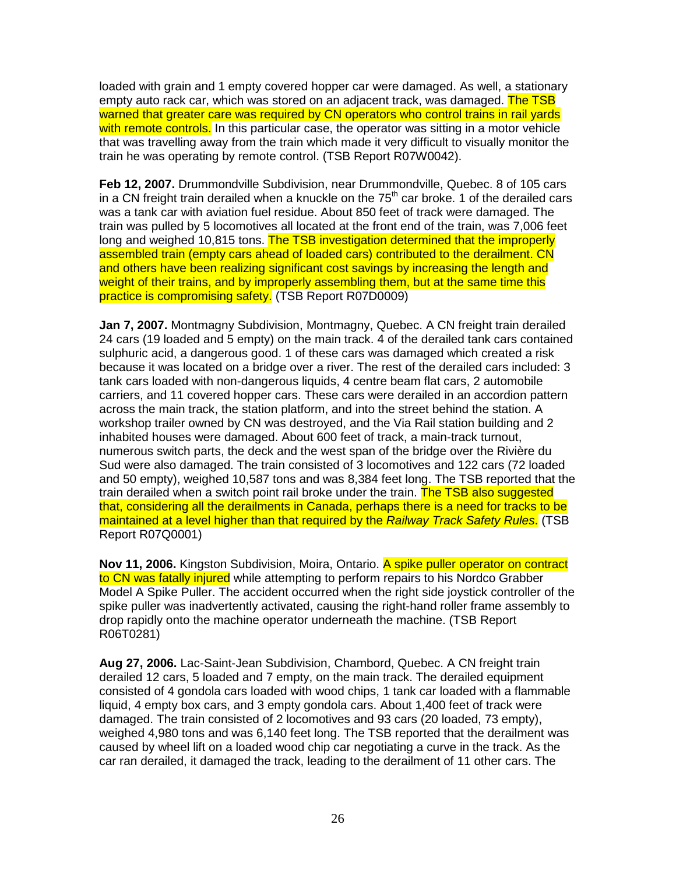loaded with grain and 1 empty covered hopper car were damaged. As well, a stationary empty auto rack car, which was stored on an adiacent track, was damaged. The TSB warned that greater care was required by CN operators who control trains in rail yards with remote controls. In this particular case, the operator was sitting in a motor vehicle that was travelling away from the train which made it very difficult to visually monitor the train he was operating by remote control. (TSB Report R07W0042).

**Feb 12, 2007.** Drummondville Subdivision, near Drummondville, Quebec. 8 of 105 cars in a CN freight train derailed when a knuckle on the  $75<sup>th</sup>$  car broke. 1 of the derailed cars was a tank car with aviation fuel residue. About 850 feet of track were damaged. The train was pulled by 5 locomotives all located at the front end of the train, was 7,006 feet long and weighed 10,815 tons. The TSB investigation determined that the improperly assembled train (empty cars ahead of loaded cars) contributed to the derailment. CN and others have been realizing significant cost savings by increasing the length and weight of their trains, and by improperly assembling them, but at the same time this practice is compromising safety. (TSB Report R07D0009)

**Jan 7, 2007.** Montmagny Subdivision, Montmagny, Quebec. A CN freight train derailed 24 cars (19 loaded and 5 empty) on the main track. 4 of the derailed tank cars contained sulphuric acid, a dangerous good. 1 of these cars was damaged which created a risk because it was located on a bridge over a river. The rest of the derailed cars included: 3 tank cars loaded with non-dangerous liquids, 4 centre beam flat cars, 2 automobile carriers, and 11 covered hopper cars. These cars were derailed in an accordion pattern across the main track, the station platform, and into the street behind the station. A workshop trailer owned by CN was destroyed, and the Via Rail station building and 2 inhabited houses were damaged. About 600 feet of track, a main-track turnout, numerous switch parts, the deck and the west span of the bridge over the Rivière du Sud were also damaged. The train consisted of 3 locomotives and 122 cars (72 loaded and 50 empty), weighed 10,587 tons and was 8,384 feet long. The TSB reported that the train derailed when a switch point rail broke under the train. The TSB also suggested that, considering all the derailments in Canada, perhaps there is a need for tracks to be maintained at a level higher than that required by the Railway Track Safety Rules. (TSB Report R07Q0001)

**Nov 11, 2006.** Kingston Subdivision, Moira, Ontario. A spike puller operator on contract to CN was fatally injured while attempting to perform repairs to his Nordco Grabber Model A Spike Puller. The accident occurred when the right side joystick controller of the spike puller was inadvertently activated, causing the right-hand roller frame assembly to drop rapidly onto the machine operator underneath the machine. (TSB Report R06T0281)

**Aug 27, 2006.** Lac-Saint-Jean Subdivision, Chambord, Quebec. A CN freight train derailed 12 cars, 5 loaded and 7 empty, on the main track. The derailed equipment consisted of 4 gondola cars loaded with wood chips, 1 tank car loaded with a flammable liquid, 4 empty box cars, and 3 empty gondola cars. About 1,400 feet of track were damaged. The train consisted of 2 locomotives and 93 cars (20 loaded, 73 empty), weighed 4,980 tons and was 6,140 feet long. The TSB reported that the derailment was caused by wheel lift on a loaded wood chip car negotiating a curve in the track. As the car ran derailed, it damaged the track, leading to the derailment of 11 other cars. The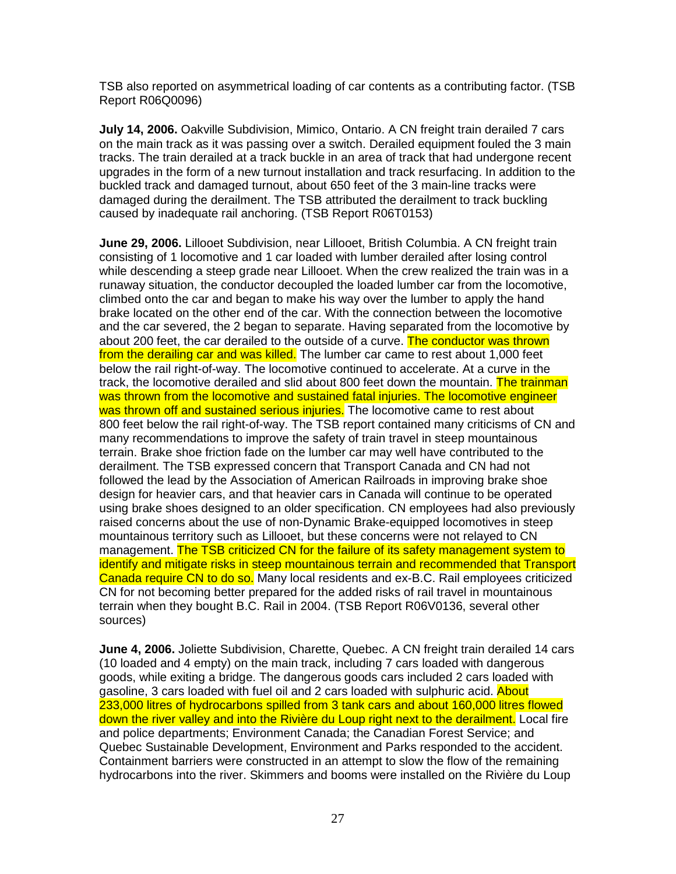TSB also reported on asymmetrical loading of car contents as a contributing factor. (TSB Report R06Q0096)

**July 14, 2006.** Oakville Subdivision, Mimico, Ontario. A CN freight train derailed 7 cars on the main track as it was passing over a switch. Derailed equipment fouled the 3 main tracks. The train derailed at a track buckle in an area of track that had undergone recent upgrades in the form of a new turnout installation and track resurfacing. In addition to the buckled track and damaged turnout, about 650 feet of the 3 main-line tracks were damaged during the derailment. The TSB attributed the derailment to track buckling caused by inadequate rail anchoring. (TSB Report R06T0153)

**June 29, 2006.** Lillooet Subdivision, near Lillooet, British Columbia. A CN freight train consisting of 1 locomotive and 1 car loaded with lumber derailed after losing control while descending a steep grade near Lillooet. When the crew realized the train was in a runaway situation, the conductor decoupled the loaded lumber car from the locomotive, climbed onto the car and began to make his way over the lumber to apply the hand brake located on the other end of the car. With the connection between the locomotive and the car severed, the 2 began to separate. Having separated from the locomotive by about 200 feet, the car derailed to the outside of a curve. The conductor was thrown from the derailing car and was killed. The lumber car came to rest about 1,000 feet below the rail right-of-way. The locomotive continued to accelerate. At a curve in the track, the locomotive derailed and slid about 800 feet down the mountain. The trainman was thrown from the locomotive and sustained fatal injuries. The locomotive engineer was thrown off and sustained serious injuries. The locomotive came to rest about 800 feet below the rail right-of-way. The TSB report contained many criticisms of CN and many recommendations to improve the safety of train travel in steep mountainous terrain. Brake shoe friction fade on the lumber car may well have contributed to the derailment. The TSB expressed concern that Transport Canada and CN had not followed the lead by the Association of American Railroads in improving brake shoe design for heavier cars, and that heavier cars in Canada will continue to be operated using brake shoes designed to an older specification. CN employees had also previously raised concerns about the use of non-Dynamic Brake-equipped locomotives in steep mountainous territory such as Lillooet, but these concerns were not relayed to CN management. The TSB criticized CN for the failure of its safety management system to identify and mitigate risks in steep mountainous terrain and recommended that Transport Canada require CN to do so. Many local residents and ex-B.C. Rail employees criticized CN for not becoming better prepared for the added risks of rail travel in mountainous terrain when they bought B.C. Rail in 2004. (TSB Report R06V0136, several other sources)

**June 4, 2006.** Joliette Subdivision, Charette, Quebec. A CN freight train derailed 14 cars (10 loaded and 4 empty) on the main track, including 7 cars loaded with dangerous goods, while exiting a bridge. The dangerous goods cars included 2 cars loaded with gasoline, 3 cars loaded with fuel oil and 2 cars loaded with sulphuric acid. About 233,000 litres of hydrocarbons spilled from 3 tank cars and about 160,000 litres flowed down the river valley and into the Rivière du Loup right next to the derailment. Local fire and police departments; Environment Canada; the Canadian Forest Service; and Quebec Sustainable Development, Environment and Parks responded to the accident. Containment barriers were constructed in an attempt to slow the flow of the remaining hydrocarbons into the river. Skimmers and booms were installed on the Rivière du Loup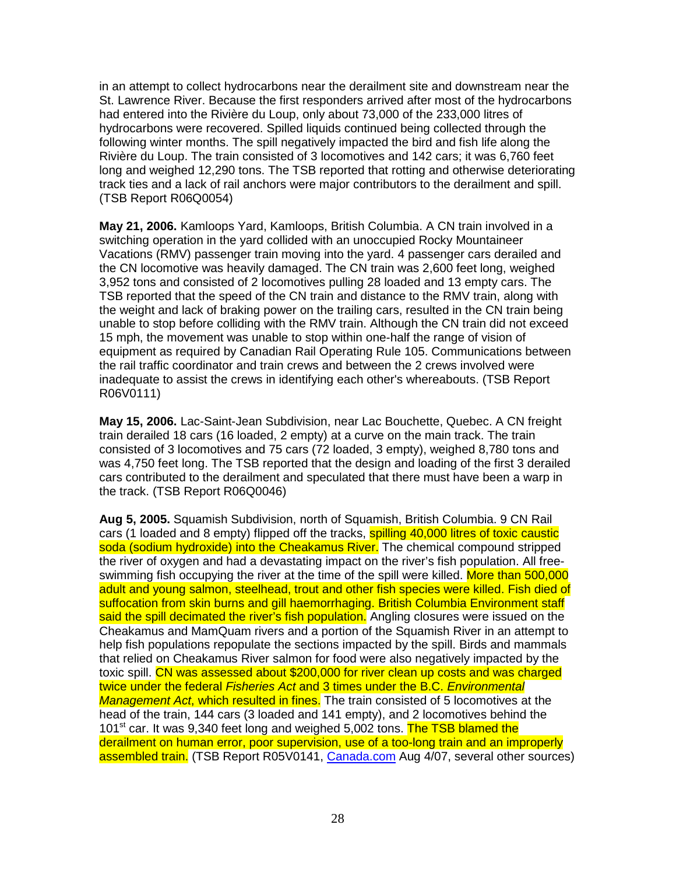in an attempt to collect hydrocarbons near the derailment site and downstream near the St. Lawrence River. Because the first responders arrived after most of the hydrocarbons had entered into the Rivière du Loup, only about 73,000 of the 233,000 litres of hydrocarbons were recovered. Spilled liquids continued being collected through the following winter months. The spill negatively impacted the bird and fish life along the Rivière du Loup. The train consisted of 3 locomotives and 142 cars; it was 6,760 feet long and weighed 12,290 tons. The TSB reported that rotting and otherwise deteriorating track ties and a lack of rail anchors were major contributors to the derailment and spill. (TSB Report R06Q0054)

**May 21, 2006.** Kamloops Yard, Kamloops, British Columbia. A CN train involved in a switching operation in the yard collided with an unoccupied Rocky Mountaineer Vacations (RMV) passenger train moving into the yard. 4 passenger cars derailed and the CN locomotive was heavily damaged. The CN train was 2,600 feet long, weighed 3,952 tons and consisted of 2 locomotives pulling 28 loaded and 13 empty cars. The TSB reported that the speed of the CN train and distance to the RMV train, along with the weight and lack of braking power on the trailing cars, resulted in the CN train being unable to stop before colliding with the RMV train. Although the CN train did not exceed 15 mph, the movement was unable to stop within one-half the range of vision of equipment as required by Canadian Rail Operating Rule 105. Communications between the rail traffic coordinator and train crews and between the 2 crews involved were inadequate to assist the crews in identifying each other's whereabouts. (TSB Report R06V0111)

**May 15, 2006.** Lac-Saint-Jean Subdivision, near Lac Bouchette, Quebec. A CN freight train derailed 18 cars (16 loaded, 2 empty) at a curve on the main track. The train consisted of 3 locomotives and 75 cars (72 loaded, 3 empty), weighed 8,780 tons and was 4,750 feet long. The TSB reported that the design and loading of the first 3 derailed cars contributed to the derailment and speculated that there must have been a warp in the track. (TSB Report R06Q0046)

**Aug 5, 2005.** Squamish Subdivision, north of Squamish, British Columbia. 9 CN Rail cars (1 loaded and 8 empty) flipped off the tracks, spilling 40,000 litres of toxic caustic soda (sodium hydroxide) into the Cheakamus River. The chemical compound stripped the river of oxygen and had a devastating impact on the river's fish population. All freeswimming fish occupying the river at the time of the spill were killed. More than 500,000 adult and young salmon, steelhead, trout and other fish species were killed. Fish died of suffocation from skin burns and gill haemorrhaging. British Columbia Environment staff said the spill decimated the river's fish population. Angling closures were issued on the Cheakamus and MamQuam rivers and a portion of the Squamish River in an attempt to help fish populations repopulate the sections impacted by the spill. Birds and mammals that relied on Cheakamus River salmon for food were also negatively impacted by the toxic spill. CN was assessed about \$200,000 for river clean up costs and was charged twice under the federal Fisheries Act and 3 times under the B.C. Environmental Management Act, which resulted in fines. The train consisted of 5 locomotives at the head of the train, 144 cars (3 loaded and 141 empty), and 2 locomotives behind the 101<sup>st</sup> car. It was 9,340 feet long and weighed 5,002 tons. The TSB blamed the derailment on human error, poor supervision, use of a too-long train and an improperly assembled train. (TSB Report R05V0141, Canada.com Aug 4/07, several other sources)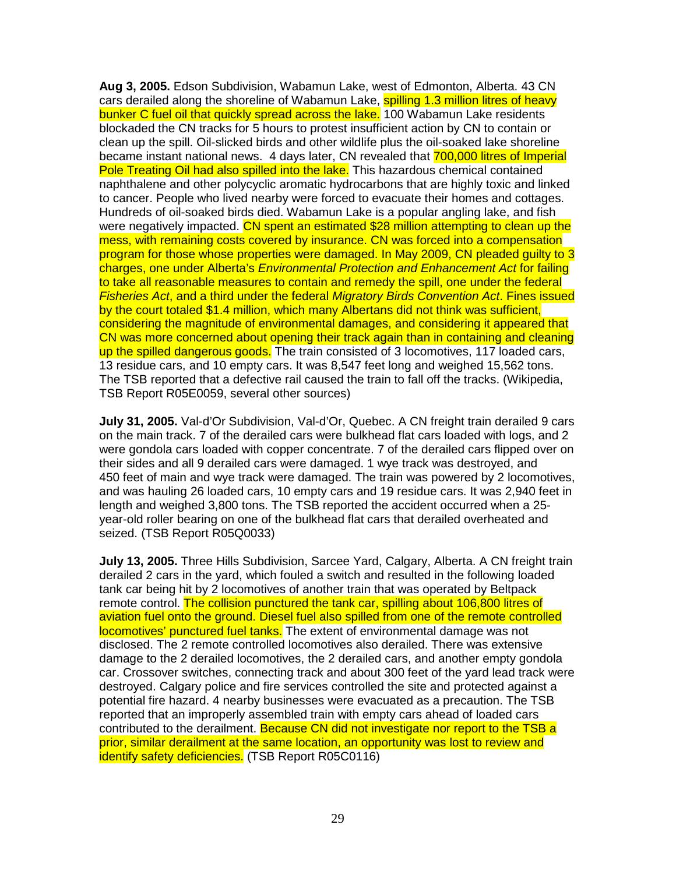**Aug 3, 2005.** Edson Subdivision, Wabamun Lake, west of Edmonton, Alberta. 43 CN cars derailed along the shoreline of Wabamun Lake, spilling 1.3 million litres of heavy bunker C fuel oil that quickly spread across the lake. 100 Wabamun Lake residents blockaded the CN tracks for 5 hours to protest insufficient action by CN to contain or clean up the spill. Oil-slicked birds and other wildlife plus the oil-soaked lake shoreline became instant national news. 4 days later, CN revealed that 700,000 litres of Imperial Pole Treating Oil had also spilled into the lake. This hazardous chemical contained naphthalene and other polycyclic aromatic hydrocarbons that are highly toxic and linked to cancer. People who lived nearby were forced to evacuate their homes and cottages. Hundreds of oil-soaked birds died. Wabamun Lake is a popular angling lake, and fish were negatively impacted. CN spent an estimated \$28 million attempting to clean up the mess, with remaining costs covered by insurance. CN was forced into a compensation program for those whose properties were damaged. In May 2009, CN pleaded guilty to 3 charges, one under Alberta's Environmental Protection and Enhancement Act for failing to take all reasonable measures to contain and remedy the spill, one under the federal Fisheries Act, and a third under the federal Migratory Birds Convention Act. Fines issued by the court totaled \$1.4 million, which many Albertans did not think was sufficient, considering the magnitude of environmental damages, and considering it appeared that CN was more concerned about opening their track again than in containing and cleaning up the spilled dangerous goods. The train consisted of 3 locomotives, 117 loaded cars, 13 residue cars, and 10 empty cars. It was 8,547 feet long and weighed 15,562 tons. The TSB reported that a defective rail caused the train to fall off the tracks. (Wikipedia, TSB Report R05E0059, several other sources)

**July 31, 2005.** Val-d'Or Subdivision, Val-d'Or, Quebec. A CN freight train derailed 9 cars on the main track. 7 of the derailed cars were bulkhead flat cars loaded with logs, and 2 were gondola cars loaded with copper concentrate. 7 of the derailed cars flipped over on their sides and all 9 derailed cars were damaged. 1 wye track was destroyed, and 450 feet of main and wye track were damaged. The train was powered by 2 locomotives, and was hauling 26 loaded cars, 10 empty cars and 19 residue cars. It was 2,940 feet in length and weighed 3,800 tons. The TSB reported the accident occurred when a 25 year-old roller bearing on one of the bulkhead flat cars that derailed overheated and seized. (TSB Report R05Q0033)

**July 13, 2005.** Three Hills Subdivision, Sarcee Yard, Calgary, Alberta. A CN freight train derailed 2 cars in the yard, which fouled a switch and resulted in the following loaded tank car being hit by 2 locomotives of another train that was operated by Beltpack remote control. The collision punctured the tank car, spilling about 106,800 litres of aviation fuel onto the ground. Diesel fuel also spilled from one of the remote controlled locomotives' punctured fuel tanks. The extent of environmental damage was not disclosed. The 2 remote controlled locomotives also derailed. There was extensive damage to the 2 derailed locomotives, the 2 derailed cars, and another empty gondola car. Crossover switches, connecting track and about 300 feet of the yard lead track were destroyed. Calgary police and fire services controlled the site and protected against a potential fire hazard. 4 nearby businesses were evacuated as a precaution. The TSB reported that an improperly assembled train with empty cars ahead of loaded cars contributed to the derailment. Because CN did not investigate nor report to the TSB a prior, similar derailment at the same location, an opportunity was lost to review and identify safety deficiencies. (TSB Report R05C0116)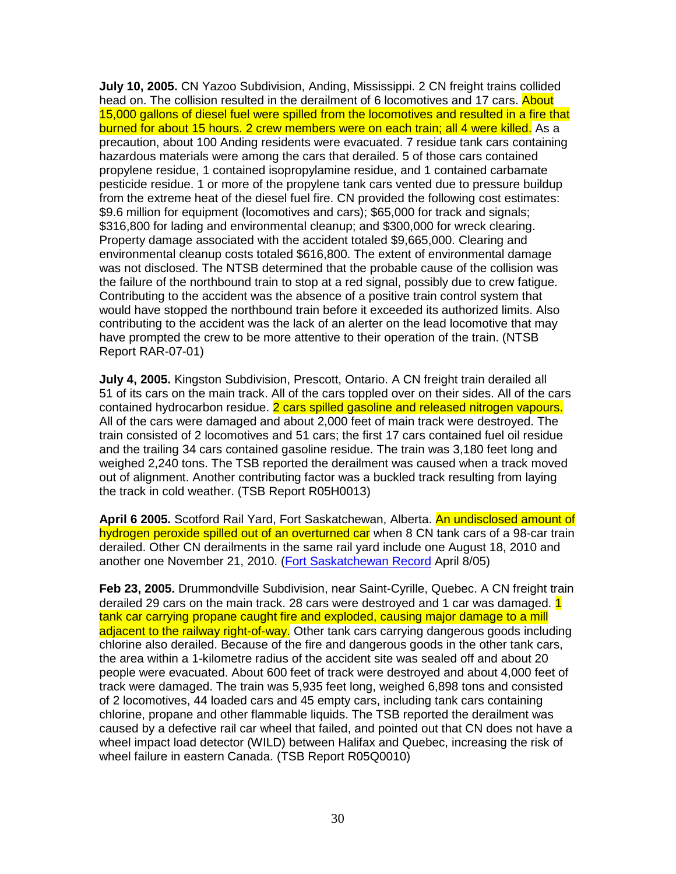**July 10, 2005.** CN Yazoo Subdivision, Anding, Mississippi. 2 CN freight trains collided head on. The collision resulted in the derailment of 6 locomotives and 17 cars. About 15,000 gallons of diesel fuel were spilled from the locomotives and resulted in a fire that burned for about 15 hours. 2 crew members were on each train; all 4 were killed. As a precaution, about 100 Anding residents were evacuated. 7 residue tank cars containing hazardous materials were among the cars that derailed. 5 of those cars contained propylene residue, 1 contained isopropylamine residue, and 1 contained carbamate pesticide residue. 1 or more of the propylene tank cars vented due to pressure buildup from the extreme heat of the diesel fuel fire. CN provided the following cost estimates: \$9.6 million for equipment (locomotives and cars); \$65,000 for track and signals; \$316,800 for lading and environmental cleanup; and \$300,000 for wreck clearing. Property damage associated with the accident totaled \$9,665,000. Clearing and environmental cleanup costs totaled \$616,800. The extent of environmental damage was not disclosed. The NTSB determined that the probable cause of the collision was the failure of the northbound train to stop at a red signal, possibly due to crew fatigue. Contributing to the accident was the absence of a positive train control system that would have stopped the northbound train before it exceeded its authorized limits. Also contributing to the accident was the lack of an alerter on the lead locomotive that may have prompted the crew to be more attentive to their operation of the train. (NTSB Report RAR-07-01)

**July 4, 2005.** Kingston Subdivision, Prescott, Ontario. A CN freight train derailed all 51 of its cars on the main track. All of the cars toppled over on their sides. All of the cars contained hydrocarbon residue. 2 cars spilled gasoline and released nitrogen vapours. All of the cars were damaged and about 2,000 feet of main track were destroyed. The train consisted of 2 locomotives and 51 cars; the first 17 cars contained fuel oil residue and the trailing 34 cars contained gasoline residue. The train was 3,180 feet long and weighed 2,240 tons. The TSB reported the derailment was caused when a track moved out of alignment. Another contributing factor was a buckled track resulting from laying the track in cold weather. (TSB Report R05H0013)

**April 6 2005.** Scotford Rail Yard, Fort Saskatchewan, Alberta. An undisclosed amount of hydrogen peroxide spilled out of an overturned car when 8 CN tank cars of a 98-car train derailed. Other CN derailments in the same rail yard include one August 18, 2010 and another one November 21, 2010. (Fort Saskatchewan Record April 8/05)

**Feb 23, 2005.** Drummondville Subdivision, near Saint-Cyrille, Quebec. A CN freight train derailed 29 cars on the main track. 28 cars were destroyed and 1 car was damaged. 1 tank car carrying propane caught fire and exploded, causing major damage to a mill adjacent to the railway right-of-way. Other tank cars carrying dangerous goods including chlorine also derailed. Because of the fire and dangerous goods in the other tank cars, the area within a 1-kilometre radius of the accident site was sealed off and about 20 people were evacuated. About 600 feet of track were destroyed and about 4,000 feet of track were damaged. The train was 5,935 feet long, weighed 6,898 tons and consisted of 2 locomotives, 44 loaded cars and 45 empty cars, including tank cars containing chlorine, propane and other flammable liquids. The TSB reported the derailment was caused by a defective rail car wheel that failed, and pointed out that CN does not have a wheel impact load detector (WILD) between Halifax and Quebec, increasing the risk of wheel failure in eastern Canada. (TSB Report R05Q0010)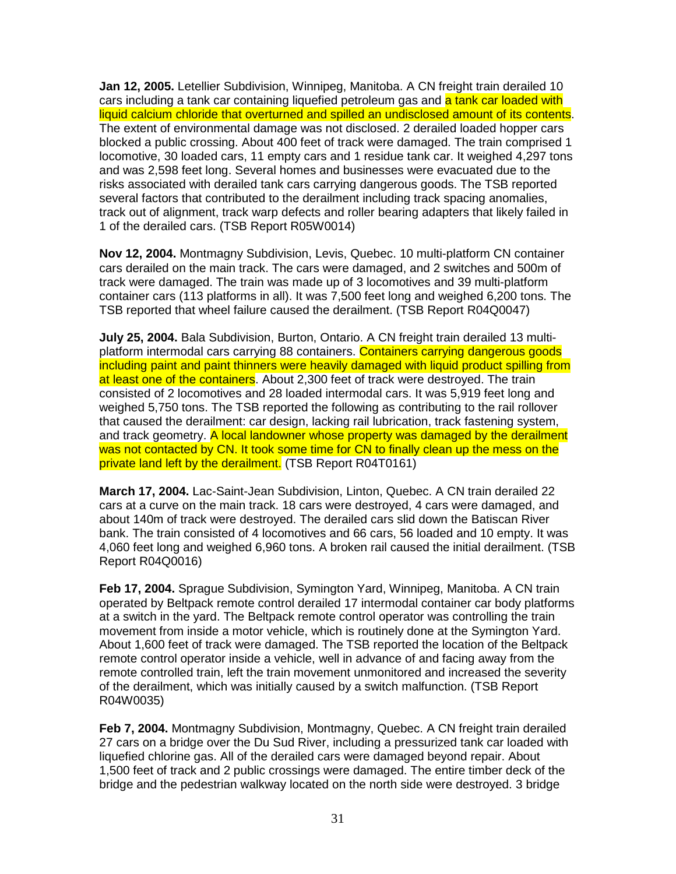**Jan 12, 2005.** Letellier Subdivision, Winnipeg, Manitoba. A CN freight train derailed 10 cars including a tank car containing liquefied petroleum gas and a tank car loaded with liquid calcium chloride that overturned and spilled an undisclosed amount of its contents. The extent of environmental damage was not disclosed. 2 derailed loaded hopper cars blocked a public crossing. About 400 feet of track were damaged. The train comprised 1 locomotive, 30 loaded cars, 11 empty cars and 1 residue tank car. It weighed 4,297 tons and was 2,598 feet long. Several homes and businesses were evacuated due to the risks associated with derailed tank cars carrying dangerous goods. The TSB reported several factors that contributed to the derailment including track spacing anomalies, track out of alignment, track warp defects and roller bearing adapters that likely failed in 1 of the derailed cars. (TSB Report R05W0014)

**Nov 12, 2004.** Montmagny Subdivision, Levis, Quebec. 10 multi-platform CN container cars derailed on the main track. The cars were damaged, and 2 switches and 500m of track were damaged. The train was made up of 3 locomotives and 39 multi-platform container cars (113 platforms in all). It was 7,500 feet long and weighed 6,200 tons. The TSB reported that wheel failure caused the derailment. (TSB Report R04Q0047)

**July 25, 2004.** Bala Subdivision, Burton, Ontario. A CN freight train derailed 13 multiplatform intermodal cars carrying 88 containers. Containers carrying dangerous goods including paint and paint thinners were heavily damaged with liquid product spilling from at least one of the containers. About 2,300 feet of track were destroyed. The train consisted of 2 locomotives and 28 loaded intermodal cars. It was 5,919 feet long and weighed 5,750 tons. The TSB reported the following as contributing to the rail rollover that caused the derailment: car design, lacking rail lubrication, track fastening system, and track geometry. A local landowner whose property was damaged by the derailment was not contacted by CN. It took some time for CN to finally clean up the mess on the private land left by the derailment. (TSB Report R04T0161)

**March 17, 2004.** Lac-Saint-Jean Subdivision, Linton, Quebec. A CN train derailed 22 cars at a curve on the main track. 18 cars were destroyed, 4 cars were damaged, and about 140m of track were destroyed. The derailed cars slid down the Batiscan River bank. The train consisted of 4 locomotives and 66 cars, 56 loaded and 10 empty. It was 4,060 feet long and weighed 6,960 tons. A broken rail caused the initial derailment. (TSB Report R04Q0016)

**Feb 17, 2004.** Sprague Subdivision, Symington Yard, Winnipeg, Manitoba. A CN train operated by Beltpack remote control derailed 17 intermodal container car body platforms at a switch in the yard. The Beltpack remote control operator was controlling the train movement from inside a motor vehicle, which is routinely done at the Symington Yard. About 1,600 feet of track were damaged. The TSB reported the location of the Beltpack remote control operator inside a vehicle, well in advance of and facing away from the remote controlled train, left the train movement unmonitored and increased the severity of the derailment, which was initially caused by a switch malfunction. (TSB Report R04W0035)

**Feb 7, 2004.** Montmagny Subdivision, Montmagny, Quebec. A CN freight train derailed 27 cars on a bridge over the Du Sud River, including a pressurized tank car loaded with liquefied chlorine gas. All of the derailed cars were damaged beyond repair. About 1,500 feet of track and 2 public crossings were damaged. The entire timber deck of the bridge and the pedestrian walkway located on the north side were destroyed. 3 bridge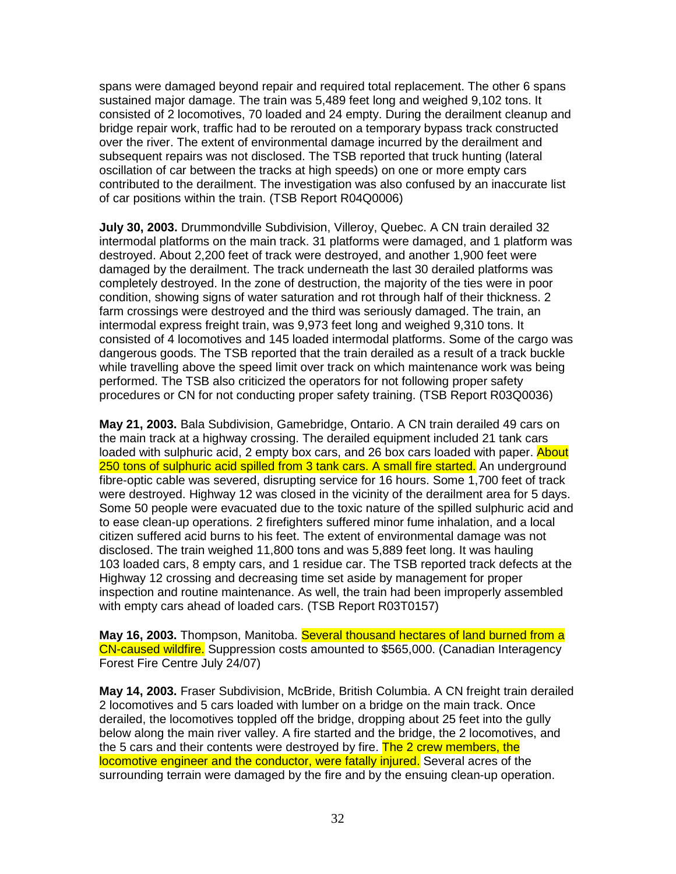spans were damaged beyond repair and required total replacement. The other 6 spans sustained major damage. The train was 5,489 feet long and weighed 9,102 tons. It consisted of 2 locomotives, 70 loaded and 24 empty. During the derailment cleanup and bridge repair work, traffic had to be rerouted on a temporary bypass track constructed over the river. The extent of environmental damage incurred by the derailment and subsequent repairs was not disclosed. The TSB reported that truck hunting (lateral oscillation of car between the tracks at high speeds) on one or more empty cars contributed to the derailment. The investigation was also confused by an inaccurate list of car positions within the train. (TSB Report R04Q0006)

**July 30, 2003.** Drummondville Subdivision, Villeroy, Quebec. A CN train derailed 32 intermodal platforms on the main track. 31 platforms were damaged, and 1 platform was destroyed. About 2,200 feet of track were destroyed, and another 1,900 feet were damaged by the derailment. The track underneath the last 30 derailed platforms was completely destroyed. In the zone of destruction, the majority of the ties were in poor condition, showing signs of water saturation and rot through half of their thickness. 2 farm crossings were destroyed and the third was seriously damaged. The train, an intermodal express freight train, was 9,973 feet long and weighed 9,310 tons. It consisted of 4 locomotives and 145 loaded intermodal platforms. Some of the cargo was dangerous goods. The TSB reported that the train derailed as a result of a track buckle while travelling above the speed limit over track on which maintenance work was being performed. The TSB also criticized the operators for not following proper safety procedures or CN for not conducting proper safety training. (TSB Report R03Q0036)

**May 21, 2003.** Bala Subdivision, Gamebridge, Ontario. A CN train derailed 49 cars on the main track at a highway crossing. The derailed equipment included 21 tank cars loaded with sulphuric acid, 2 empty box cars, and 26 box cars loaded with paper. About 250 tons of sulphuric acid spilled from 3 tank cars. A small fire started. An underground fibre-optic cable was severed, disrupting service for 16 hours. Some 1,700 feet of track were destroyed. Highway 12 was closed in the vicinity of the derailment area for 5 days. Some 50 people were evacuated due to the toxic nature of the spilled sulphuric acid and to ease clean-up operations. 2 firefighters suffered minor fume inhalation, and a local citizen suffered acid burns to his feet. The extent of environmental damage was not disclosed. The train weighed 11,800 tons and was 5,889 feet long. It was hauling 103 loaded cars, 8 empty cars, and 1 residue car. The TSB reported track defects at the Highway 12 crossing and decreasing time set aside by management for proper inspection and routine maintenance. As well, the train had been improperly assembled with empty cars ahead of loaded cars. (TSB Report R03T0157)

**May 16, 2003.** Thompson, Manitoba. Several thousand hectares of land burned from a CN-caused wildfire. Suppression costs amounted to \$565,000. (Canadian Interagency Forest Fire Centre July 24/07)

**May 14, 2003.** Fraser Subdivision, McBride, British Columbia. A CN freight train derailed 2 locomotives and 5 cars loaded with lumber on a bridge on the main track. Once derailed, the locomotives toppled off the bridge, dropping about 25 feet into the gully below along the main river valley. A fire started and the bridge, the 2 locomotives, and the 5 cars and their contents were destroyed by fire. The 2 crew members, the locomotive engineer and the conductor, were fatally injured. Several acres of the surrounding terrain were damaged by the fire and by the ensuing clean-up operation.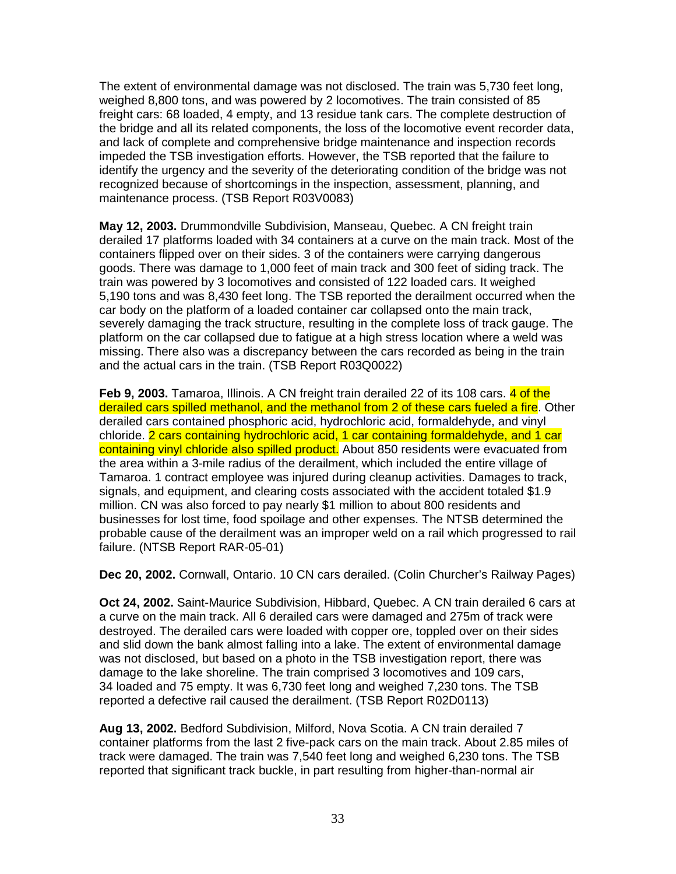The extent of environmental damage was not disclosed. The train was 5,730 feet long, weighed 8,800 tons, and was powered by 2 locomotives. The train consisted of 85 freight cars: 68 loaded, 4 empty, and 13 residue tank cars. The complete destruction of the bridge and all its related components, the loss of the locomotive event recorder data, and lack of complete and comprehensive bridge maintenance and inspection records impeded the TSB investigation efforts. However, the TSB reported that the failure to identify the urgency and the severity of the deteriorating condition of the bridge was not recognized because of shortcomings in the inspection, assessment, planning, and maintenance process. (TSB Report R03V0083)

**May 12, 2003.** Drummondville Subdivision, Manseau, Quebec. A CN freight train derailed 17 platforms loaded with 34 containers at a curve on the main track. Most of the containers flipped over on their sides. 3 of the containers were carrying dangerous goods. There was damage to 1,000 feet of main track and 300 feet of siding track. The train was powered by 3 locomotives and consisted of 122 loaded cars. It weighed 5,190 tons and was 8,430 feet long. The TSB reported the derailment occurred when the car body on the platform of a loaded container car collapsed onto the main track, severely damaging the track structure, resulting in the complete loss of track gauge. The platform on the car collapsed due to fatigue at a high stress location where a weld was missing. There also was a discrepancy between the cars recorded as being in the train and the actual cars in the train. (TSB Report R03Q0022)

**Feb 9, 2003.** Tamaroa, Illinois. A CN freight train derailed 22 of its 108 cars. 4 of the derailed cars spilled methanol, and the methanol from 2 of these cars fueled a fire. Other derailed cars contained phosphoric acid, hydrochloric acid, formaldehyde, and vinyl chloride. 2 cars containing hydrochloric acid, 1 car containing formaldehyde, and 1 car containing vinyl chloride also spilled product. About 850 residents were evacuated from the area within a 3-mile radius of the derailment, which included the entire village of Tamaroa. 1 contract employee was injured during cleanup activities. Damages to track, signals, and equipment, and clearing costs associated with the accident totaled \$1.9 million. CN was also forced to pay nearly \$1 million to about 800 residents and businesses for lost time, food spoilage and other expenses. The NTSB determined the probable cause of the derailment was an improper weld on a rail which progressed to rail failure. (NTSB Report RAR-05-01)

**Dec 20, 2002.** Cornwall, Ontario. 10 CN cars derailed. (Colin Churcher's Railway Pages)

**Oct 24, 2002.** Saint-Maurice Subdivision, Hibbard, Quebec. A CN train derailed 6 cars at a curve on the main track. All 6 derailed cars were damaged and 275m of track were destroyed. The derailed cars were loaded with copper ore, toppled over on their sides and slid down the bank almost falling into a lake. The extent of environmental damage was not disclosed, but based on a photo in the TSB investigation report, there was damage to the lake shoreline. The train comprised 3 locomotives and 109 cars, 34 loaded and 75 empty. It was 6,730 feet long and weighed 7,230 tons. The TSB reported a defective rail caused the derailment. (TSB Report R02D0113)

**Aug 13, 2002.** Bedford Subdivision, Milford, Nova Scotia. A CN train derailed 7 container platforms from the last 2 five-pack cars on the main track. About 2.85 miles of track were damaged. The train was 7,540 feet long and weighed 6,230 tons. The TSB reported that significant track buckle, in part resulting from higher-than-normal air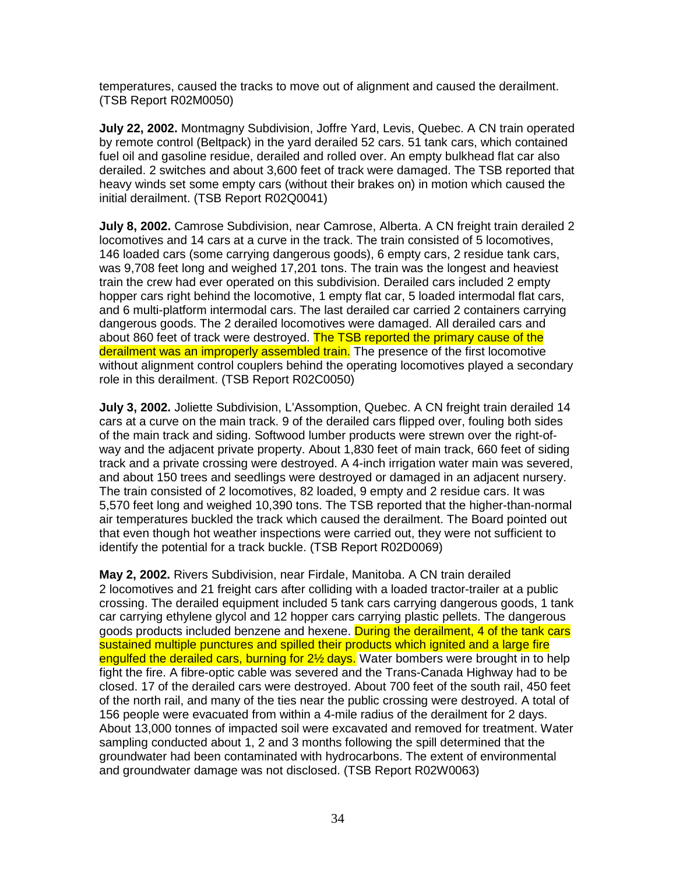temperatures, caused the tracks to move out of alignment and caused the derailment. (TSB Report R02M0050)

**July 22, 2002.** Montmagny Subdivision, Joffre Yard, Levis, Quebec. A CN train operated by remote control (Beltpack) in the yard derailed 52 cars. 51 tank cars, which contained fuel oil and gasoline residue, derailed and rolled over. An empty bulkhead flat car also derailed. 2 switches and about 3,600 feet of track were damaged. The TSB reported that heavy winds set some empty cars (without their brakes on) in motion which caused the initial derailment. (TSB Report R02Q0041)

**July 8, 2002.** Camrose Subdivision, near Camrose, Alberta. A CN freight train derailed 2 locomotives and 14 cars at a curve in the track. The train consisted of 5 locomotives, 146 loaded cars (some carrying dangerous goods), 6 empty cars, 2 residue tank cars, was 9,708 feet long and weighed 17,201 tons. The train was the longest and heaviest train the crew had ever operated on this subdivision. Derailed cars included 2 empty hopper cars right behind the locomotive, 1 empty flat car, 5 loaded intermodal flat cars, and 6 multi-platform intermodal cars. The last derailed car carried 2 containers carrying dangerous goods. The 2 derailed locomotives were damaged. All derailed cars and about 860 feet of track were destroyed. The TSB reported the primary cause of the derailment was an improperly assembled train. The presence of the first locomotive without alignment control couplers behind the operating locomotives played a secondary role in this derailment. (TSB Report R02C0050)

**July 3, 2002.** Joliette Subdivision, L'Assomption, Quebec. A CN freight train derailed 14 cars at a curve on the main track. 9 of the derailed cars flipped over, fouling both sides of the main track and siding. Softwood lumber products were strewn over the right-ofway and the adjacent private property. About 1,830 feet of main track, 660 feet of siding track and a private crossing were destroyed. A 4-inch irrigation water main was severed, and about 150 trees and seedlings were destroyed or damaged in an adjacent nursery. The train consisted of 2 locomotives, 82 loaded, 9 empty and 2 residue cars. It was 5,570 feet long and weighed 10,390 tons. The TSB reported that the higher-than-normal air temperatures buckled the track which caused the derailment. The Board pointed out that even though hot weather inspections were carried out, they were not sufficient to identify the potential for a track buckle. (TSB Report R02D0069)

**May 2, 2002.** Rivers Subdivision, near Firdale, Manitoba. A CN train derailed 2 locomotives and 21 freight cars after colliding with a loaded tractor-trailer at a public crossing. The derailed equipment included 5 tank cars carrying dangerous goods, 1 tank car carrying ethylene glycol and 12 hopper cars carrying plastic pellets. The dangerous goods products included benzene and hexene. During the derailment, 4 of the tank cars sustained multiple punctures and spilled their products which ignited and a large fire engulfed the derailed cars, burning for 2½ days. Water bombers were brought in to help fight the fire. A fibre-optic cable was severed and the Trans-Canada Highway had to be closed. 17 of the derailed cars were destroyed. About 700 feet of the south rail, 450 feet of the north rail, and many of the ties near the public crossing were destroyed. A total of 156 people were evacuated from within a 4-mile radius of the derailment for 2 days. About 13,000 tonnes of impacted soil were excavated and removed for treatment. Water sampling conducted about 1, 2 and 3 months following the spill determined that the groundwater had been contaminated with hydrocarbons. The extent of environmental and groundwater damage was not disclosed. (TSB Report R02W0063)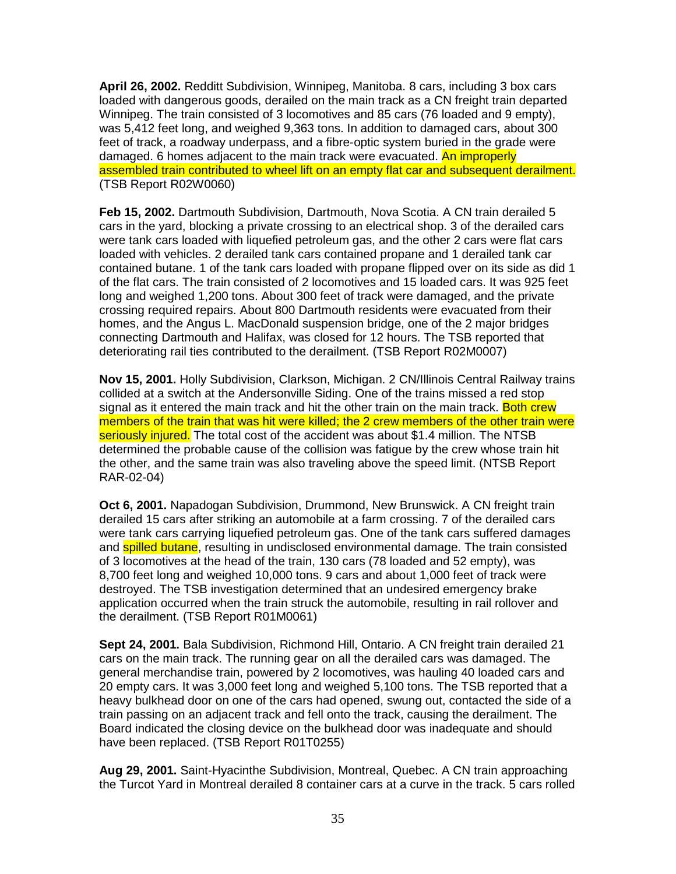**April 26, 2002.** Redditt Subdivision, Winnipeg, Manitoba. 8 cars, including 3 box cars loaded with dangerous goods, derailed on the main track as a CN freight train departed Winnipeg. The train consisted of 3 locomotives and 85 cars (76 loaded and 9 empty), was 5,412 feet long, and weighed 9,363 tons. In addition to damaged cars, about 300 feet of track, a roadway underpass, and a fibre-optic system buried in the grade were damaged. 6 homes adjacent to the main track were evacuated. An improperly assembled train contributed to wheel lift on an empty flat car and subsequent derailment. (TSB Report R02W0060)

**Feb 15, 2002.** Dartmouth Subdivision, Dartmouth, Nova Scotia. A CN train derailed 5 cars in the yard, blocking a private crossing to an electrical shop. 3 of the derailed cars were tank cars loaded with liquefied petroleum gas, and the other 2 cars were flat cars loaded with vehicles. 2 derailed tank cars contained propane and 1 derailed tank car contained butane. 1 of the tank cars loaded with propane flipped over on its side as did 1 of the flat cars. The train consisted of 2 locomotives and 15 loaded cars. It was 925 feet long and weighed 1,200 tons. About 300 feet of track were damaged, and the private crossing required repairs. About 800 Dartmouth residents were evacuated from their homes, and the Angus L. MacDonald suspension bridge, one of the 2 major bridges connecting Dartmouth and Halifax, was closed for 12 hours. The TSB reported that deteriorating rail ties contributed to the derailment. (TSB Report R02M0007)

**Nov 15, 2001.** Holly Subdivision, Clarkson, Michigan. 2 CN/Illinois Central Railway trains collided at a switch at the Andersonville Siding. One of the trains missed a red stop signal as it entered the main track and hit the other train on the main track. Both crew members of the train that was hit were killed; the 2 crew members of the other train were seriously injured. The total cost of the accident was about \$1.4 million. The NTSB determined the probable cause of the collision was fatigue by the crew whose train hit the other, and the same train was also traveling above the speed limit. (NTSB Report RAR-02-04)

**Oct 6, 2001.** Napadogan Subdivision, Drummond, New Brunswick. A CN freight train derailed 15 cars after striking an automobile at a farm crossing. 7 of the derailed cars were tank cars carrying liquefied petroleum gas. One of the tank cars suffered damages and **spilled butane**, resulting in undisclosed environmental damage. The train consisted of 3 locomotives at the head of the train, 130 cars (78 loaded and 52 empty), was 8,700 feet long and weighed 10,000 tons. 9 cars and about 1,000 feet of track were destroyed. The TSB investigation determined that an undesired emergency brake application occurred when the train struck the automobile, resulting in rail rollover and the derailment. (TSB Report R01M0061)

**Sept 24, 2001.** Bala Subdivision, Richmond Hill, Ontario. A CN freight train derailed 21 cars on the main track. The running gear on all the derailed cars was damaged. The general merchandise train, powered by 2 locomotives, was hauling 40 loaded cars and 20 empty cars. It was 3,000 feet long and weighed 5,100 tons. The TSB reported that a heavy bulkhead door on one of the cars had opened, swung out, contacted the side of a train passing on an adjacent track and fell onto the track, causing the derailment. The Board indicated the closing device on the bulkhead door was inadequate and should have been replaced. (TSB Report R01T0255)

**Aug 29, 2001.** Saint-Hyacinthe Subdivision, Montreal, Quebec. A CN train approaching the Turcot Yard in Montreal derailed 8 container cars at a curve in the track. 5 cars rolled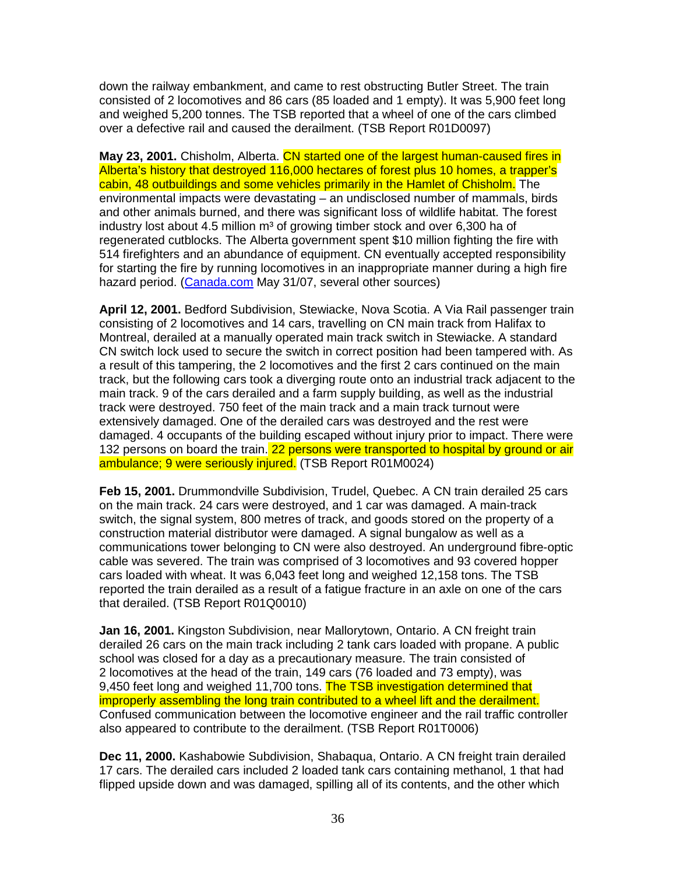down the railway embankment, and came to rest obstructing Butler Street. The train consisted of 2 locomotives and 86 cars (85 loaded and 1 empty). It was 5,900 feet long and weighed 5,200 tonnes. The TSB reported that a wheel of one of the cars climbed over a defective rail and caused the derailment. (TSB Report R01D0097)

**May 23, 2001.** Chisholm, Alberta. CN started one of the largest human-caused fires in Alberta's history that destroyed 116,000 hectares of forest plus 10 homes, a trapper's cabin, 48 outbuildings and some vehicles primarily in the Hamlet of Chisholm. The environmental impacts were devastating – an undisclosed number of mammals, birds and other animals burned, and there was significant loss of wildlife habitat. The forest industry lost about 4.5 million  $m<sup>3</sup>$  of growing timber stock and over 6,300 ha of regenerated cutblocks. The Alberta government spent \$10 million fighting the fire with 514 firefighters and an abundance of equipment. CN eventually accepted responsibility for starting the fire by running locomotives in an inappropriate manner during a high fire hazard period. (Canada.com May 31/07, several other sources)

**April 12, 2001.** Bedford Subdivision, Stewiacke, Nova Scotia. A Via Rail passenger train consisting of 2 locomotives and 14 cars, travelling on CN main track from Halifax to Montreal, derailed at a manually operated main track switch in Stewiacke. A standard CN switch lock used to secure the switch in correct position had been tampered with. As a result of this tampering, the 2 locomotives and the first 2 cars continued on the main track, but the following cars took a diverging route onto an industrial track adjacent to the main track. 9 of the cars derailed and a farm supply building, as well as the industrial track were destroyed. 750 feet of the main track and a main track turnout were extensively damaged. One of the derailed cars was destroyed and the rest were damaged. 4 occupants of the building escaped without injury prior to impact. There were 132 persons on board the train. 22 persons were transported to hospital by ground or air ambulance; 9 were seriously injured. (TSB Report R01M0024)

**Feb 15, 2001.** Drummondville Subdivision, Trudel, Quebec. A CN train derailed 25 cars on the main track. 24 cars were destroyed, and 1 car was damaged. A main-track switch, the signal system, 800 metres of track, and goods stored on the property of a construction material distributor were damaged. A signal bungalow as well as a communications tower belonging to CN were also destroyed. An underground fibre-optic cable was severed. The train was comprised of 3 locomotives and 93 covered hopper cars loaded with wheat. It was 6,043 feet long and weighed 12,158 tons. The TSB reported the train derailed as a result of a fatigue fracture in an axle on one of the cars that derailed. (TSB Report R01Q0010)

**Jan 16, 2001.** Kingston Subdivision, near Mallorytown, Ontario. A CN freight train derailed 26 cars on the main track including 2 tank cars loaded with propane. A public school was closed for a day as a precautionary measure. The train consisted of 2 locomotives at the head of the train, 149 cars (76 loaded and 73 empty), was 9,450 feet long and weighed 11,700 tons. The TSB investigation determined that improperly assembling the long train contributed to a wheel lift and the derailment. Confused communication between the locomotive engineer and the rail traffic controller also appeared to contribute to the derailment. (TSB Report R01T0006)

**Dec 11, 2000.** Kashabowie Subdivision, Shabaqua, Ontario. A CN freight train derailed 17 cars. The derailed cars included 2 loaded tank cars containing methanol, 1 that had flipped upside down and was damaged, spilling all of its contents, and the other which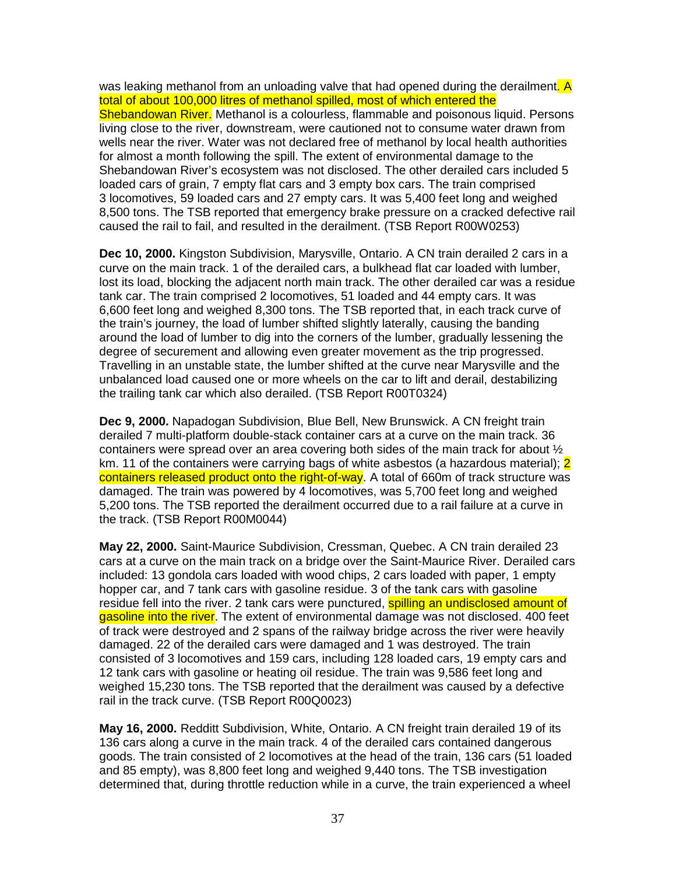was leaking methanol from an unloading valve that had opened during the derailment. A total of about 100,000 litres of methanol spilled, most of which entered the Shebandowan River. Methanol is a colourless, flammable and poisonous liquid. Persons living close to the river, downstream, were cautioned not to consume water drawn from wells near the river. Water was not declared free of methanol by local health authorities for almost a month following the spill. The extent of environmental damage to the Shebandowan River's ecosystem was not disclosed. The other derailed cars included 5 loaded cars of grain, 7 empty flat cars and 3 empty box cars. The train comprised 3 locomotives, 59 loaded cars and 27 empty cars. It was 5,400 feet long and weighed 8,500 tons. The TSB reported that emergency brake pressure on a cracked defective rail caused the rail to fail, and resulted in the derailment. (TSB Report R00W0253)

**Dec 10, 2000.** Kingston Subdivision, Marysville, Ontario. A CN train derailed 2 cars in a curve on the main track. 1 of the derailed cars, a bulkhead flat car loaded with lumber, lost its load, blocking the adjacent north main track. The other derailed car was a residue tank car. The train comprised 2 locomotives, 51 loaded and 44 empty cars. It was 6,600 feet long and weighed 8,300 tons. The TSB reported that, in each track curve of the train's journey, the load of lumber shifted slightly laterally, causing the banding around the load of lumber to dig into the corners of the lumber, gradually lessening the degree of securement and allowing even greater movement as the trip progressed. Travelling in an unstable state, the lumber shifted at the curve near Marysville and the unbalanced load caused one or more wheels on the car to lift and derail, destabilizing the trailing tank car which also derailed. (TSB Report R00T0324)

**Dec 9, 2000.** Napadogan Subdivision, Blue Bell, New Brunswick. A CN freight train derailed 7 multi-platform double-stack container cars at a curve on the main track. 36 containers were spread over an area covering both sides of the main track for about ½ km. 11 of the containers were carrying bags of white asbestos (a hazardous material): 2 containers released product onto the right-of-way. A total of 660m of track structure was damaged. The train was powered by 4 locomotives, was 5,700 feet long and weighed 5,200 tons. The TSB reported the derailment occurred due to a rail failure at a curve in the track. (TSB Report R00M0044)

**May 22, 2000.** Saint-Maurice Subdivision, Cressman, Quebec. A CN train derailed 23 cars at a curve on the main track on a bridge over the Saint-Maurice River. Derailed cars included: 13 gondola cars loaded with wood chips, 2 cars loaded with paper, 1 empty hopper car, and 7 tank cars with gasoline residue. 3 of the tank cars with gasoline residue fell into the river. 2 tank cars were punctured, **spilling an undisclosed amount of** gasoline into the river. The extent of environmental damage was not disclosed. 400 feet of track were destroyed and 2 spans of the railway bridge across the river were heavily damaged. 22 of the derailed cars were damaged and 1 was destroyed. The train consisted of 3 locomotives and 159 cars, including 128 loaded cars, 19 empty cars and 12 tank cars with gasoline or heating oil residue. The train was 9,586 feet long and weighed 15,230 tons. The TSB reported that the derailment was caused by a defective rail in the track curve. (TSB Report R00Q0023)

**May 16, 2000.** Redditt Subdivision, White, Ontario. A CN freight train derailed 19 of its 136 cars along a curve in the main track. 4 of the derailed cars contained dangerous goods. The train consisted of 2 locomotives at the head of the train, 136 cars (51 loaded and 85 empty), was 8,800 feet long and weighed 9,440 tons. The TSB investigation determined that, during throttle reduction while in a curve, the train experienced a wheel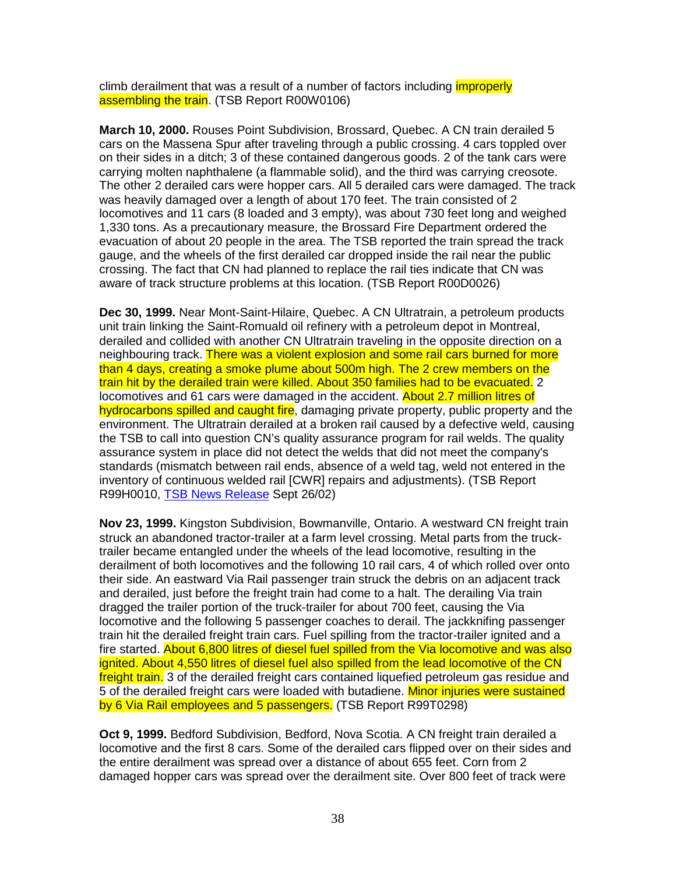climb derailment that was a result of a number of factors including *improperly* assembling the train. (TSB Report R00W0106)

**March 10, 2000.** Rouses Point Subdivision, Brossard, Quebec. A CN train derailed 5 cars on the Massena Spur after traveling through a public crossing. 4 cars toppled over on their sides in a ditch; 3 of these contained dangerous goods. 2 of the tank cars were carrying molten naphthalene (a flammable solid), and the third was carrying creosote. The other 2 derailed cars were hopper cars. All 5 derailed cars were damaged. The track was heavily damaged over a length of about 170 feet. The train consisted of 2 locomotives and 11 cars (8 loaded and 3 empty), was about 730 feet long and weighed 1,330 tons. As a precautionary measure, the Brossard Fire Department ordered the evacuation of about 20 people in the area. The TSB reported the train spread the track gauge, and the wheels of the first derailed car dropped inside the rail near the public crossing. The fact that CN had planned to replace the rail ties indicate that CN was aware of track structure problems at this location. (TSB Report R00D0026)

**Dec 30, 1999.** Near Mont-Saint-Hilaire, Quebec. A CN Ultratrain, a petroleum products unit train linking the Saint-Romuald oil refinery with a petroleum depot in Montreal, derailed and collided with another CN Ultratrain traveling in the opposite direction on a neighbouring track. There was a violent explosion and some rail cars burned for more than 4 days, creating a smoke plume about 500m high. The 2 crew members on the train hit by the derailed train were killed. About 350 families had to be evacuated. 2 locomotives and 61 cars were damaged in the accident. About 2.7 million litres of hydrocarbons spilled and caught fire, damaging private property, public property and the environment. The Ultratrain derailed at a broken rail caused by a defective weld, causing the TSB to call into question CN's quality assurance program for rail welds. The quality assurance system in place did not detect the welds that did not meet the company's standards (mismatch between rail ends, absence of a weld tag, weld not entered in the inventory of continuous welded rail [CWR] repairs and adjustments). (TSB Report R99H0010, TSB News Release Sept 26/02)

**Nov 23, 1999.** Kingston Subdivision, Bowmanville, Ontario. A westward CN freight train struck an abandoned tractor-trailer at a farm level crossing. Metal parts from the trucktrailer became entangled under the wheels of the lead locomotive, resulting in the derailment of both locomotives and the following 10 rail cars, 4 of which rolled over onto their side. An eastward Via Rail passenger train struck the debris on an adjacent track and derailed, just before the freight train had come to a halt. The derailing Via train dragged the trailer portion of the truck-trailer for about 700 feet, causing the Via locomotive and the following 5 passenger coaches to derail. The jackknifing passenger train hit the derailed freight train cars. Fuel spilling from the tractor-trailer ignited and a fire started. About 6,800 litres of diesel fuel spilled from the Via locomotive and was also ignited. About 4,550 litres of diesel fuel also spilled from the lead locomotive of the CN freight train. 3 of the derailed freight cars contained liquefied petroleum gas residue and 5 of the derailed freight cars were loaded with butadiene. Minor injuries were sustained by 6 Via Rail employees and 5 passengers. (TSB Report R99T0298)

**Oct 9, 1999.** Bedford Subdivision, Bedford, Nova Scotia. A CN freight train derailed a locomotive and the first 8 cars. Some of the derailed cars flipped over on their sides and the entire derailment was spread over a distance of about 655 feet. Corn from 2 damaged hopper cars was spread over the derailment site. Over 800 feet of track were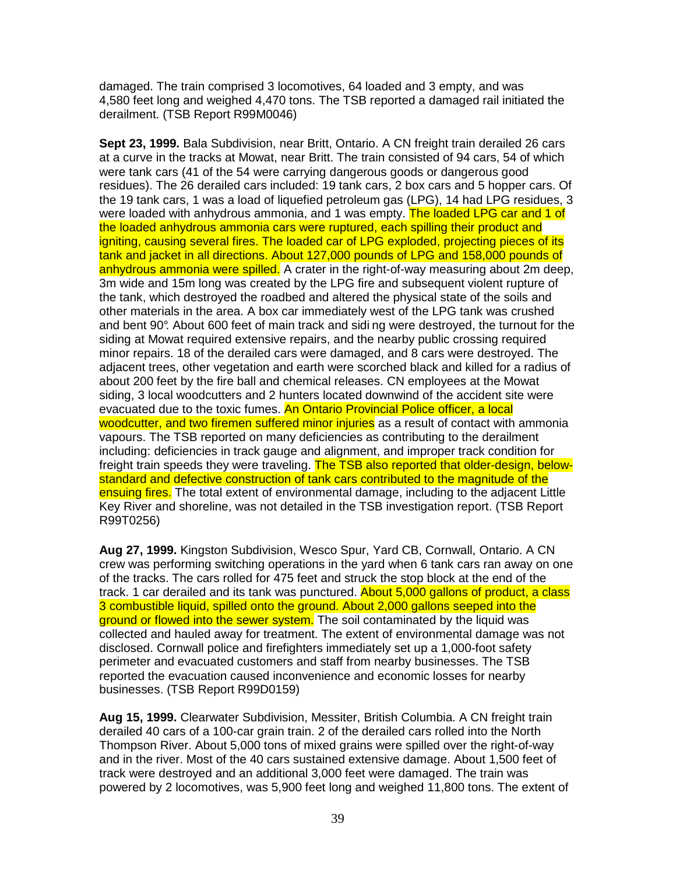damaged. The train comprised 3 locomotives, 64 loaded and 3 empty, and was 4,580 feet long and weighed 4,470 tons. The TSB reported a damaged rail initiated the derailment. (TSB Report R99M0046)

**Sept 23, 1999.** Bala Subdivision, near Britt, Ontario. A CN freight train derailed 26 cars at a curve in the tracks at Mowat, near Britt. The train consisted of 94 cars, 54 of which were tank cars (41 of the 54 were carrying dangerous goods or dangerous good residues). The 26 derailed cars included: 19 tank cars, 2 box cars and 5 hopper cars. Of the 19 tank cars, 1 was a load of liquefied petroleum gas (LPG), 14 had LPG residues, 3 were loaded with anhydrous ammonia, and 1 was empty. The loaded LPG car and 1 of the loaded anhydrous ammonia cars were ruptured, each spilling their product and igniting, causing several fires. The loaded car of LPG exploded, projecting pieces of its tank and jacket in all directions. About 127,000 pounds of LPG and 158,000 pounds of anhydrous ammonia were spilled. A crater in the right-of-way measuring about 2m deep, 3m wide and 15m long was created by the LPG fire and subsequent violent rupture of the tank, which destroyed the roadbed and altered the physical state of the soils and other materials in the area. A box car immediately west of the LPG tank was crushed and bent 90°. About 600 feet of main track and sidi ng were destroyed, the turnout for the siding at Mowat required extensive repairs, and the nearby public crossing required minor repairs. 18 of the derailed cars were damaged, and 8 cars were destroyed. The adjacent trees, other vegetation and earth were scorched black and killed for a radius of about 200 feet by the fire ball and chemical releases. CN employees at the Mowat siding, 3 local woodcutters and 2 hunters located downwind of the accident site were evacuated due to the toxic fumes. An Ontario Provincial Police officer, a local woodcutter, and two firemen suffered minor injuries as a result of contact with ammonia vapours. The TSB reported on many deficiencies as contributing to the derailment including: deficiencies in track gauge and alignment, and improper track condition for freight train speeds they were traveling. The TSB also reported that older-design, belowstandard and defective construction of tank cars contributed to the magnitude of the ensuing fires. The total extent of environmental damage, including to the adjacent Little Key River and shoreline, was not detailed in the TSB investigation report. (TSB Report R99T0256)

**Aug 27, 1999.** Kingston Subdivision, Wesco Spur, Yard CB, Cornwall, Ontario. A CN crew was performing switching operations in the yard when 6 tank cars ran away on one of the tracks. The cars rolled for 475 feet and struck the stop block at the end of the track. 1 car derailed and its tank was punctured. About 5,000 gallons of product, a class 3 combustible liquid, spilled onto the ground. About 2,000 gallons seeped into the ground or flowed into the sewer system. The soil contaminated by the liquid was collected and hauled away for treatment. The extent of environmental damage was not disclosed. Cornwall police and firefighters immediately set up a 1,000-foot safety perimeter and evacuated customers and staff from nearby businesses. The TSB reported the evacuation caused inconvenience and economic losses for nearby businesses. (TSB Report R99D0159)

**Aug 15, 1999.** Clearwater Subdivision, Messiter, British Columbia. A CN freight train derailed 40 cars of a 100-car grain train. 2 of the derailed cars rolled into the North Thompson River. About 5,000 tons of mixed grains were spilled over the right-of-way and in the river. Most of the 40 cars sustained extensive damage. About 1,500 feet of track were destroyed and an additional 3,000 feet were damaged. The train was powered by 2 locomotives, was 5,900 feet long and weighed 11,800 tons. The extent of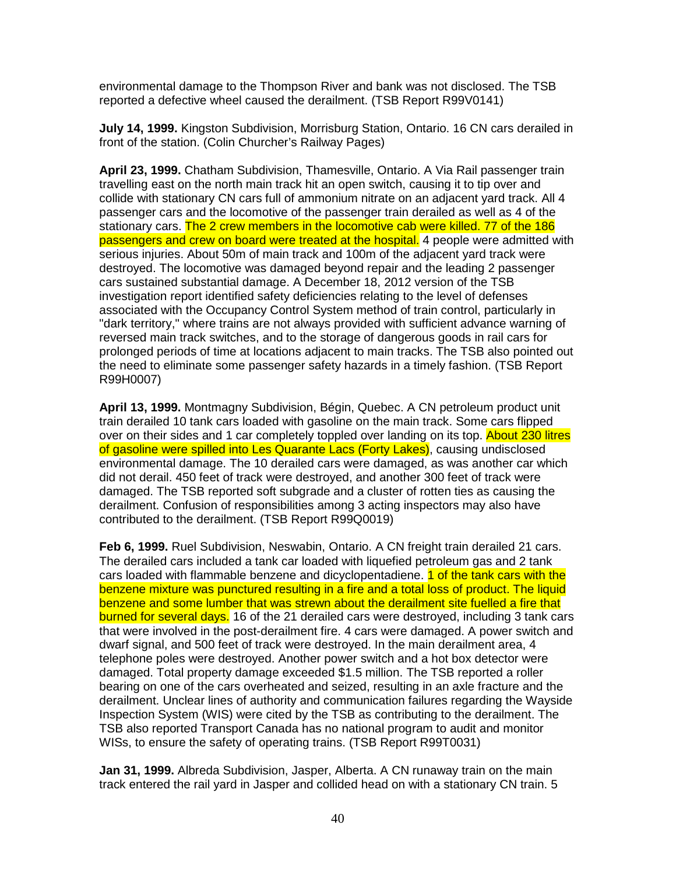environmental damage to the Thompson River and bank was not disclosed. The TSB reported a defective wheel caused the derailment. (TSB Report R99V0141)

**July 14, 1999.** Kingston Subdivision, Morrisburg Station, Ontario. 16 CN cars derailed in front of the station. (Colin Churcher's Railway Pages)

**April 23, 1999.** Chatham Subdivision, Thamesville, Ontario. A Via Rail passenger train travelling east on the north main track hit an open switch, causing it to tip over and collide with stationary CN cars full of ammonium nitrate on an adjacent yard track. All 4 passenger cars and the locomotive of the passenger train derailed as well as 4 of the stationary cars. The 2 crew members in the locomotive cab were killed. 77 of the 186 passengers and crew on board were treated at the hospital. 4 people were admitted with serious injuries. About 50m of main track and 100m of the adjacent yard track were destroyed. The locomotive was damaged beyond repair and the leading 2 passenger cars sustained substantial damage. A December 18, 2012 version of the TSB investigation report identified safety deficiencies relating to the level of defenses associated with the Occupancy Control System method of train control, particularly in "dark territory," where trains are not always provided with sufficient advance warning of reversed main track switches, and to the storage of dangerous goods in rail cars for prolonged periods of time at locations adjacent to main tracks. The TSB also pointed out the need to eliminate some passenger safety hazards in a timely fashion. (TSB Report R99H0007)

**April 13, 1999.** Montmagny Subdivision, Bégin, Quebec. A CN petroleum product unit train derailed 10 tank cars loaded with gasoline on the main track. Some cars flipped over on their sides and 1 car completely toppled over landing on its top. About 230 litres of gasoline were spilled into Les Quarante Lacs (Forty Lakes), causing undisclosed environmental damage. The 10 derailed cars were damaged, as was another car which did not derail. 450 feet of track were destroyed, and another 300 feet of track were damaged. The TSB reported soft subgrade and a cluster of rotten ties as causing the derailment. Confusion of responsibilities among 3 acting inspectors may also have contributed to the derailment. (TSB Report R99Q0019)

**Feb 6, 1999.** Ruel Subdivision, Neswabin, Ontario. A CN freight train derailed 21 cars. The derailed cars included a tank car loaded with liquefied petroleum gas and 2 tank cars loaded with flammable benzene and dicyclopentadiene. **1 of the tank cars with the** benzene mixture was punctured resulting in a fire and a total loss of product. The liquid benzene and some lumber that was strewn about the derailment site fuelled a fire that burned for several days. 16 of the 21 derailed cars were destroyed, including 3 tank cars that were involved in the post-derailment fire. 4 cars were damaged. A power switch and dwarf signal, and 500 feet of track were destroyed. In the main derailment area, 4 telephone poles were destroyed. Another power switch and a hot box detector were damaged. Total property damage exceeded \$1.5 million. The TSB reported a roller bearing on one of the cars overheated and seized, resulting in an axle fracture and the derailment. Unclear lines of authority and communication failures regarding the Wayside Inspection System (WIS) were cited by the TSB as contributing to the derailment. The TSB also reported Transport Canada has no national program to audit and monitor WISs, to ensure the safety of operating trains. (TSB Report R99T0031)

**Jan 31, 1999.** Albreda Subdivision, Jasper, Alberta. A CN runaway train on the main track entered the rail yard in Jasper and collided head on with a stationary CN train. 5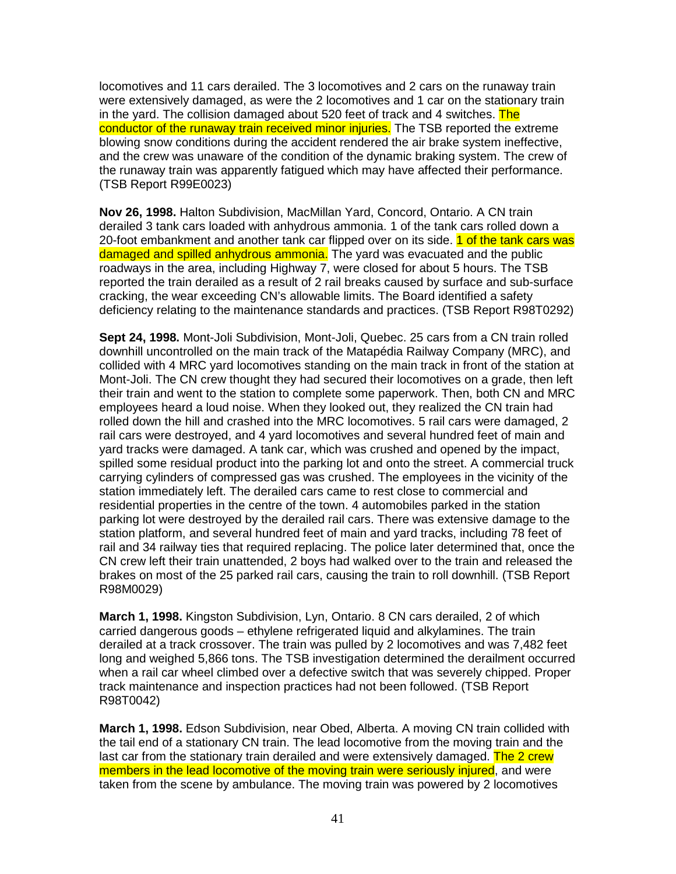locomotives and 11 cars derailed. The 3 locomotives and 2 cars on the runaway train were extensively damaged, as were the 2 locomotives and 1 car on the stationary train in the yard. The collision damaged about 520 feet of track and 4 switches. The conductor of the runaway train received minor injuries. The TSB reported the extreme blowing snow conditions during the accident rendered the air brake system ineffective, and the crew was unaware of the condition of the dynamic braking system. The crew of the runaway train was apparently fatigued which may have affected their performance. (TSB Report R99E0023)

**Nov 26, 1998.** Halton Subdivision, MacMillan Yard, Concord, Ontario. A CN train derailed 3 tank cars loaded with anhydrous ammonia. 1 of the tank cars rolled down a 20-foot embankment and another tank car flipped over on its side. 1 of the tank cars was damaged and spilled anhydrous ammonia. The yard was evacuated and the public roadways in the area, including Highway 7, were closed for about 5 hours. The TSB reported the train derailed as a result of 2 rail breaks caused by surface and sub-surface cracking, the wear exceeding CN's allowable limits. The Board identified a safety deficiency relating to the maintenance standards and practices. (TSB Report R98T0292)

**Sept 24, 1998.** Mont-Joli Subdivision, Mont-Joli, Quebec. 25 cars from a CN train rolled downhill uncontrolled on the main track of the Matapédia Railway Company (MRC), and collided with 4 MRC yard locomotives standing on the main track in front of the station at Mont-Joli. The CN crew thought they had secured their locomotives on a grade, then left their train and went to the station to complete some paperwork. Then, both CN and MRC employees heard a loud noise. When they looked out, they realized the CN train had rolled down the hill and crashed into the MRC locomotives. 5 rail cars were damaged, 2 rail cars were destroyed, and 4 yard locomotives and several hundred feet of main and yard tracks were damaged. A tank car, which was crushed and opened by the impact, spilled some residual product into the parking lot and onto the street. A commercial truck carrying cylinders of compressed gas was crushed. The employees in the vicinity of the station immediately left. The derailed cars came to rest close to commercial and residential properties in the centre of the town. 4 automobiles parked in the station parking lot were destroyed by the derailed rail cars. There was extensive damage to the station platform, and several hundred feet of main and yard tracks, including 78 feet of rail and 34 railway ties that required replacing. The police later determined that, once the CN crew left their train unattended, 2 boys had walked over to the train and released the brakes on most of the 25 parked rail cars, causing the train to roll downhill. (TSB Report R98M0029)

**March 1, 1998.** Kingston Subdivision, Lyn, Ontario. 8 CN cars derailed, 2 of which carried dangerous goods – ethylene refrigerated liquid and alkylamines. The train derailed at a track crossover. The train was pulled by 2 locomotives and was 7,482 feet long and weighed 5,866 tons. The TSB investigation determined the derailment occurred when a rail car wheel climbed over a defective switch that was severely chipped. Proper track maintenance and inspection practices had not been followed. (TSB Report R98T0042)

**March 1, 1998.** Edson Subdivision, near Obed, Alberta. A moving CN train collided with the tail end of a stationary CN train. The lead locomotive from the moving train and the last car from the stationary train derailed and were extensively damaged. The 2 crew members in the lead locomotive of the moving train were seriously injured, and were taken from the scene by ambulance. The moving train was powered by 2 locomotives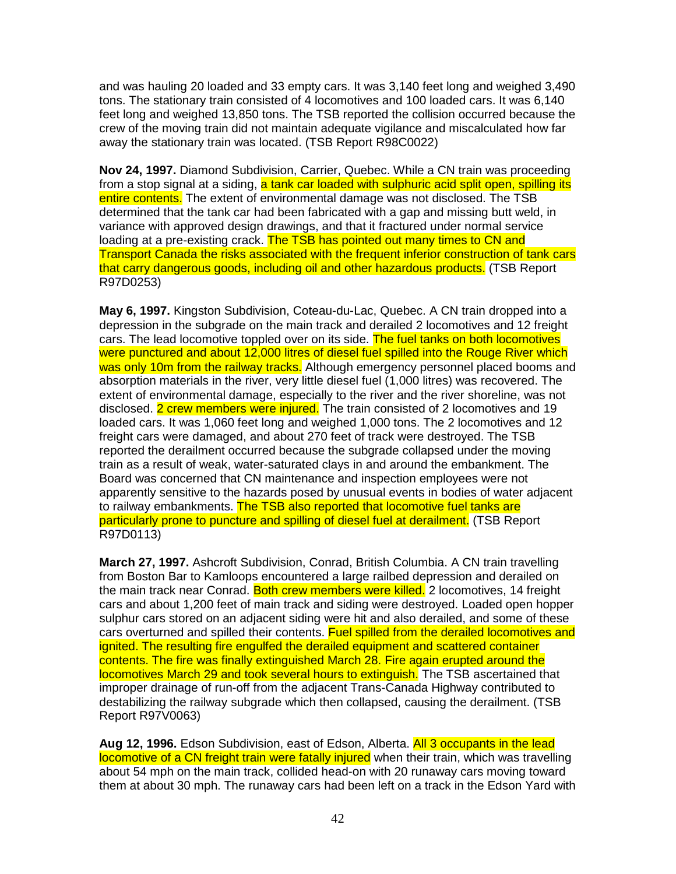and was hauling 20 loaded and 33 empty cars. It was 3,140 feet long and weighed 3,490 tons. The stationary train consisted of 4 locomotives and 100 loaded cars. It was 6,140 feet long and weighed 13,850 tons. The TSB reported the collision occurred because the crew of the moving train did not maintain adequate vigilance and miscalculated how far away the stationary train was located. (TSB Report R98C0022)

**Nov 24, 1997.** Diamond Subdivision, Carrier, Quebec. While a CN train was proceeding from a stop signal at a siding, a tank car loaded with sulphuric acid split open, spilling its entire contents. The extent of environmental damage was not disclosed. The TSB determined that the tank car had been fabricated with a gap and missing butt weld, in variance with approved design drawings, and that it fractured under normal service loading at a pre-existing crack. The TSB has pointed out many times to CN and Transport Canada the risks associated with the frequent inferior construction of tank cars that carry dangerous goods, including oil and other hazardous products. (TSB Report R97D0253)

**May 6, 1997.** Kingston Subdivision, Coteau-du-Lac, Quebec. A CN train dropped into a depression in the subgrade on the main track and derailed 2 locomotives and 12 freight cars. The lead locomotive toppled over on its side. The fuel tanks on both locomotives were punctured and about 12,000 litres of diesel fuel spilled into the Rouge River which was only 10m from the railway tracks. Although emergency personnel placed booms and absorption materials in the river, very little diesel fuel (1,000 litres) was recovered. The extent of environmental damage, especially to the river and the river shoreline, was not disclosed. 2 crew members were injured. The train consisted of 2 locomotives and 19 loaded cars. It was 1,060 feet long and weighed 1,000 tons. The 2 locomotives and 12 freight cars were damaged, and about 270 feet of track were destroyed. The TSB reported the derailment occurred because the subgrade collapsed under the moving train as a result of weak, water-saturated clays in and around the embankment. The Board was concerned that CN maintenance and inspection employees were not apparently sensitive to the hazards posed by unusual events in bodies of water adjacent to railway embankments. The TSB also reported that locomotive fuel tanks are particularly prone to puncture and spilling of diesel fuel at derailment. (TSB Report R97D0113)

**March 27, 1997.** Ashcroft Subdivision, Conrad, British Columbia. A CN train travelling from Boston Bar to Kamloops encountered a large railbed depression and derailed on the main track near Conrad. Both crew members were killed. 2 locomotives, 14 freight cars and about 1,200 feet of main track and siding were destroyed. Loaded open hopper sulphur cars stored on an adjacent siding were hit and also derailed, and some of these cars overturned and spilled their contents. Fuel spilled from the derailed locomotives and ignited. The resulting fire engulfed the derailed equipment and scattered container contents. The fire was finally extinguished March 28. Fire again erupted around the locomotives March 29 and took several hours to extinguish. The TSB ascertained that improper drainage of run-off from the adjacent Trans-Canada Highway contributed to destabilizing the railway subgrade which then collapsed, causing the derailment. (TSB Report R97V0063)

**Aug 12, 1996.** Edson Subdivision, east of Edson, Alberta. All 3 occupants in the lead locomotive of a CN freight train were fatally injured when their train, which was travelling about 54 mph on the main track, collided head-on with 20 runaway cars moving toward them at about 30 mph. The runaway cars had been left on a track in the Edson Yard with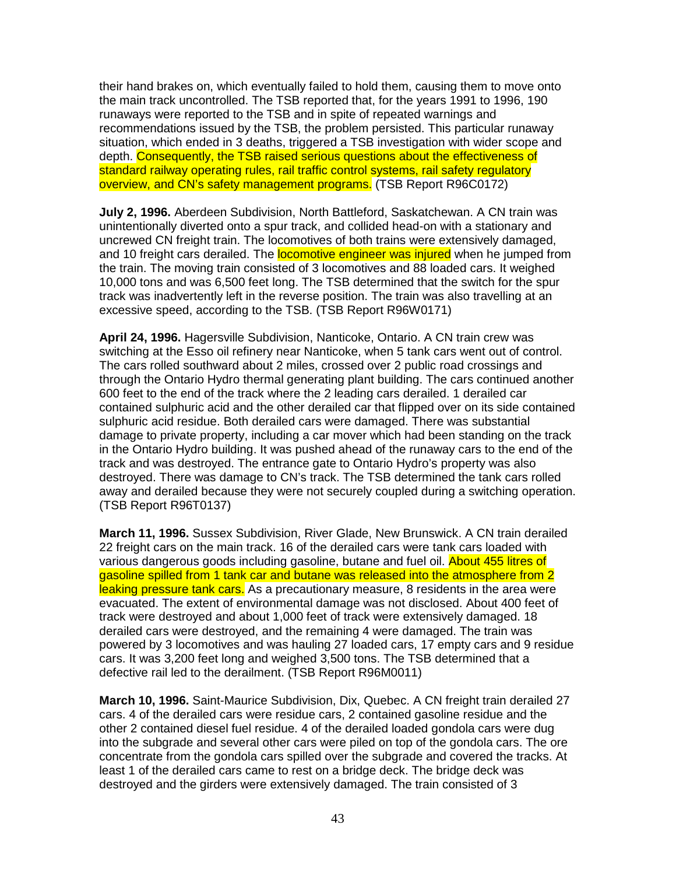their hand brakes on, which eventually failed to hold them, causing them to move onto the main track uncontrolled. The TSB reported that, for the years 1991 to 1996, 190 runaways were reported to the TSB and in spite of repeated warnings and recommendations issued by the TSB, the problem persisted. This particular runaway situation, which ended in 3 deaths, triggered a TSB investigation with wider scope and depth. Consequently, the TSB raised serious questions about the effectiveness of standard railway operating rules, rail traffic control systems, rail safety regulatory overview, and CN's safety management programs. (TSB Report R96C0172)

**July 2, 1996.** Aberdeen Subdivision, North Battleford, Saskatchewan. A CN train was unintentionally diverted onto a spur track, and collided head-on with a stationary and uncrewed CN freight train. The locomotives of both trains were extensively damaged, and 10 freight cars derailed. The **locomotive engineer was injured** when he jumped from the train. The moving train consisted of 3 locomotives and 88 loaded cars. It weighed 10,000 tons and was 6,500 feet long. The TSB determined that the switch for the spur track was inadvertently left in the reverse position. The train was also travelling at an excessive speed, according to the TSB. (TSB Report R96W0171)

**April 24, 1996.** Hagersville Subdivision, Nanticoke, Ontario. A CN train crew was switching at the Esso oil refinery near Nanticoke, when 5 tank cars went out of control. The cars rolled southward about 2 miles, crossed over 2 public road crossings and through the Ontario Hydro thermal generating plant building. The cars continued another 600 feet to the end of the track where the 2 leading cars derailed. 1 derailed car contained sulphuric acid and the other derailed car that flipped over on its side contained sulphuric acid residue. Both derailed cars were damaged. There was substantial damage to private property, including a car mover which had been standing on the track in the Ontario Hydro building. It was pushed ahead of the runaway cars to the end of the track and was destroyed. The entrance gate to Ontario Hydro's property was also destroyed. There was damage to CN's track. The TSB determined the tank cars rolled away and derailed because they were not securely coupled during a switching operation. (TSB Report R96T0137)

**March 11, 1996.** Sussex Subdivision, River Glade, New Brunswick. A CN train derailed 22 freight cars on the main track. 16 of the derailed cars were tank cars loaded with various dangerous goods including gasoline, butane and fuel oil. About 455 litres of gasoline spilled from 1 tank car and butane was released into the atmosphere from 2 leaking pressure tank cars. As a precautionary measure, 8 residents in the area were evacuated. The extent of environmental damage was not disclosed. About 400 feet of track were destroyed and about 1,000 feet of track were extensively damaged. 18 derailed cars were destroyed, and the remaining 4 were damaged. The train was powered by 3 locomotives and was hauling 27 loaded cars, 17 empty cars and 9 residue cars. It was 3,200 feet long and weighed 3,500 tons. The TSB determined that a defective rail led to the derailment. (TSB Report R96M0011)

**March 10, 1996.** Saint-Maurice Subdivision, Dix, Quebec. A CN freight train derailed 27 cars. 4 of the derailed cars were residue cars, 2 contained gasoline residue and the other 2 contained diesel fuel residue. 4 of the derailed loaded gondola cars were dug into the subgrade and several other cars were piled on top of the gondola cars. The ore concentrate from the gondola cars spilled over the subgrade and covered the tracks. At least 1 of the derailed cars came to rest on a bridge deck. The bridge deck was destroyed and the girders were extensively damaged. The train consisted of 3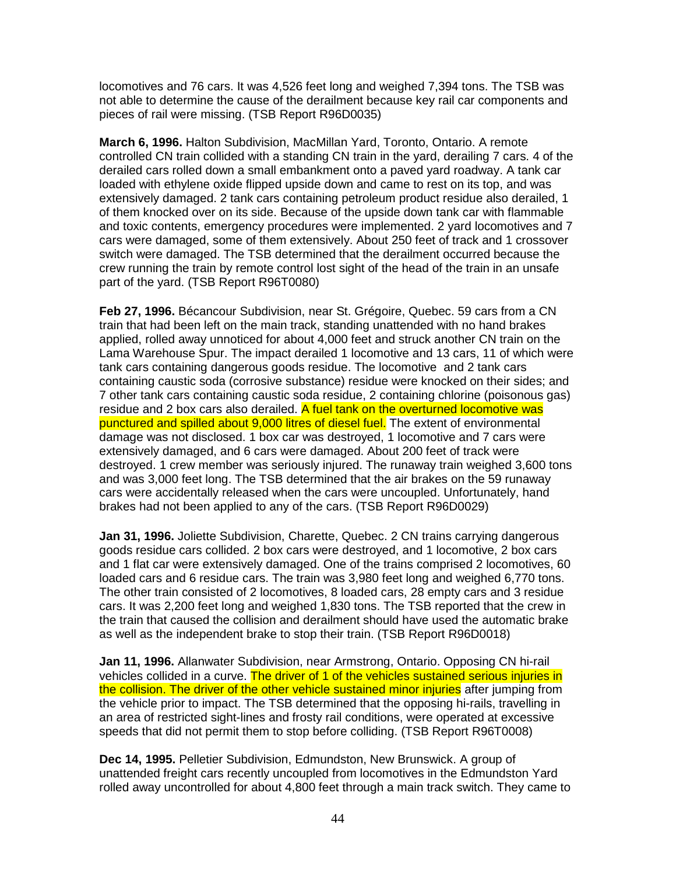locomotives and 76 cars. It was 4,526 feet long and weighed 7,394 tons. The TSB was not able to determine the cause of the derailment because key rail car components and pieces of rail were missing. (TSB Report R96D0035)

**March 6, 1996.** Halton Subdivision, MacMillan Yard, Toronto, Ontario. A remote controlled CN train collided with a standing CN train in the yard, derailing 7 cars. 4 of the derailed cars rolled down a small embankment onto a paved yard roadway. A tank car loaded with ethylene oxide flipped upside down and came to rest on its top, and was extensively damaged. 2 tank cars containing petroleum product residue also derailed, 1 of them knocked over on its side. Because of the upside down tank car with flammable and toxic contents, emergency procedures were implemented. 2 yard locomotives and 7 cars were damaged, some of them extensively. About 250 feet of track and 1 crossover switch were damaged. The TSB determined that the derailment occurred because the crew running the train by remote control lost sight of the head of the train in an unsafe part of the yard. (TSB Report R96T0080)

**Feb 27, 1996.** Bécancour Subdivision, near St. Grégoire, Quebec. 59 cars from a CN train that had been left on the main track, standing unattended with no hand brakes applied, rolled away unnoticed for about 4,000 feet and struck another CN train on the Lama Warehouse Spur. The impact derailed 1 locomotive and 13 cars, 11 of which were tank cars containing dangerous goods residue. The locomotive and 2 tank cars containing caustic soda (corrosive substance) residue were knocked on their sides; and 7 other tank cars containing caustic soda residue, 2 containing chlorine (poisonous gas) residue and 2 box cars also derailed. A fuel tank on the overturned locomotive was punctured and spilled about 9,000 litres of diesel fuel. The extent of environmental damage was not disclosed. 1 box car was destroyed, 1 locomotive and 7 cars were extensively damaged, and 6 cars were damaged. About 200 feet of track were destroyed. 1 crew member was seriously injured. The runaway train weighed 3,600 tons and was 3,000 feet long. The TSB determined that the air brakes on the 59 runaway cars were accidentally released when the cars were uncoupled. Unfortunately, hand brakes had not been applied to any of the cars. (TSB Report R96D0029)

**Jan 31, 1996.** Joliette Subdivision, Charette, Quebec. 2 CN trains carrying dangerous goods residue cars collided. 2 box cars were destroyed, and 1 locomotive, 2 box cars and 1 flat car were extensively damaged. One of the trains comprised 2 locomotives, 60 loaded cars and 6 residue cars. The train was 3,980 feet long and weighed 6,770 tons. The other train consisted of 2 locomotives, 8 loaded cars, 28 empty cars and 3 residue cars. It was 2,200 feet long and weighed 1,830 tons. The TSB reported that the crew in the train that caused the collision and derailment should have used the automatic brake as well as the independent brake to stop their train. (TSB Report R96D0018)

**Jan 11, 1996.** Allanwater Subdivision, near Armstrong, Ontario. Opposing CN hi-rail vehicles collided in a curve. The driver of 1 of the vehicles sustained serious injuries in the collision. The driver of the other vehicle sustained minor injuries after jumping from the vehicle prior to impact. The TSB determined that the opposing hi-rails, travelling in an area of restricted sight-lines and frosty rail conditions, were operated at excessive speeds that did not permit them to stop before colliding. (TSB Report R96T0008)

**Dec 14, 1995.** Pelletier Subdivision, Edmundston, New Brunswick. A group of unattended freight cars recently uncoupled from locomotives in the Edmundston Yard rolled away uncontrolled for about 4,800 feet through a main track switch. They came to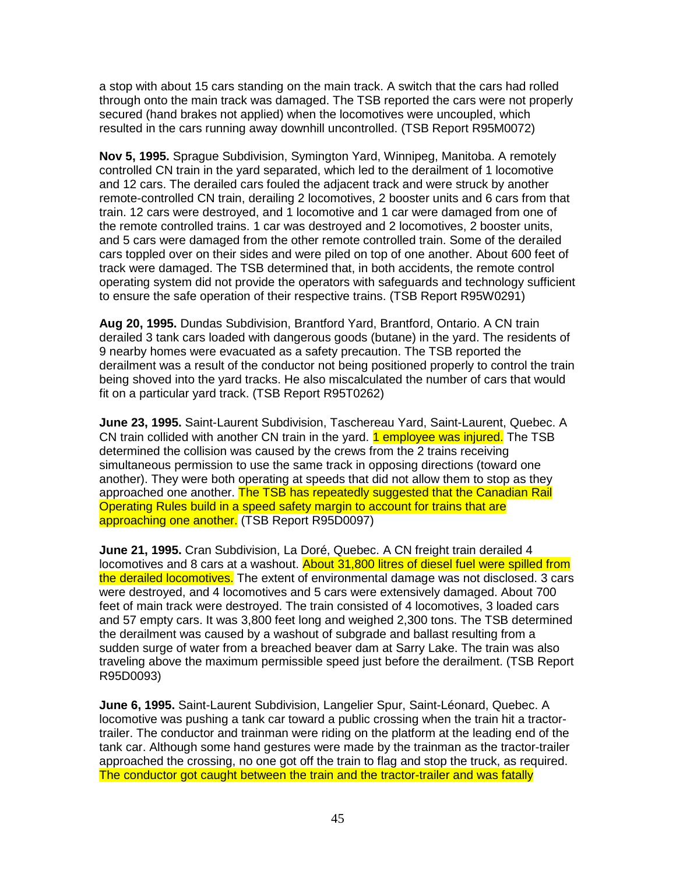a stop with about 15 cars standing on the main track. A switch that the cars had rolled through onto the main track was damaged. The TSB reported the cars were not properly secured (hand brakes not applied) when the locomotives were uncoupled, which resulted in the cars running away downhill uncontrolled. (TSB Report R95M0072)

**Nov 5, 1995.** Sprague Subdivision, Symington Yard, Winnipeg, Manitoba. A remotely controlled CN train in the yard separated, which led to the derailment of 1 locomotive and 12 cars. The derailed cars fouled the adjacent track and were struck by another remote-controlled CN train, derailing 2 locomotives, 2 booster units and 6 cars from that train. 12 cars were destroyed, and 1 locomotive and 1 car were damaged from one of the remote controlled trains. 1 car was destroyed and 2 locomotives, 2 booster units, and 5 cars were damaged from the other remote controlled train. Some of the derailed cars toppled over on their sides and were piled on top of one another. About 600 feet of track were damaged. The TSB determined that, in both accidents, the remote control operating system did not provide the operators with safeguards and technology sufficient to ensure the safe operation of their respective trains. (TSB Report R95W0291)

**Aug 20, 1995.** Dundas Subdivision, Brantford Yard, Brantford, Ontario. A CN train derailed 3 tank cars loaded with dangerous goods (butane) in the yard. The residents of 9 nearby homes were evacuated as a safety precaution. The TSB reported the derailment was a result of the conductor not being positioned properly to control the train being shoved into the yard tracks. He also miscalculated the number of cars that would fit on a particular yard track. (TSB Report R95T0262)

**June 23, 1995.** Saint-Laurent Subdivision, Taschereau Yard, Saint-Laurent, Quebec. A CN train collided with another CN train in the yard. **1 employee was injured.** The TSB determined the collision was caused by the crews from the 2 trains receiving simultaneous permission to use the same track in opposing directions (toward one another). They were both operating at speeds that did not allow them to stop as they approached one another. The TSB has repeatedly suggested that the Canadian Rail Operating Rules build in a speed safety margin to account for trains that are approaching one another. (TSB Report R95D0097)

**June 21, 1995.** Cran Subdivision, La Doré, Quebec. A CN freight train derailed 4 locomotives and 8 cars at a washout. About 31,800 litres of diesel fuel were spilled from the derailed locomotives. The extent of environmental damage was not disclosed. 3 cars were destroyed, and 4 locomotives and 5 cars were extensively damaged. About 700 feet of main track were destroyed. The train consisted of 4 locomotives, 3 loaded cars and 57 empty cars. It was 3,800 feet long and weighed 2,300 tons. The TSB determined the derailment was caused by a washout of subgrade and ballast resulting from a sudden surge of water from a breached beaver dam at Sarry Lake. The train was also traveling above the maximum permissible speed just before the derailment. (TSB Report R95D0093)

**June 6, 1995.** Saint-Laurent Subdivision, Langelier Spur, Saint-Léonard, Quebec. A locomotive was pushing a tank car toward a public crossing when the train hit a tractortrailer. The conductor and trainman were riding on the platform at the leading end of the tank car. Although some hand gestures were made by the trainman as the tractor-trailer approached the crossing, no one got off the train to flag and stop the truck, as required. The conductor got caught between the train and the tractor-trailer and was fatally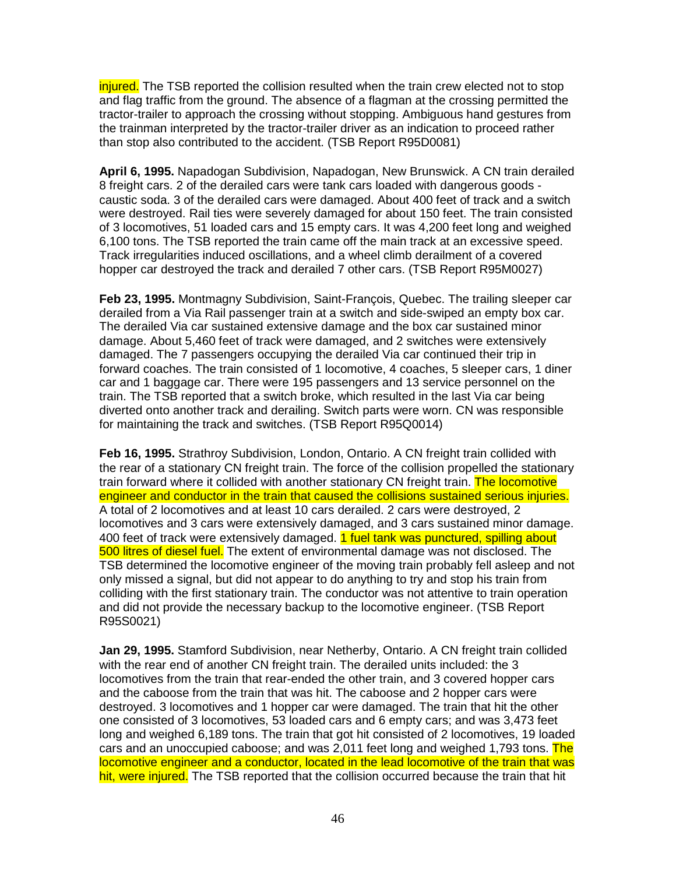injured. The TSB reported the collision resulted when the train crew elected not to stop and flag traffic from the ground. The absence of a flagman at the crossing permitted the tractor-trailer to approach the crossing without stopping. Ambiguous hand gestures from the trainman interpreted by the tractor-trailer driver as an indication to proceed rather than stop also contributed to the accident. (TSB Report R95D0081)

**April 6, 1995.** Napadogan Subdivision, Napadogan, New Brunswick. A CN train derailed 8 freight cars. 2 of the derailed cars were tank cars loaded with dangerous goods caustic soda. 3 of the derailed cars were damaged. About 400 feet of track and a switch were destroyed. Rail ties were severely damaged for about 150 feet. The train consisted of 3 locomotives, 51 loaded cars and 15 empty cars. It was 4,200 feet long and weighed 6,100 tons. The TSB reported the train came off the main track at an excessive speed. Track irregularities induced oscillations, and a wheel climb derailment of a covered hopper car destroyed the track and derailed 7 other cars. (TSB Report R95M0027)

**Feb 23, 1995.** Montmagny Subdivision, Saint-François, Quebec. The trailing sleeper car derailed from a Via Rail passenger train at a switch and side-swiped an empty box car. The derailed Via car sustained extensive damage and the box car sustained minor damage. About 5,460 feet of track were damaged, and 2 switches were extensively damaged. The 7 passengers occupying the derailed Via car continued their trip in forward coaches. The train consisted of 1 locomotive, 4 coaches, 5 sleeper cars, 1 diner car and 1 baggage car. There were 195 passengers and 13 service personnel on the train. The TSB reported that a switch broke, which resulted in the last Via car being diverted onto another track and derailing. Switch parts were worn. CN was responsible for maintaining the track and switches. (TSB Report R95Q0014)

**Feb 16, 1995.** Strathroy Subdivision, London, Ontario. A CN freight train collided with the rear of a stationary CN freight train. The force of the collision propelled the stationary train forward where it collided with another stationary CN freight train. The locomotive engineer and conductor in the train that caused the collisions sustained serious injuries. A total of 2 locomotives and at least 10 cars derailed. 2 cars were destroyed, 2 locomotives and 3 cars were extensively damaged, and 3 cars sustained minor damage. 400 feet of track were extensively damaged. 1 fuel tank was punctured, spilling about 500 litres of diesel fuel. The extent of environmental damage was not disclosed. The TSB determined the locomotive engineer of the moving train probably fell asleep and not only missed a signal, but did not appear to do anything to try and stop his train from colliding with the first stationary train. The conductor was not attentive to train operation and did not provide the necessary backup to the locomotive engineer. (TSB Report R95S0021)

**Jan 29, 1995.** Stamford Subdivision, near Netherby, Ontario. A CN freight train collided with the rear end of another CN freight train. The derailed units included: the 3 locomotives from the train that rear-ended the other train, and 3 covered hopper cars and the caboose from the train that was hit. The caboose and 2 hopper cars were destroyed. 3 locomotives and 1 hopper car were damaged. The train that hit the other one consisted of 3 locomotives, 53 loaded cars and 6 empty cars; and was 3,473 feet long and weighed 6,189 tons. The train that got hit consisted of 2 locomotives, 19 loaded cars and an unoccupied caboose; and was 2,011 feet long and weighed 1,793 tons. The locomotive engineer and a conductor, located in the lead locomotive of the train that was hit, were injured. The TSB reported that the collision occurred because the train that hit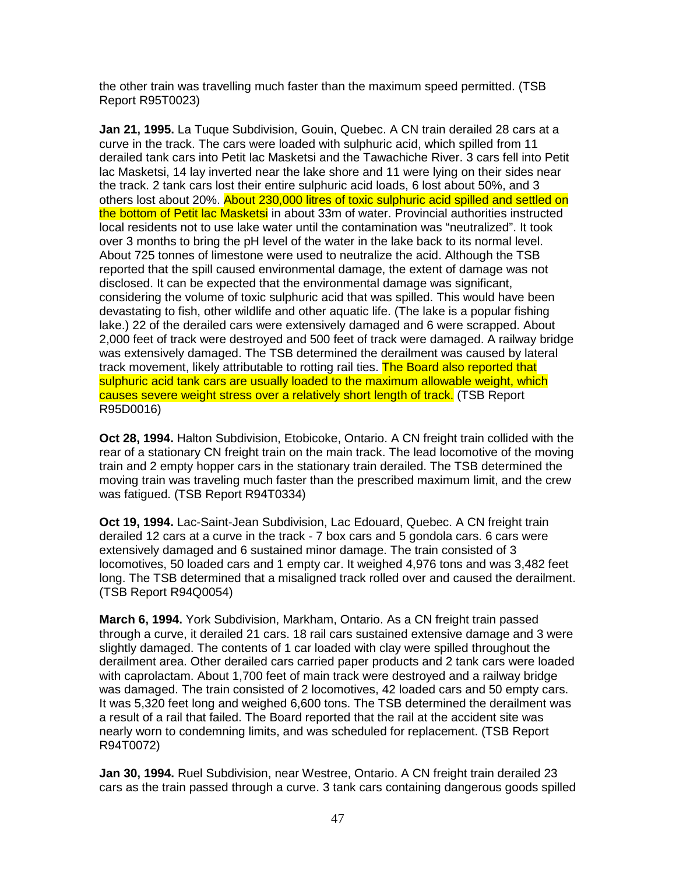the other train was travelling much faster than the maximum speed permitted. (TSB Report R95T0023)

**Jan 21, 1995.** La Tuque Subdivision, Gouin, Quebec. A CN train derailed 28 cars at a curve in the track. The cars were loaded with sulphuric acid, which spilled from 11 derailed tank cars into Petit lac Masketsi and the Tawachiche River. 3 cars fell into Petit lac Masketsi, 14 lay inverted near the lake shore and 11 were lying on their sides near the track. 2 tank cars lost their entire sulphuric acid loads, 6 lost about 50%, and 3 others lost about 20%. About 230,000 litres of toxic sulphuric acid spilled and settled on the bottom of Petit lac Masketsi in about 33m of water. Provincial authorities instructed local residents not to use lake water until the contamination was "neutralized". It took over 3 months to bring the pH level of the water in the lake back to its normal level. About 725 tonnes of limestone were used to neutralize the acid. Although the TSB reported that the spill caused environmental damage, the extent of damage was not disclosed. It can be expected that the environmental damage was significant, considering the volume of toxic sulphuric acid that was spilled. This would have been devastating to fish, other wildlife and other aquatic life. (The lake is a popular fishing lake.) 22 of the derailed cars were extensively damaged and 6 were scrapped. About 2,000 feet of track were destroyed and 500 feet of track were damaged. A railway bridge was extensively damaged. The TSB determined the derailment was caused by lateral track movement, likely attributable to rotting rail ties. The Board also reported that sulphuric acid tank cars are usually loaded to the maximum allowable weight, which causes severe weight stress over a relatively short length of track. (TSB Report R95D0016)

**Oct 28, 1994.** Halton Subdivision, Etobicoke, Ontario. A CN freight train collided with the rear of a stationary CN freight train on the main track. The lead locomotive of the moving train and 2 empty hopper cars in the stationary train derailed. The TSB determined the moving train was traveling much faster than the prescribed maximum limit, and the crew was fatigued. (TSB Report R94T0334)

**Oct 19, 1994.** Lac-Saint-Jean Subdivision, Lac Edouard, Quebec. A CN freight train derailed 12 cars at a curve in the track - 7 box cars and 5 gondola cars. 6 cars were extensively damaged and 6 sustained minor damage. The train consisted of 3 locomotives, 50 loaded cars and 1 empty car. It weighed 4,976 tons and was 3,482 feet long. The TSB determined that a misaligned track rolled over and caused the derailment. (TSB Report R94Q0054)

**March 6, 1994.** York Subdivision, Markham, Ontario. As a CN freight train passed through a curve, it derailed 21 cars. 18 rail cars sustained extensive damage and 3 were slightly damaged. The contents of 1 car loaded with clay were spilled throughout the derailment area. Other derailed cars carried paper products and 2 tank cars were loaded with caprolactam. About 1,700 feet of main track were destroyed and a railway bridge was damaged. The train consisted of 2 locomotives, 42 loaded cars and 50 empty cars. It was 5,320 feet long and weighed 6,600 tons. The TSB determined the derailment was a result of a rail that failed. The Board reported that the rail at the accident site was nearly worn to condemning limits, and was scheduled for replacement. (TSB Report R94T0072)

**Jan 30, 1994.** Ruel Subdivision, near Westree, Ontario. A CN freight train derailed 23 cars as the train passed through a curve. 3 tank cars containing dangerous goods spilled